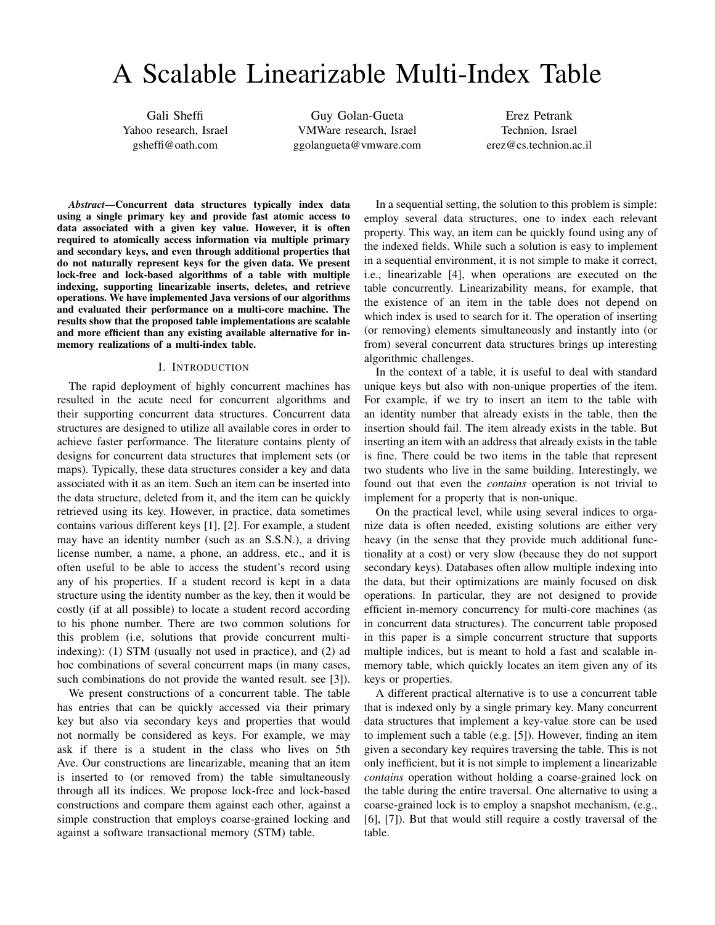# A Scalable Linearizable Multi-Index Table

Gali Sheffi Yahoo research, Israel gsheffi@oath.com

Guy Golan-Gueta VMWare research, Israel ggolangueta@vmware.com

Erez Petrank Technion, Israel erez@cs.technion.ac.il

*Abstract*—Concurrent data structures typically index data using a single primary key and provide fast atomic access to data associated with a given key value. However, it is often required to atomically access information via multiple primary and secondary keys, and even through additional properties that do not naturally represent keys for the given data. We present lock-free and lock-based algorithms of a table with multiple indexing, supporting linearizable inserts, deletes, and retrieve operations. We have implemented Java versions of our algorithms and evaluated their performance on a multi-core machine. The results show that the proposed table implementations are scalable and more efficient than any existing available alternative for inmemory realizations of a multi-index table.

#### I. INTRODUCTION

The rapid deployment of highly concurrent machines has resulted in the acute need for concurrent algorithms and their supporting concurrent data structures. Concurrent data structures are designed to utilize all available cores in order to achieve faster performance. The literature contains plenty of designs for concurrent data structures that implement sets (or maps). Typically, these data structures consider a key and data associated with it as an item. Such an item can be inserted into the data structure, deleted from it, and the item can be quickly retrieved using its key. However, in practice, data sometimes contains various different keys [1], [2]. For example, a student may have an identity number (such as an S.S.N.), a driving license number, a name, a phone, an address, etc., and it is often useful to be able to access the student's record using any of his properties. If a student record is kept in a data structure using the identity number as the key, then it would be costly (if at all possible) to locate a student record according to his phone number. There are two common solutions for this problem (i.e, solutions that provide concurrent multiindexing): (1) STM (usually not used in practice), and (2) ad hoc combinations of several concurrent maps (in many cases, such combinations do not provide the wanted result. see [3]).

We present constructions of a concurrent table. The table has entries that can be quickly accessed via their primary key but also via secondary keys and properties that would not normally be considered as keys. For example, we may ask if there is a student in the class who lives on 5th Ave. Our constructions are linearizable, meaning that an item is inserted to (or removed from) the table simultaneously through all its indices. We propose lock-free and lock-based constructions and compare them against each other, against a simple construction that employs coarse-grained locking and against a software transactional memory (STM) table.

In a sequential setting, the solution to this problem is simple: employ several data structures, one to index each relevant property. This way, an item can be quickly found using any of the indexed fields. While such a solution is easy to implement in a sequential environment, it is not simple to make it correct, i.e., linearizable [4], when operations are executed on the table concurrently. Linearizability means, for example, that the existence of an item in the table does not depend on which index is used to search for it. The operation of inserting (or removing) elements simultaneously and instantly into (or from) several concurrent data structures brings up interesting algorithmic challenges.

In the context of a table, it is useful to deal with standard unique keys but also with non-unique properties of the item. For example, if we try to insert an item to the table with an identity number that already exists in the table, then the insertion should fail. The item already exists in the table. But inserting an item with an address that already exists in the table is fine. There could be two items in the table that represent two students who live in the same building. Interestingly, we found out that even the *contains* operation is not trivial to implement for a property that is non-unique.

On the practical level, while using several indices to organize data is often needed, existing solutions are either very heavy (in the sense that they provide much additional functionality at a cost) or very slow (because they do not support secondary keys). Databases often allow multiple indexing into the data, but their optimizations are mainly focused on disk operations. In particular, they are not designed to provide efficient in-memory concurrency for multi-core machines (as in concurrent data structures). The concurrent table proposed in this paper is a simple concurrent structure that supports multiple indices, but is meant to hold a fast and scalable inmemory table, which quickly locates an item given any of its keys or properties.

A different practical alternative is to use a concurrent table that is indexed only by a single primary key. Many concurrent data structures that implement a key-value store can be used to implement such a table (e.g. [5]). However, finding an item given a secondary key requires traversing the table. This is not only inefficient, but it is not simple to implement a linearizable *contains* operation without holding a coarse-grained lock on the table during the entire traversal. One alternative to using a coarse-grained lock is to employ a snapshot mechanism, (e.g., [6], [7]). But that would still require a costly traversal of the table.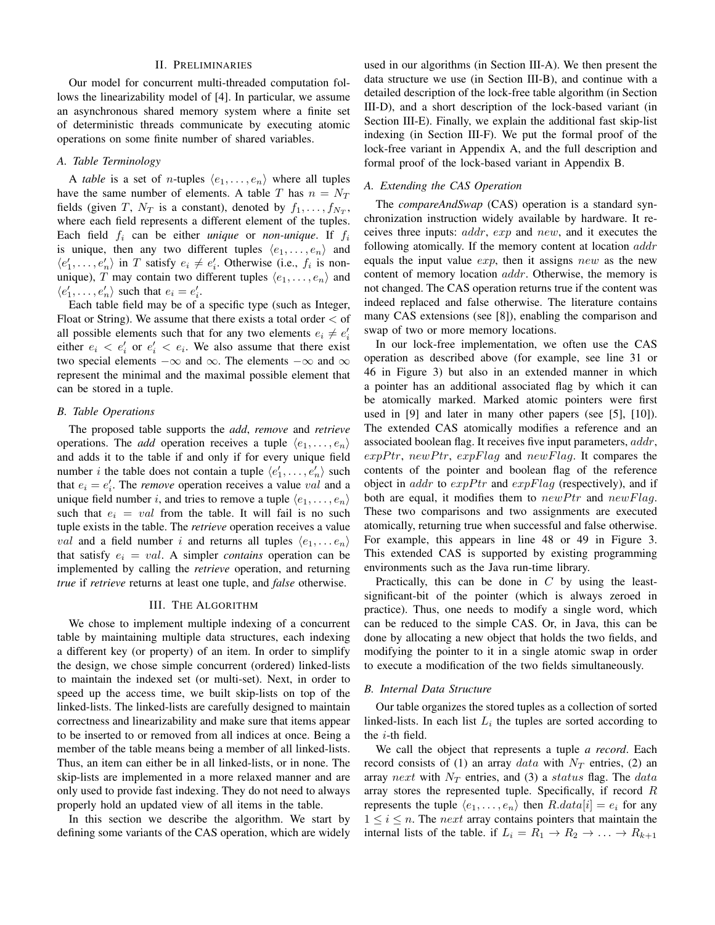# II. PRELIMINARIES

Our model for concurrent multi-threaded computation follows the linearizability model of [4]. In particular, we assume an asynchronous shared memory system where a finite set of deterministic threads communicate by executing atomic operations on some finite number of shared variables.

#### *A. Table Terminology*

A *table* is a set of *n*-tuples  $\langle e_1, \ldots, e_n \rangle$  where all tuples have the same number of elements. A table T has  $n = N_T$ fields (given T,  $N_T$  is a constant), denoted by  $f_1, \ldots, f_{N_T}$ , where each field represents a different element of the tuples. Each field  $f_i$  can be either *unique* or *non-unique*. If  $f_i$ is unique, then any two different tuples  $\langle e_1, \ldots, e_n \rangle$  and  $\langle e'_1, \ldots, e'_n \rangle$  in T satisfy  $e_i \neq e'_i$ . Otherwise (i.e.,  $f_i$  is nonunique), T may contain two different tuples  $\langle e_1, \ldots, e_n \rangle$  and  $\langle e'_1, \ldots, e'_n \rangle$  such that  $e_i = e'_i$ .

Each table field may be of a specific type (such as Integer, Float or String). We assume that there exists a total order  $<$  of all possible elements such that for any two elements  $e_i \neq e'_i$ either  $e_i < e'_i$  or  $e'_i < e_i$ . We also assume that there exist two special elements  $-\infty$  and  $\infty$ . The elements  $-\infty$  and  $\infty$ represent the minimal and the maximal possible element that can be stored in a tuple.

# *B. Table Operations*

The proposed table supports the *add*, *remove* and *retrieve* operations. The *add* operation receives a tuple  $\langle e_1, \ldots, e_n \rangle$ and adds it to the table if and only if for every unique field number *i* the table does not contain a tuple  $\langle e'_1, \ldots, e'_n \rangle$  such that  $e_i = e'_i$ . The *remove* operation receives a value *val* and a unique field number i, and tries to remove a tuple  $\langle e_1, \ldots, e_n \rangle$ such that  $e_i = val$  from the table. It will fail is no such tuple exists in the table. The *retrieve* operation receives a value *val* and a field number i and returns all tuples  $\langle e_1, \ldots e_n \rangle$ that satisfy  $e_i = val$ . A simpler *contains* operation can be implemented by calling the *retrieve* operation, and returning *true* if *retrieve* returns at least one tuple, and *false* otherwise.

# III. THE ALGORITHM

We chose to implement multiple indexing of a concurrent table by maintaining multiple data structures, each indexing a different key (or property) of an item. In order to simplify the design, we chose simple concurrent (ordered) linked-lists to maintain the indexed set (or multi-set). Next, in order to speed up the access time, we built skip-lists on top of the linked-lists. The linked-lists are carefully designed to maintain correctness and linearizability and make sure that items appear to be inserted to or removed from all indices at once. Being a member of the table means being a member of all linked-lists. Thus, an item can either be in all linked-lists, or in none. The skip-lists are implemented in a more relaxed manner and are only used to provide fast indexing. They do not need to always properly hold an updated view of all items in the table.

In this section we describe the algorithm. We start by defining some variants of the CAS operation, which are widely used in our algorithms (in Section III-A). We then present the data structure we use (in Section III-B), and continue with a detailed description of the lock-free table algorithm (in Section III-D), and a short description of the lock-based variant (in Section III-E). Finally, we explain the additional fast skip-list indexing (in Section III-F). We put the formal proof of the lock-free variant in Appendix A, and the full description and formal proof of the lock-based variant in Appendix B.

# *A. Extending the CAS Operation*

The *compareAndSwap* (CAS) operation is a standard synchronization instruction widely available by hardware. It receives three inputs: addr, exp and new, and it executes the following atomically. If the memory content at location  $\alpha d\alpha r$ equals the input value  $exp$ , then it assigns  $new$  as the new content of memory location *addr*. Otherwise, the memory is not changed. The CAS operation returns true if the content was indeed replaced and false otherwise. The literature contains many CAS extensions (see [8]), enabling the comparison and swap of two or more memory locations.

In our lock-free implementation, we often use the CAS operation as described above (for example, see line 31 or 46 in Figure 3) but also in an extended manner in which a pointer has an additional associated flag by which it can be atomically marked. Marked atomic pointers were first used in [9] and later in many other papers (see [5], [10]). The extended CAS atomically modifies a reference and an associated boolean flag. It receives five input parameters, addr,  $exp Ptr$ ,  $new Ptr$ ,  $exp Flag$  and  $newFlag$ . It compares the contents of the pointer and boolean flag of the reference object in *addr* to  $expPtr$  and  $expFlag$  (respectively), and if both are equal, it modifies them to  $newPtr$  and  $newFlag$ . These two comparisons and two assignments are executed atomically, returning true when successful and false otherwise. For example, this appears in line 48 or 49 in Figure 3. This extended CAS is supported by existing programming environments such as the Java run-time library.

Practically, this can be done in  $C$  by using the leastsignificant-bit of the pointer (which is always zeroed in practice). Thus, one needs to modify a single word, which can be reduced to the simple CAS. Or, in Java, this can be done by allocating a new object that holds the two fields, and modifying the pointer to it in a single atomic swap in order to execute a modification of the two fields simultaneously.

#### *B. Internal Data Structure*

Our table organizes the stored tuples as a collection of sorted linked-lists. In each list  $L_i$  the tuples are sorted according to the i-th field.

We call the object that represents a tuple *a record*. Each record consists of (1) an array data with  $N_T$  entries, (2) an array next with  $N_T$  entries, and (3) a status flag. The data array stores the represented tuple. Specifically, if record R represents the tuple  $\langle e_1, \ldots, e_n \rangle$  then  $R.data[i] = e_i$  for any  $1 \leq i \leq n$ . The *next* array contains pointers that maintain the internal lists of the table. if  $L_i = R_1 \rightarrow R_2 \rightarrow \ldots \rightarrow R_{k+1}$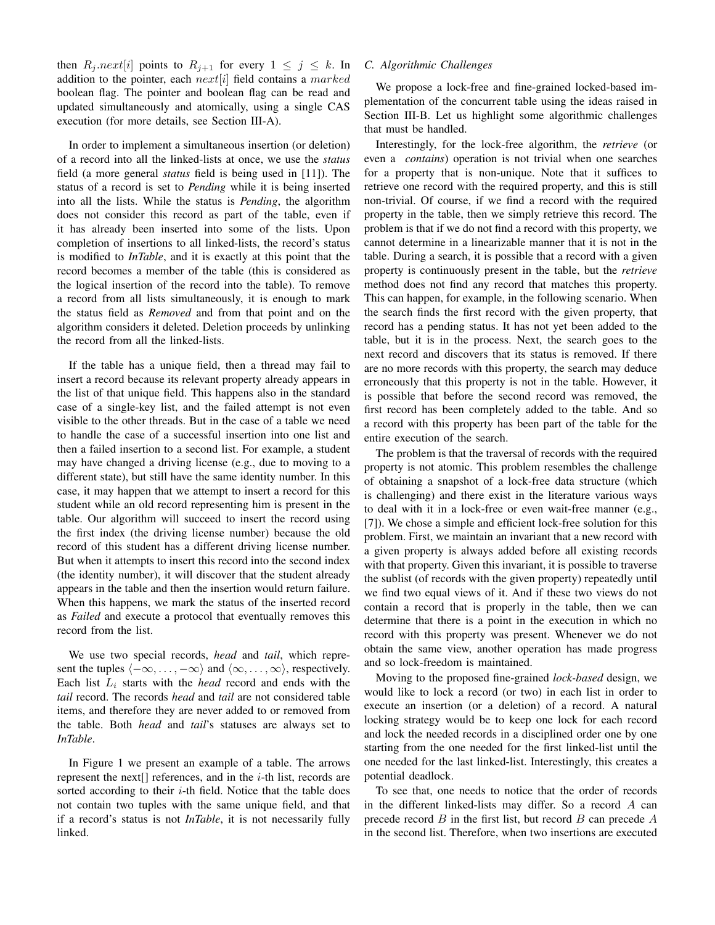then  $R_j.next[i]$  points to  $R_{j+1}$  for every  $1 \leq j \leq k$ . In addition to the pointer, each  $next[i]$  field contains a marked boolean flag. The pointer and boolean flag can be read and updated simultaneously and atomically, using a single CAS execution (for more details, see Section III-A).

In order to implement a simultaneous insertion (or deletion) of a record into all the linked-lists at once, we use the *status* field (a more general *status* field is being used in [11]). The status of a record is set to *Pending* while it is being inserted into all the lists. While the status is *Pending*, the algorithm does not consider this record as part of the table, even if it has already been inserted into some of the lists. Upon completion of insertions to all linked-lists, the record's status is modified to *InTable*, and it is exactly at this point that the record becomes a member of the table (this is considered as the logical insertion of the record into the table). To remove a record from all lists simultaneously, it is enough to mark the status field as *Removed* and from that point and on the algorithm considers it deleted. Deletion proceeds by unlinking the record from all the linked-lists.

If the table has a unique field, then a thread may fail to insert a record because its relevant property already appears in the list of that unique field. This happens also in the standard case of a single-key list, and the failed attempt is not even visible to the other threads. But in the case of a table we need to handle the case of a successful insertion into one list and then a failed insertion to a second list. For example, a student may have changed a driving license (e.g., due to moving to a different state), but still have the same identity number. In this case, it may happen that we attempt to insert a record for this student while an old record representing him is present in the table. Our algorithm will succeed to insert the record using the first index (the driving license number) because the old record of this student has a different driving license number. But when it attempts to insert this record into the second index (the identity number), it will discover that the student already appears in the table and then the insertion would return failure. When this happens, we mark the status of the inserted record as *Failed* and execute a protocol that eventually removes this record from the list.

We use two special records, *head* and *tail*, which represent the tuples  $\langle -\infty, \ldots, -\infty \rangle$  and  $\langle \infty, \ldots, \infty \rangle$ , respectively. Each list  $L_i$  starts with the *head* record and ends with the *tail* record. The records *head* and *tail* are not considered table items, and therefore they are never added to or removed from the table. Both *head* and *tail*'s statuses are always set to *InTable*.

In Figure 1 we present an example of a table. The arrows represent the next[] references, and in the  $i$ -th list, records are sorted according to their  $i$ -th field. Notice that the table does not contain two tuples with the same unique field, and that if a record's status is not *InTable*, it is not necessarily fully linked.

# *C. Algorithmic Challenges*

We propose a lock-free and fine-grained locked-based implementation of the concurrent table using the ideas raised in Section III-B. Let us highlight some algorithmic challenges that must be handled.

Interestingly, for the lock-free algorithm, the *retrieve* (or even a *contains*) operation is not trivial when one searches for a property that is non-unique. Note that it suffices to retrieve one record with the required property, and this is still non-trivial. Of course, if we find a record with the required property in the table, then we simply retrieve this record. The problem is that if we do not find a record with this property, we cannot determine in a linearizable manner that it is not in the table. During a search, it is possible that a record with a given property is continuously present in the table, but the *retrieve* method does not find any record that matches this property. This can happen, for example, in the following scenario. When the search finds the first record with the given property, that record has a pending status. It has not yet been added to the table, but it is in the process. Next, the search goes to the next record and discovers that its status is removed. If there are no more records with this property, the search may deduce erroneously that this property is not in the table. However, it is possible that before the second record was removed, the first record has been completely added to the table. And so a record with this property has been part of the table for the entire execution of the search.

The problem is that the traversal of records with the required property is not atomic. This problem resembles the challenge of obtaining a snapshot of a lock-free data structure (which is challenging) and there exist in the literature various ways to deal with it in a lock-free or even wait-free manner (e.g., [7]). We chose a simple and efficient lock-free solution for this problem. First, we maintain an invariant that a new record with a given property is always added before all existing records with that property. Given this invariant, it is possible to traverse the sublist (of records with the given property) repeatedly until we find two equal views of it. And if these two views do not contain a record that is properly in the table, then we can determine that there is a point in the execution in which no record with this property was present. Whenever we do not obtain the same view, another operation has made progress and so lock-freedom is maintained.

Moving to the proposed fine-grained *lock-based* design, we would like to lock a record (or two) in each list in order to execute an insertion (or a deletion) of a record. A natural locking strategy would be to keep one lock for each record and lock the needed records in a disciplined order one by one starting from the one needed for the first linked-list until the one needed for the last linked-list. Interestingly, this creates a potential deadlock.

To see that, one needs to notice that the order of records in the different linked-lists may differ. So a record A can precede record  $B$  in the first list, but record  $B$  can precede  $A$ in the second list. Therefore, when two insertions are executed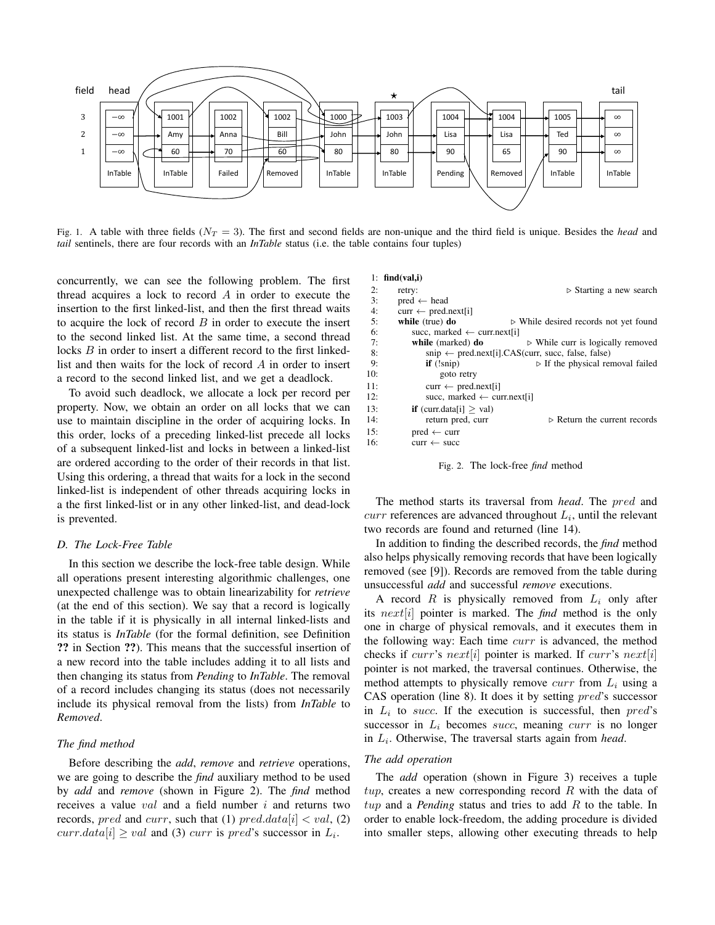

Fig. 1. A table with three fields  $(N_T = 3)$ . The first and second fields are non-unique and the third field is unique. Besides the *head* and *tail* sentinels, there are four records with an *InTable* status (i.e. the table contains four tuples)

concurrently, we can see the following problem. The first thread acquires a lock to record  $A$  in order to execute the insertion to the first linked-list, and then the first thread waits to acquire the lock of record  $B$  in order to execute the insert to the second linked list. At the same time, a second thread locks B in order to insert a different record to the first linkedlist and then waits for the lock of record A in order to insert a record to the second linked list, and we get a deadlock.

To avoid such deadlock, we allocate a lock per record per property. Now, we obtain an order on all locks that we can use to maintain discipline in the order of acquiring locks. In this order, locks of a preceding linked-list precede all locks of a subsequent linked-list and locks in between a linked-list are ordered according to the order of their records in that list. Using this ordering, a thread that waits for a lock in the second linked-list is independent of other threads acquiring locks in a the first linked-list or in any other linked-list, and dead-lock is prevented.

#### *D. The Lock-Free Table*

In this section we describe the lock-free table design. While all operations present interesting algorithmic challenges, one unexpected challenge was to obtain linearizability for *retrieve* (at the end of this section). We say that a record is logically in the table if it is physically in all internal linked-lists and its status is *InTable* (for the formal definition, see Definition ?? in Section ??). This means that the successful insertion of a new record into the table includes adding it to all lists and then changing its status from *Pending* to *InTable*. The removal of a record includes changing its status (does not necessarily include its physical removal from the lists) from *InTable* to *Removed*.

## *The find method*

Before describing the *add*, *remove* and *retrieve* operations, we are going to describe the *find* auxiliary method to be used by *add* and *remove* (shown in Figure 2). The *find* method receives a value  $val$  and a field number  $i$  and returns two records, pred and curr, such that (1) pred.data  $[i] < val$ , (2)  $curr.data[i] \geq val$  and (3) curr is pred's successor in  $L_i$ .

#### 1:  $find(val,i)$

| 2:  | retry:                                 | $\triangleright$ Starting a new search                                                                 |
|-----|----------------------------------------|--------------------------------------------------------------------------------------------------------|
| 3:  | $pred \leftarrow head$                 |                                                                                                        |
| 4:  | $curr \leftarrow pred.next[i]$         |                                                                                                        |
| 5:  | while $(true)$ do                      | $\triangleright$ While desired records not yet found                                                   |
| 6:  | succ, marked $\leftarrow$ curr.next[i] |                                                                                                        |
| 7:  | while (marked) do                      | $\triangleright$ While curr is logically removed                                                       |
| 8:  |                                        | $\text{snip} \leftarrow \text{pred.next[i].CAS}(\text{curr}, \text{succ}, \text{false}, \text{false})$ |
| 9:  | $if$ $(!snip)$                         | $\triangleright$ If the physical removal failed                                                        |
| 10: | goto retry                             |                                                                                                        |
| 11: | $curr \leftarrow pred.next[i]$         |                                                                                                        |
| 12: | succ. marked $\leftarrow$ curr.next[i] |                                                                                                        |
| 13: | <b>if</b> (curr.data[i] $>$ val)       |                                                                                                        |
| 14: | return pred, curr                      | $\triangleright$ Return the current records                                                            |
| 15: | $pred \leftarrow curr$                 |                                                                                                        |
| 16: | $curr \leftarrow succ$                 |                                                                                                        |
|     |                                        |                                                                                                        |

Fig. 2. The lock-free *find* method

The method starts its traversal from *head*. The pred and  $curr$  references are advanced throughout  $L_i$ , until the relevant two records are found and returned (line 14).

In addition to finding the described records, the *find* method also helps physically removing records that have been logically removed (see [9]). Records are removed from the table during unsuccessful *add* and successful *remove* executions.

A record  $R$  is physically removed from  $L_i$  only after its next[i] pointer is marked. The *find* method is the only one in charge of physical removals, and it executes them in the following way: Each time curr is advanced, the method checks if curr's next[i] pointer is marked. If curr's next[i] pointer is not marked, the traversal continues. Otherwise, the method attempts to physically remove  $curr$  from  $L_i$  using a CAS operation (line 8). It does it by setting pred's successor in  $L_i$  to succ. If the execution is successful, then  $pred's$ successor in  $L_i$  becomes succ, meaning curr is no longer in  $L_i$ . Otherwise, The traversal starts again from *head*.

#### *The add operation*

The *add* operation (shown in Figure 3) receives a tuple  $tup$ , creates a new corresponding record R with the data of tup and a *Pending* status and tries to add R to the table. In order to enable lock-freedom, the adding procedure is divided into smaller steps, allowing other executing threads to help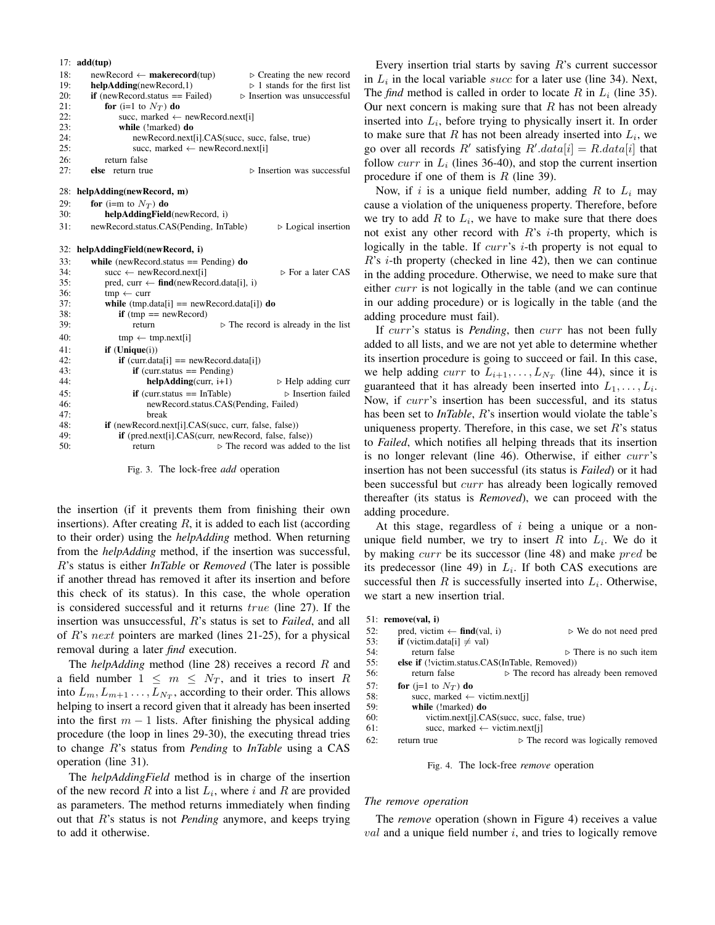$17<sub>°</sub>$  add(tup)

|     | 17. auutuup                                                                        |  |
|-----|------------------------------------------------------------------------------------|--|
| 18: | $\triangleright$ Creating the new record<br>$newRecord \leftarrow makerecord(tup)$ |  |
| 19: | $\triangleright$ 1 stands for the first list<br>helpAdding(newRecord,1)            |  |
| 20: | $if$ (newRecord.status == Failed)<br>$\triangleright$ Insertion was unsuccessful   |  |
| 21: | for (i=1 to $N_T$ ) do                                                             |  |
| 22: | succ, marked $\leftarrow$ new Record.next[i]                                       |  |
| 23: | while (!marked) do                                                                 |  |
| 24: | newRecord.next[i].CAS(succ, succ, false, true)                                     |  |
| 25: | succ, marked $\leftarrow$ newRecord.next[i]                                        |  |
| 26: | return false                                                                       |  |
| 27: | $\triangleright$ Insertion was successful<br>else<br>return true                   |  |
| 28: | helpAdding(newRecord, m)                                                           |  |
| 29: | for (i=m to $N_T$ ) do                                                             |  |
| 30: | helpAddingField(newRecord, i)                                                      |  |
| 31: | newRecord.status.CAS(Pending, InTable)<br>$\triangleright$ Logical insertion       |  |
| 32: | helpAddingField(newRecord, i)                                                      |  |
| 33: | while (new Record.status $==$ Pending) do                                          |  |
| 34: | succ $\leftarrow$ newRecord.next[i]<br>$\triangleright$ For a later CAS            |  |
| 35: | pred, curr $\leftarrow$ find(newRecord.data[i], i)                                 |  |
| 36: | $tmp \leftarrow curr$                                                              |  |
| 37: | while $(tmp.data[i] == newRecord.data[i])$ do                                      |  |
| 38: | <b>if</b> (tmp == $newRecord$ )                                                    |  |
| 39: | $\triangleright$ The record is already in the list<br>return                       |  |
| 40: | $tmp \leftarrow tmp.next[i]$                                                       |  |
| 41: | $if$ (Unique $(i)$ )                                                               |  |
| 42: | $if$ (curr.data[i] == newRecord.data[i])                                           |  |
| 43: | $if$ (curr.status == Pending)                                                      |  |
| 44: | $helpAdding (curr, i+1)$<br>$\triangleright$ Help adding curr                      |  |
| 45: | $\triangleright$ Insertion failed<br>$if$ (curr.status == InTable)                 |  |
| 46: | newRecord.status.CAS(Pending, Failed)                                              |  |
| 47: | break                                                                              |  |
| 48: | <b>if</b> (newRecord.next[i].CAS(succ, curr, false, false))                        |  |
| 49: | <b>if</b> (pred.next[i].CAS(curr, newRecord, false, false))                        |  |
| 50: | $\triangleright$ The record was added to the list<br>return                        |  |
|     |                                                                                    |  |

Fig. 3. The lock-free *add* operation

the insertion (if it prevents them from finishing their own insertions). After creating  $R$ , it is added to each list (according to their order) using the *helpAdding* method. When returning from the *helpAdding* method, if the insertion was successful, R's status is either *InTable* or *Removed* (The later is possible if another thread has removed it after its insertion and before this check of its status). In this case, the whole operation is considered successful and it returns true (line 27). If the insertion was unsuccessful, R's status is set to *Failed*, and all of R's next pointers are marked (lines 21-25), for a physical removal during a later *find* execution.

The *helpAdding* method (line 28) receives a record R and a field number  $1 \leq m \leq N_T$ , and it tries to insert R into  $L_m, L_{m+1}, \ldots, L_{N_T}$ , according to their order. This allows helping to insert a record given that it already has been inserted into the first  $m - 1$  lists. After finishing the physical adding procedure (the loop in lines 29-30), the executing thread tries to change R's status from *Pending* to *InTable* using a CAS operation (line 31).

The *helpAddingField* method is in charge of the insertion of the new record R into a list  $L_i$ , where i and R are provided as parameters. The method returns immediately when finding out that R's status is not *Pending* anymore, and keeps trying to add it otherwise.

Every insertion trial starts by saving  $R$ 's current successor in  $L_i$  in the local variable succ for a later use (line 34). Next, The *find* method is called in order to locate R in  $L_i$  (line 35). Our next concern is making sure that  $R$  has not been already inserted into  $L_i$ , before trying to physically insert it. In order to make sure that  $R$  has not been already inserted into  $L_i$ , we go over all records R' satisfying  $R'$ .data $[i] = R$ .data $[i]$  that follow *curr* in  $L_i$  (lines 36-40), and stop the current insertion procedure if one of them is  $R$  (line 39).

Now, if i is a unique field number, adding R to  $L_i$  may cause a violation of the uniqueness property. Therefore, before we try to add  $R$  to  $L_i$ , we have to make sure that there does not exist any other record with  $R$ 's *i*-th property, which is logically in the table. If *curr's i*-th property is not equal to  $R$ 's *i*-th property (checked in line 42), then we can continue in the adding procedure. Otherwise, we need to make sure that either *curr* is not logically in the table (and we can continue in our adding procedure) or is logically in the table (and the adding procedure must fail).

If curr's status is *Pending*, then curr has not been fully added to all lists, and we are not yet able to determine whether its insertion procedure is going to succeed or fail. In this case, we help adding *curr* to  $L_{i+1}, \ldots, L_{N_T}$  (line 44), since it is guaranteed that it has already been inserted into  $L_1, \ldots, L_i$ . Now, if *curr's* insertion has been successful, and its status has been set to *InTable*, R's insertion would violate the table's uniqueness property. Therefore, in this case, we set  $R$ 's status to *Failed*, which notifies all helping threads that its insertion is no longer relevant (line 46). Otherwise, if either curr's insertion has not been successful (its status is *Failed*) or it had been successful but curr has already been logically removed thereafter (its status is *Removed*), we can proceed with the adding procedure.

At this stage, regardless of  $i$  being a unique or a nonunique field number, we try to insert R into  $L_i$ . We do it by making curr be its successor (line 48) and make pred be its predecessor (line 49) in  $L_i$ . If both CAS executions are successful then  $R$  is successfully inserted into  $L_i$ . Otherwise, we start a new insertion trial.

|     | 51: remove(val, i)                                    |                                                      |
|-----|-------------------------------------------------------|------------------------------------------------------|
| 52: | pred, victim $\leftarrow$ find(val, i)                | $\triangleright$ We do not need pred                 |
| 53: | <b>if</b> (victim.data[i] $\neq$ val)                 |                                                      |
| 54: | return false                                          | $\triangleright$ There is no such item               |
| 55: | <b>else if</b> (!victim.status.CAS(InTable, Removed)) |                                                      |
| 56: | return false                                          | $\triangleright$ The record has already been removed |
| 57: | for (j=1 to $N_T$ ) do                                |                                                      |
| 58: | succ, marked $\leftarrow$ victim.next[j]              |                                                      |
| 59: | while (!marked) do                                    |                                                      |
| 60: | victim.next[j].CAS(succ, succ, false, true)           |                                                      |
| 61: | succ, marked $\leftarrow$ victim.next[j]              |                                                      |
| 62: | return true                                           | $\triangleright$ The record was logically removed    |
|     |                                                       |                                                      |

Fig. 4. The lock-free *remove* operation

## *The remove operation*

The *remove* operation (shown in Figure 4) receives a value  $val$  and a unique field number  $i$ , and tries to logically remove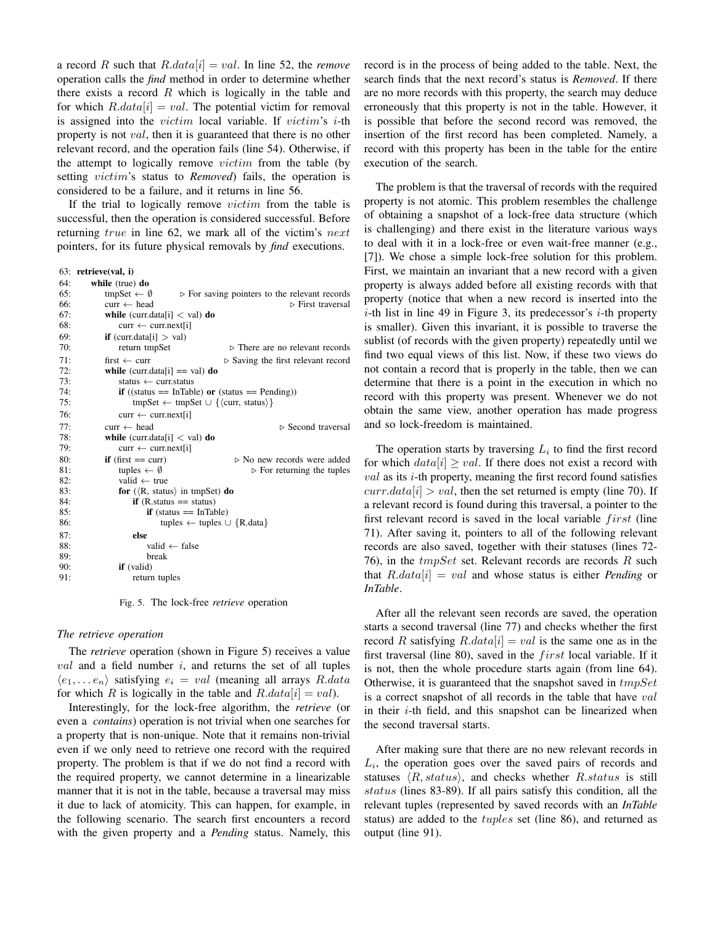a record R such that  $R.data[i] = val$ . In line 52, the *remove* operation calls the *find* method in order to determine whether there exists a record  $R$  which is logically in the table and for which  $R.data[i] = val$ . The potential victim for removal is assigned into the  $victim$  local variable. If  $victim's$  *i*-th property is not val, then it is guaranteed that there is no other relevant record, and the operation fails (line 54). Otherwise, if the attempt to logically remove *victim* from the table (by setting victim's status to *Removed*) fails, the operation is considered to be a failure, and it returns in line 56.

If the trial to logically remove victim from the table is successful, then the operation is considered successful. Before returning true in line 62, we mark all of the victim's next pointers, for its future physical removals by *find* executions.

63: retrieve(val, i)

| 64: | while (true) do                                         |                                                              |
|-----|---------------------------------------------------------|--------------------------------------------------------------|
| 65: | tmpSet $\leftarrow \emptyset$                           | $\triangleright$ For saving pointers to the relevant records |
| 66: | $curr \leftarrow head$                                  | $\triangleright$ First traversal                             |
| 67: | <b>while</b> (curr.data[i] $\langle$ val) <b>do</b>     |                                                              |
| 68: | $curr \leftarrow curr.next[i]$                          |                                                              |
| 69: | <b>if</b> (curr.data[i] $>$ val)                        |                                                              |
| 70: | return tmpSet                                           | $\triangleright$ There are no relevant records               |
| 71: | first $\leftarrow$ curr                                 | $\triangleright$ Saving the first relevant record            |
| 72: | while (curr.data[i] == val) do                          |                                                              |
| 73: | status $\leftarrow$ curr.status                         |                                                              |
| 74: | <b>if</b> ((status == InTable) or (status == Pending))  |                                                              |
| 75: | $tmpSet \leftarrow tmpSet \cup \{curr, status\}$        |                                                              |
| 76: | $curr \leftarrow curr.next[i]$                          |                                                              |
| 77: | $curr \leftarrow head$                                  | $\triangleright$ Second traversal                            |
| 78: | <b>while</b> (curr.data[i] $\langle$ val) <b>do</b>     |                                                              |
| 79: | $curr \leftarrow curr.next[i]$                          |                                                              |
| 80: | $\mathbf{if}$ (first == curr)                           | $\triangleright$ No new records were added                   |
| 81: | tuples $\leftarrow \emptyset$                           | $\triangleright$ For returning the tuples                    |
| 82: | valid $\leftarrow$ true                                 |                                                              |
| 83: | for $(\langle R, \text{ status} \rangle)$ in tmpSet) do |                                                              |
| 84: | <b>if</b> (R.status $==$ status)                        |                                                              |
| 85: | $if$ (status == InTable)                                |                                                              |
| 86: | tuples $\leftarrow$ tuples $\cup$ {R.data}              |                                                              |
| 87: | else                                                    |                                                              |
| 88: | valid $\leftarrow$ false                                |                                                              |
| 89: | break                                                   |                                                              |
| 90: | if (valid)                                              |                                                              |
| 91: | return tuples                                           |                                                              |

Fig. 5. The lock-free *retrieve* operation

# *The retrieve operation*

The *retrieve* operation (shown in Figure 5) receives a value  $val$  and a field number  $i$ , and returns the set of all tuples  $\langle e_1, \ldots e_n \rangle$  satisfying  $e_i = val$  (meaning all arrays R.data for which R is logically in the table and  $R.data[i] = val$ .

Interestingly, for the lock-free algorithm, the *retrieve* (or even a *contains*) operation is not trivial when one searches for a property that is non-unique. Note that it remains non-trivial even if we only need to retrieve one record with the required property. The problem is that if we do not find a record with the required property, we cannot determine in a linearizable manner that it is not in the table, because a traversal may miss it due to lack of atomicity. This can happen, for example, in the following scenario. The search first encounters a record with the given property and a *Pending* status. Namely, this record is in the process of being added to the table. Next, the search finds that the next record's status is *Removed*. If there are no more records with this property, the search may deduce erroneously that this property is not in the table. However, it is possible that before the second record was removed, the insertion of the first record has been completed. Namely, a record with this property has been in the table for the entire execution of the search.

The problem is that the traversal of records with the required property is not atomic. This problem resembles the challenge of obtaining a snapshot of a lock-free data structure (which is challenging) and there exist in the literature various ways to deal with it in a lock-free or even wait-free manner (e.g., [7]). We chose a simple lock-free solution for this problem. First, we maintain an invariant that a new record with a given property is always added before all existing records with that property (notice that when a new record is inserted into the  $i$ -th list in line 49 in Figure 3, its predecessor's  $i$ -th property is smaller). Given this invariant, it is possible to traverse the sublist (of records with the given property) repeatedly until we find two equal views of this list. Now, if these two views do not contain a record that is properly in the table, then we can determine that there is a point in the execution in which no record with this property was present. Whenever we do not obtain the same view, another operation has made progress and so lock-freedom is maintained.

The operation starts by traversing  $L_i$  to find the first record for which  $data[i] \geq val$ . If there does not exist a record with  $val$  as its *i*-th property, meaning the first record found satisfies  $curr.data[i] > val$ , then the set returned is empty (line 70). If a relevant record is found during this traversal, a pointer to the first relevant record is saved in the local variable  $first$  (line 71). After saving it, pointers to all of the following relevant records are also saved, together with their statuses (lines 72- 76), in the  $tmpSet$  set. Relevant records are records R such that R.data[i] = val and whose status is either *Pending* or *InTable*.

After all the relevant seen records are saved, the operation starts a second traversal (line 77) and checks whether the first record R satisfying  $R.data[i] = val$  is the same one as in the first traversal (line 80), saved in the  $first$  local variable. If it is not, then the whole procedure starts again (from line 64). Otherwise, it is guaranteed that the snapshot saved in  $tmpSet$ is a correct snapshot of all records in the table that have val in their  $i$ -th field, and this snapshot can be linearized when the second traversal starts.

After making sure that there are no new relevant records in  $L_i$ , the operation goes over the saved pairs of records and statuses  $\langle R, status \rangle$ , and checks whether R.status is still status (lines 83-89). If all pairs satisfy this condition, all the relevant tuples (represented by saved records with an *InTable* status) are added to the tuples set (line 86), and returned as output (line 91).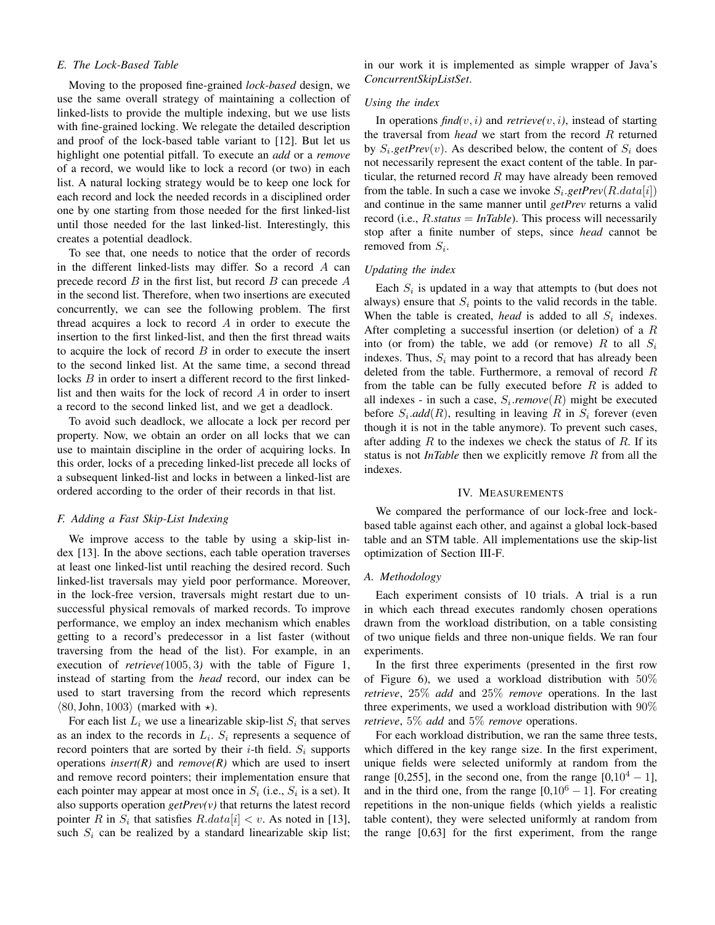# *E. The Lock-Based Table*

Moving to the proposed fine-grained *lock-based* design, we use the same overall strategy of maintaining a collection of linked-lists to provide the multiple indexing, but we use lists with fine-grained locking. We relegate the detailed description and proof of the lock-based table variant to [12]. But let us highlight one potential pitfall. To execute an *add* or a *remove* of a record, we would like to lock a record (or two) in each list. A natural locking strategy would be to keep one lock for each record and lock the needed records in a disciplined order one by one starting from those needed for the first linked-list until those needed for the last linked-list. Interestingly, this creates a potential deadlock.

To see that, one needs to notice that the order of records in the different linked-lists may differ. So a record A can precede record  $B$  in the first list, but record  $B$  can precede  $A$ in the second list. Therefore, when two insertions are executed concurrently, we can see the following problem. The first thread acquires a lock to record A in order to execute the insertion to the first linked-list, and then the first thread waits to acquire the lock of record  $B$  in order to execute the insert to the second linked list. At the same time, a second thread locks B in order to insert a different record to the first linkedlist and then waits for the lock of record A in order to insert a record to the second linked list, and we get a deadlock.

To avoid such deadlock, we allocate a lock per record per property. Now, we obtain an order on all locks that we can use to maintain discipline in the order of acquiring locks. In this order, locks of a preceding linked-list precede all locks of a subsequent linked-list and locks in between a linked-list are ordered according to the order of their records in that list.

# *F. Adding a Fast Skip-List Indexing*

We improve access to the table by using a skip-list index [13]. In the above sections, each table operation traverses at least one linked-list until reaching the desired record. Such linked-list traversals may yield poor performance. Moreover, in the lock-free version, traversals might restart due to unsuccessful physical removals of marked records. To improve performance, we employ an index mechanism which enables getting to a record's predecessor in a list faster (without traversing from the head of the list). For example, in an execution of *retrieve(*1005, 3*)* with the table of Figure 1, instead of starting from the *head* record, our index can be used to start traversing from the record which represents  $\langle 80, \text{John}, 1003 \rangle$  (marked with  $\star$ ).

For each list  $L_i$  we use a linearizable skip-list  $S_i$  that serves as an index to the records in  $L_i$ .  $S_i$  represents a sequence of record pointers that are sorted by their  $i$ -th field.  $S_i$  supports operations *insert(R)* and  $remove(R)$  which are used to insert and remove record pointers; their implementation ensure that each pointer may appear at most once in  $S_i$  (i.e.,  $S_i$  is a set). It also supports operation *getPrev(v)* that returns the latest record pointer R in  $S_i$  that satisfies  $R.data[i] < v$ . As noted in [13], such  $S_i$  can be realized by a standard linearizable skip list; in our work it is implemented as simple wrapper of Java's *ConcurrentSkipListSet*.

## *Using the index*

In operations  $\text{find}(v, i)$  and  $\text{retrieve}(v, i)$ , instead of starting the traversal from *head* we start from the record R returned by  $S_i.getPrev(v)$ . As described below, the content of  $S_i$  does not necessarily represent the exact content of the table. In particular, the returned record  $R$  may have already been removed from the table. In such a case we invoke  $S_i$  *getPrev* $(R.data[i])$ and continue in the same manner until *getPrev* returns a valid record (i.e., R.*status* = *InTable*). This process will necessarily stop after a finite number of steps, since *head* cannot be removed from  $S_i$ .

#### *Updating the index*

Each  $S_i$  is updated in a way that attempts to (but does not always) ensure that  $S_i$  points to the valid records in the table. When the table is created, *head* is added to all  $S_i$  indexes. After completing a successful insertion (or deletion) of a  $R$ into (or from) the table, we add (or remove) R to all  $S_i$ indexes. Thus,  $S_i$  may point to a record that has already been deleted from the table. Furthermore, a removal of record  $R$ from the table can be fully executed before  $R$  is added to all indexes - in such a case,  $S_i$ *remove*( $R$ ) might be executed before  $S_i$ *add* $(R)$ , resulting in leaving R in  $S_i$  forever (even though it is not in the table anymore). To prevent such cases, after adding  $R$  to the indexes we check the status of  $R$ . If its status is not *InTable* then we explicitly remove R from all the indexes.

#### IV. MEASUREMENTS

We compared the performance of our lock-free and lockbased table against each other, and against a global lock-based table and an STM table. All implementations use the skip-list optimization of Section III-F.

# *A. Methodology*

Each experiment consists of 10 trials. A trial is a run in which each thread executes randomly chosen operations drawn from the workload distribution, on a table consisting of two unique fields and three non-unique fields. We ran four experiments.

In the first three experiments (presented in the first row of Figure 6), we used a workload distribution with 50% *retrieve*, 25% *add* and 25% *remove* operations. In the last three experiments, we used a workload distribution with 90% *retrieve*, 5% *add* and 5% *remove* operations.

For each workload distribution, we ran the same three tests, which differed in the key range size. In the first experiment, unique fields were selected uniformly at random from the range [0,255], in the second one, from the range  $[0,10^4 - 1]$ , and in the third one, from the range  $[0,10^6 - 1]$ . For creating repetitions in the non-unique fields (which yields a realistic table content), they were selected uniformly at random from the range [0,63] for the first experiment, from the range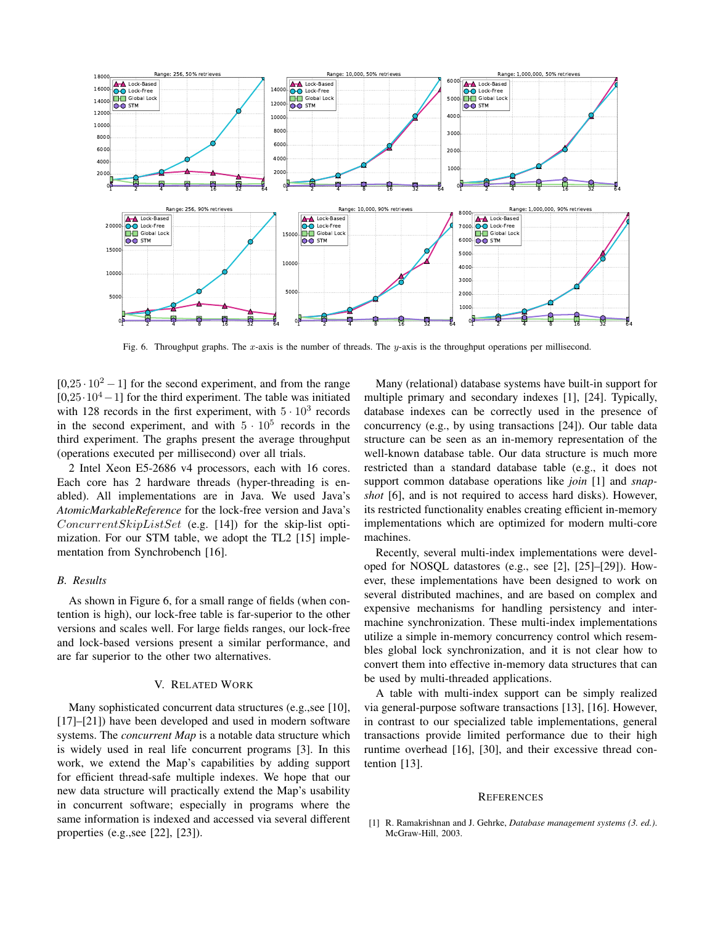

Fig. 6. Throughput graphs. The x-axis is the number of threads. The  $y$ -axis is the throughput operations per millisecond.

 $[0.25 \cdot 10^2 - 1]$  for the second experiment, and from the range  $[0,25 \cdot 10^4 - 1]$  for the third experiment. The table was initiated with 128 records in the first experiment, with  $5 \cdot 10^3$  records in the second experiment, and with  $5 \cdot 10^5$  records in the third experiment. The graphs present the average throughput (operations executed per millisecond) over all trials.

2 Intel Xeon E5-2686 v4 processors, each with 16 cores. Each core has 2 hardware threads (hyper-threading is enabled). All implementations are in Java. We used Java's *AtomicMarkableReference* for the lock-free version and Java's  $ConcurrentSkipListSet$  (e.g. [14]) for the skip-list optimization. For our STM table, we adopt the TL2 [15] implementation from Synchrobench [16].

#### *B. Results*

As shown in Figure 6, for a small range of fields (when contention is high), our lock-free table is far-superior to the other versions and scales well. For large fields ranges, our lock-free and lock-based versions present a similar performance, and are far superior to the other two alternatives.

#### V. RELATED WORK

Many sophisticated concurrent data structures (e.g.,see [10], [17]–[21]) have been developed and used in modern software systems. The *concurrent Map* is a notable data structure which is widely used in real life concurrent programs [3]. In this work, we extend the Map's capabilities by adding support for efficient thread-safe multiple indexes. We hope that our new data structure will practically extend the Map's usability in concurrent software; especially in programs where the same information is indexed and accessed via several different properties (e.g.,see [22], [23]).

Many (relational) database systems have built-in support for multiple primary and secondary indexes [1], [24]. Typically, database indexes can be correctly used in the presence of concurrency (e.g., by using transactions [24]). Our table data structure can be seen as an in-memory representation of the well-known database table. Our data structure is much more restricted than a standard database table (e.g., it does not support common database operations like *join* [1] and *snapshot* [6], and is not required to access hard disks). However, its restricted functionality enables creating efficient in-memory implementations which are optimized for modern multi-core machines.

Recently, several multi-index implementations were developed for NOSQL datastores (e.g., see [2], [25]–[29]). However, these implementations have been designed to work on several distributed machines, and are based on complex and expensive mechanisms for handling persistency and intermachine synchronization. These multi-index implementations utilize a simple in-memory concurrency control which resembles global lock synchronization, and it is not clear how to convert them into effective in-memory data structures that can be used by multi-threaded applications.

A table with multi-index support can be simply realized via general-purpose software transactions [13], [16]. However, in contrast to our specialized table implementations, general transactions provide limited performance due to their high runtime overhead [16], [30], and their excessive thread contention [13].

#### **REFERENCES**

[1] R. Ramakrishnan and J. Gehrke, *Database management systems (3. ed.)*. McGraw-Hill, 2003.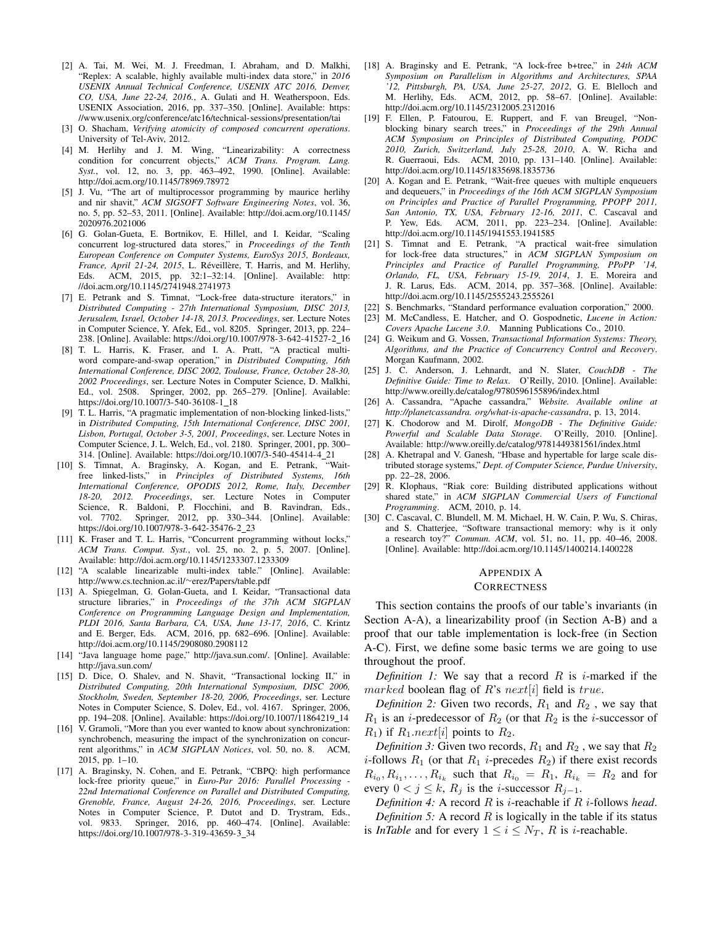- [2] A. Tai, M. Wei, M. J. Freedman, I. Abraham, and D. Malkhi, "Replex: A scalable, highly available multi-index data store," in *2016 USENIX Annual Technical Conference, USENIX ATC 2016, Denver, CO, USA, June 22-24, 2016.*, A. Gulati and H. Weatherspoon, Eds. USENIX Association, 2016, pp. 337–350. [Online]. Available: https: //www.usenix.org/conference/atc16/technical-sessions/presentation/tai
- [3] O. Shacham, *Verifying atomicity of composed concurrent operations*. University of Tel-Aviv, 2012.
- [4] M. Herlihy and J. M. Wing, "Linearizability: A correctness condition for concurrent objects," *ACM Trans. Program. Lang. Syst.*, vol. 12, no. 3, pp. 463–492, 1990. [Online]. Available: http://doi.acm.org/10.1145/78969.78972
- [5] J. Vu, "The art of multiprocessor programming by maurice herlihy and nir shavit," *ACM SIGSOFT Software Engineering Notes*, vol. 36, no. 5, pp. 52–53, 2011. [Online]. Available: http://doi.acm.org/10.1145/ 2020976.2021006
- [6] G. Golan-Gueta, E. Bortnikov, E. Hillel, and I. Keidar, "Scaling concurrent log-structured data stores," in *Proceedings of the Tenth European Conference on Computer Systems, EuroSys 2015, Bordeaux, France, April 21-24, 2015*, L. Réveillère, T. Harris, and M. Herlihy, Eds. ACM, 2015, pp. 32:1–32:14. [Online]. Available: http: //doi.acm.org/10.1145/2741948.2741973
- [7] E. Petrank and S. Timnat, "Lock-free data-structure iterators," in *Distributed Computing - 27th International Symposium, DISC 2013, Jerusalem, Israel, October 14-18, 2013. Proceedings*, ser. Lecture Notes in Computer Science, Y. Afek, Ed., vol. 8205. Springer, 2013, pp. 224– 238. [Online]. Available: https://doi.org/10.1007/978-3-642-41527-2 16
- [8] T. L. Harris, K. Fraser, and I. A. Pratt, "A practical multiword compare-and-swap operation," in *Distributed Computing, 16th International Conference, DISC 2002, Toulouse, France, October 28-30, 2002 Proceedings*, ser. Lecture Notes in Computer Science, D. Malkhi, Ed., vol. 2508. Springer, 2002, pp. 265–279. [Online]. Available: https://doi.org/10.1007/3-540-36108-1\_18
- [9] T. L. Harris, "A pragmatic implementation of non-blocking linked-lists," in *Distributed Computing, 15th International Conference, DISC 2001, Lisbon, Portugal, October 3-5, 2001, Proceedings*, ser. Lecture Notes in Computer Science, J. L. Welch, Ed., vol. 2180. Springer, 2001, pp. 300– 314. [Online]. Available: https://doi.org/10.1007/3-540-45414-4 21
- [10] S. Timnat, A. Braginsky, A. Kogan, and E. Petrank, "Waitfree linked-lists," in *Principles of Distributed Systems, 16th International Conference, OPODIS 2012, Rome, Italy, December 18-20, 2012. Proceedings*, ser. Lecture Notes in Computer Science, R. Baldoni, P. Flocchini, and B. Ravindran, Eds., vol. 7702. Springer, 2012, pp. 330–344. [Online]. Available: https://doi.org/10.1007/978-3-642-35476-2\_23
- [11] K. Fraser and T. L. Harris, "Concurrent programming without locks," *ACM Trans. Comput. Syst.*, vol. 25, no. 2, p. 5, 2007. [Online]. Available: http://doi.acm.org/10.1145/1233307.1233309
- [12] "A scalable linearizable multi-index table." [Online]. Available: http://www.cs.technion.ac.il/∼erez/Papers/table.pdf
- [13] A. Spiegelman, G. Golan-Gueta, and I. Keidar, "Transactional data structure libraries," in *Proceedings of the 37th ACM SIGPLAN Conference on Programming Language Design and Implementation, PLDI 2016, Santa Barbara, CA, USA, June 13-17, 2016*, C. Krintz and E. Berger, Eds. ACM, 2016, pp. 682–696. [Online]. Available: http://doi.acm.org/10.1145/2908080.2908112
- [14] "Java language home page," http://java.sun.com/. [Online]. Available: http://java.sun.com/
- [15] D. Dice, O. Shalev, and N. Shavit, "Transactional locking II," in *Distributed Computing, 20th International Symposium, DISC 2006, Stockholm, Sweden, September 18-20, 2006, Proceedings*, ser. Lecture Notes in Computer Science, S. Dolev, Ed., vol. 4167. Springer, 2006, pp. 194–208. [Online]. Available: https://doi.org/10.1007/11864219 14
- [16] V. Gramoli, "More than you ever wanted to know about synchronization: synchrobench, measuring the impact of the synchronization on concurrent algorithms," in *ACM SIGPLAN Notices*, vol. 50, no. 8. ACM, 2015, pp. 1–10.
- [17] A. Braginsky, N. Cohen, and E. Petrank, "CBPQ: high performance lock-free priority queue," in *Euro-Par 2016: Parallel Processing - 22nd International Conference on Parallel and Distributed Computing, Grenoble, France, August 24-26, 2016, Proceedings*, ser. Lecture Notes in Computer Science, P. Dutot and D. Trystram, Eds., vol. 9833. Springer, 2016, pp. 460–474. [Online]. Available: https://doi.org/10.1007/978-3-319-43659-3\_34
- [18] A. Braginsky and E. Petrank, "A lock-free b+tree," in *24th ACM Symposium on Parallelism in Algorithms and Architectures, SPAA '12, Pittsburgh, PA, USA, June 25-27, 2012*, G. E. Blelloch and M. Herlihy, Eds. ACM, 2012, pp. 58–67. [Online]. Available: http://doi.acm.org/10.1145/2312005.2312016
- [19] F. Ellen, P. Fatourou, E. Ruppert, and F. van Breugel, "Nonblocking binary search trees," in *Proceedings of the 29th Annual ACM Symposium on Principles of Distributed Computing, PODC 2010, Zurich, Switzerland, July 25-28, 2010*, A. W. Richa and R. Guerraoui, Eds. ACM, 2010, pp. 131–140. [Online]. Available: http://doi.acm.org/10.1145/1835698.1835736
- [20] A. Kogan and E. Petrank, "Wait-free queues with multiple enqueuers and dequeuers," in *Proceedings of the 16th ACM SIGPLAN Symposium on Principles and Practice of Parallel Programming, PPOPP 2011, San Antonio, TX, USA, February 12-16, 2011*, C. Cascaval and P. Yew, Eds. ACM, 2011, pp. 223–234. [Online]. Available: http://doi.acm.org/10.1145/1941553.1941585
- [21] S. Timnat and E. Petrank, "A practical wait-free simulation for lock-free data structures," in *ACM SIGPLAN Symposium on Principles and Practice of Parallel Programming, PPoPP '14, Orlando, FL, USA, February 15-19, 2014*, J. E. Moreira and J. R. Larus, Eds. ACM, 2014, pp. 357–368. [Online]. Available: http://doi.acm.org/10.1145/2555243.2555261
- [22] S. Benchmarks, "Standard performance evaluation corporation," 2000.
- [23] M. McCandless, E. Hatcher, and O. Gospodnetic, *Lucene in Action: Covers Apache Lucene 3.0*. Manning Publications Co., 2010.
- [24] G. Weikum and G. Vossen, *Transactional Information Systems: Theory, Algorithms, and the Practice of Concurrency Control and Recovery*. Morgan Kaufmann, 2002.
- [25] J. C. Anderson, J. Lehnardt, and N. Slater, *CouchDB The Definitive Guide: Time to Relax*. O'Reilly, 2010. [Online]. Available: http://www.oreilly.de/catalog/9780596155896/index.html
- [26] A. Cassandra, "Apache cassandra," *Website. Available online at http://planetcassandra. org/what-is-apache-cassandra*, p. 13, 2014.
- [27] K. Chodorow and M. Dirolf, *MongoDB The Definitive Guide: Powerful and Scalable Data Storage*. O'Reilly, 2010. [Online]. Available: http://www.oreilly.de/catalog/9781449381561/index.html
- [28] A. Khetrapal and V. Ganesh, "Hbase and hypertable for large scale distributed storage systems," *Dept. of Computer Science, Purdue University*, pp. 22–28, 2006.
- [29] R. Klophaus, "Riak core: Building distributed applications without shared state," in *ACM SIGPLAN Commercial Users of Functional Programming*. ACM, 2010, p. 14.
- [30] C. Cascaval, C. Blundell, M. M. Michael, H. W. Cain, P. Wu, S. Chiras, and S. Chatterjee, "Software transactional memory: why is it only a research toy?" *Commun. ACM*, vol. 51, no. 11, pp. 40–46, 2008. [Online]. Available: http://doi.acm.org/10.1145/1400214.1400228

#### APPENDIX A **CORRECTNESS**

This section contains the proofs of our table's invariants (in Section A-A), a linearizability proof (in Section A-B) and a proof that our table implementation is lock-free (in Section A-C). First, we define some basic terms we are going to use throughout the proof.

*Definition 1:* We say that a record  $R$  is *i*-marked if the marked boolean flag of R's next[i] field is true.

*Definition 2:* Given two records,  $R_1$  and  $R_2$ , we say that  $R_1$  is an *i*-predecessor of  $R_2$  (or that  $R_2$  is the *i*-successor of  $R_1$ ) if  $R_1.next[i]$  points to  $R_2$ .

*Definition 3:* Given two records,  $R_1$  and  $R_2$ , we say that  $R_2$ *i*-follows  $R_1$  (or that  $R_1$  *i*-precedes  $R_2$ ) if there exist records  $R_{i_0}, R_{i_1}, \ldots, R_{i_k}$  such that  $R_{i_0} = R_1, R_{i_k} = R_2$  and for every  $0 < j \leq k$ ,  $R_j$  is the *i*-successor  $R_{j-1}$ .

*Definition 4:* A record R is i-reachable if R i-follows *head*. *Definition 5:* A record  $R$  is logically in the table if its status is *InTable* and for every  $1 \leq i \leq N_T$ , R is *i*-reachable.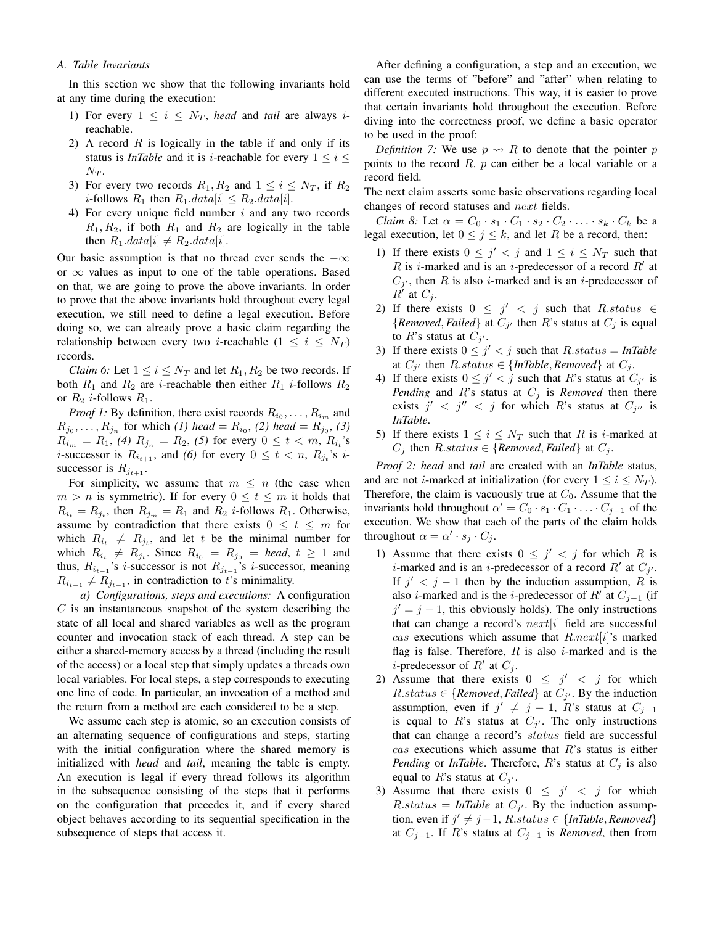# *A. Table Invariants*

In this section we show that the following invariants hold at any time during the execution:

- 1) For every  $1 \leq i \leq N_T$ , *head* and *tail* are always *i*reachable.
- 2) A record  $R$  is logically in the table if and only if its status is *InTable* and it is *i*-reachable for every  $1 \le i \le$  $N_T$ .
- 3) For every two records  $R_1, R_2$  and  $1 \le i \le N_T$ , if  $R_2$ *i*-follows  $R_1$  then  $R_1.data[i] \leq R_2.data[i]$ .
- 4) For every unique field number  $i$  and any two records  $R_1, R_2$ , if both  $R_1$  and  $R_2$  are logically in the table then  $R_1.data[i] \neq R_2.data[i]$ .

Our basic assumption is that no thread ever sends the  $-\infty$ or  $\infty$  values as input to one of the table operations. Based on that, we are going to prove the above invariants. In order to prove that the above invariants hold throughout every legal execution, we still need to define a legal execution. Before doing so, we can already prove a basic claim regarding the relationship between every two *i*-reachable  $(1 \le i \le N_T)$ records.

*Claim 6:* Let  $1 \le i \le N_T$  and let  $R_1, R_2$  be two records. If both  $R_1$  and  $R_2$  are *i*-reachable then either  $R_1$  *i*-follows  $R_2$ or  $R_2$  *i*-follows  $R_1$ .

*Proof 1:* By definition, there exist records  $R_{i_0}, \ldots, R_{i_m}$  and  $R_{j_0}, \ldots, R_{j_n}$  for which *(1) head* =  $R_{i_0}$ , *(2) head* =  $R_{j_0}$ , *(3)*  $R_{i_m} = R_1$ , *(4)*  $R_{j_n} = R_2$ , *(5)* for every  $0 \le t < m$ ,  $R_{i_t}$ 's *i*-successor is  $R_{i_{t+1}}$ , and *(6)* for every  $0 \le t < n$ ,  $R_{j_t}$ 's *i*successor is  $R_{j_{t+1}}$ .

For simplicity, we assume that  $m \leq n$  (the case when  $m > n$  is symmetric). If for every  $0 \le t \le m$  it holds that  $R_{i_t} = R_{j_t}$ , then  $R_{j_m} = R_1$  and  $R_2$  *i*-follows  $R_1$ . Otherwise, assume by contradiction that there exists  $0 \leq t \leq m$  for which  $R_{i_t} \neq R_{j_t}$ , and let t be the minimal number for which  $R_{i_t} \neq R_{j_t}$ . Since  $R_{i_0} = R_{j_0} = head, t \geq 1$  and thus,  $R_{i_{t-1}}$ 's *i*-successor is not  $R_{j_{t-1}}$ 's *i*-successor, meaning  $R_{i_{t-1}} \neq R_{j_{t-1}}$ , in contradiction to t's minimality.

*a) Configurations, steps and executions:* A configuration  $C$  is an instantaneous snapshot of the system describing the state of all local and shared variables as well as the program counter and invocation stack of each thread. A step can be either a shared-memory access by a thread (including the result of the access) or a local step that simply updates a threads own local variables. For local steps, a step corresponds to executing one line of code. In particular, an invocation of a method and the return from a method are each considered to be a step.

We assume each step is atomic, so an execution consists of an alternating sequence of configurations and steps, starting with the initial configuration where the shared memory is initialized with *head* and *tail*, meaning the table is empty. An execution is legal if every thread follows its algorithm in the subsequence consisting of the steps that it performs on the configuration that precedes it, and if every shared object behaves according to its sequential specification in the subsequence of steps that access it.

After defining a configuration, a step and an execution, we can use the terms of "before" and "after" when relating to different executed instructions. This way, it is easier to prove that certain invariants hold throughout the execution. Before diving into the correctness proof, we define a basic operator to be used in the proof:

*Definition 7:* We use  $p \rightarrow R$  to denote that the pointer p points to the record  $R$ .  $p$  can either be a local variable or a record field.

The next claim asserts some basic observations regarding local changes of record statuses and next fields.

*Claim 8:* Let  $\alpha = C_0 \cdot s_1 \cdot C_1 \cdot s_2 \cdot C_2 \cdot \ldots \cdot s_k \cdot C_k$  be a legal execution, let  $0 \le j \le k$ , and let R be a record, then:

- 1) If there exists  $0 \leq j' < j$  and  $1 \leq i \leq N_T$  such that R is *i*-marked and is an *i*-predecessor of a record  $R'$  at  $C_{j'}$ , then R is also *i*-marked and is an *i*-predecessor of  $R'$  at  $C_j$ .
- 2) If there exists  $0 \leq j' \leq j$  such that  $R$ . ${Removed, Failed}$  at  $C_{j'}$  then R's status at  $C_{j}$  is equal to R's status at  $C_{j'}$ .
- 3) If there exists  $0 \leq j' < j$  such that  $R$ .*status* = *InTable*at  $C_{j'}$  then  $R$ .status  $\in \{InTable, Remove{d}\}$  at  $C_j$ .
- 4) If there exists  $0 \leq j' < j$  such that R's status at  $C_{j'}$  is *Pending* and *R*'s status at  $C_j$  is *Removed* then there exists  $j' < j'' < j$  for which R's status at  $C_{j''}$  is *InTable*.
- 5) If there exists  $1 \leq i \leq N_T$  such that R is *i*-marked at  $C_j$  then  $R. status \in \{Removed, Failed\}$  at  $C_j$ .

*Proof 2: head* and *tail* are created with an *InTable* status, and are not *i*-marked at initialization (for every  $1 \le i \le N_T$ ). Therefore, the claim is vacuously true at  $C_0$ . Assume that the invariants hold throughout  $\alpha' = C_0 \cdot s_1 \cdot C_1 \cdot \ldots \cdot C_{j-1}$  of the execution. We show that each of the parts of the claim holds throughout  $\alpha = \alpha' \cdot s_j \cdot C_j$ .

- 1) Assume that there exists  $0 \leq j' \leq j$  for which R is *i*-marked and is an *i*-predecessor of a record  $R'$  at  $C_{j'}$ . If  $j' < j - 1$  then by the induction assumption, R is also *i*-marked and is the *i*-predecessor of R' at  $C_{j-1}$  (if  $j' = j - 1$ , this obviously holds). The only instructions that can change a record's  $next[i]$  field are successful cas executions which assume that  $R.next[i]$ 's marked flag is false. Therefore,  $R$  is also i-marked and is the *i*-predecessor of  $R'$  at  $C_j$ .
- 2) Assume that there exists  $0 \leq j' < j$  for which  $R$ .*status*  $\in$  {*Removed*, *failed*} at  $C_{j'}$ . By the inductionassumption, even if  $j' \neq j - 1$ , R's status at  $C_{j-1}$ is equal to R's status at  $C_{j'}$ . The only instructions that can change a record's status field are successful  $cas$  executions which assume that  $R$ 's status is either *Pending* or *InTable*. Therefore,  $R$ 's status at  $C_j$  is also equal to  $R$ 's status at  $C_{j'}$ .
- 3) Assume that there exists  $0 \leq j' \leq j$  for which  $R$ .*status* = *InTable* at  $C_{j'}$ . By the induction assumptiontion, even if  $j' \neq j-1$ ,  $R.state \in \{InTable, Removed\}$ at  $C_{j-1}$ . If R's status at  $C_{j-1}$  is *Removed*, then from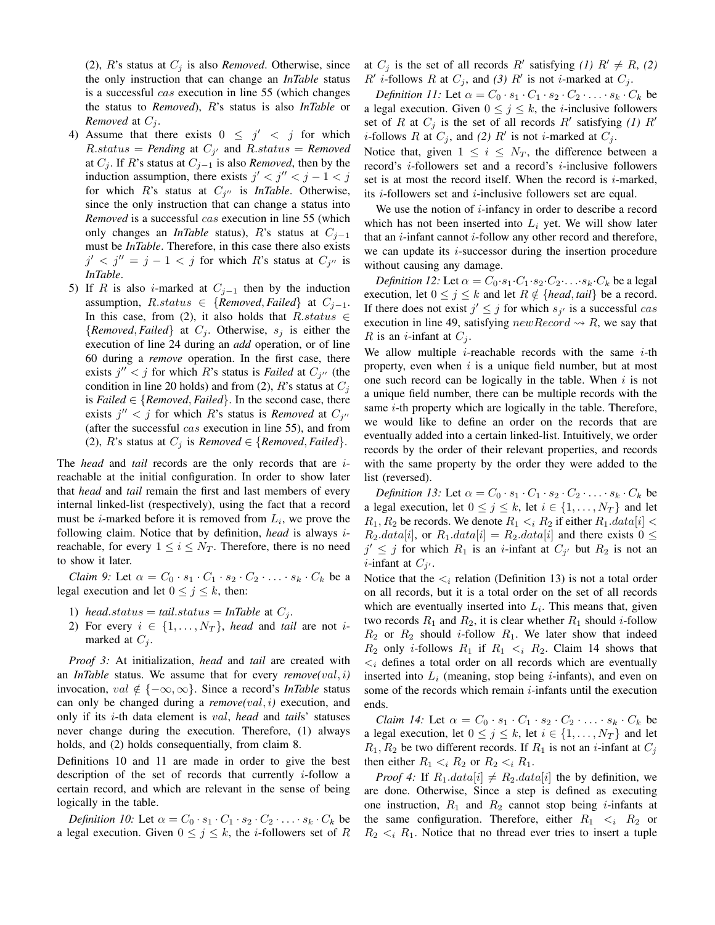(2),  $R$ 's status at  $C_j$  is also *Removed*. Otherwise, since the only instruction that can change an *InTable* status is a successful cas execution in line 55 (which changes the status to *Removed*), R's status is also *InTable* or *Removed* at  $C_i$ .

- 4) Assume that there exists  $0 \leq j' < j$  for which  $R$ .*status* = *Pending* at  $C_{j'}$  and  $R$ .*status* = *Removed*at  $C_i$ . If R's status at  $C_{i-1}$  is also *Removed*, then by the induction assumption, there exists  $j' < j'' < j - 1 < j$ for which  $R$ 's status at  $C_{j''}$  is *InTable*. Otherwise, since the only instruction that can change a status into *Removed* is a successful cas execution in line 55 (which only changes an *InTable* status), R's status at  $C_{i-1}$ must be *InTable*. Therefore, in this case there also exists  $j' < j'' = j - 1 < j$  for which R's status at  $C_{j''}$  is *InTable*.
- 5) If R is also i-marked at  $C_{j-1}$  then by the induction assumption,  $R. status \in \{Removed, Failed\}$  at  $C_{j-1}$ . In this case, from (2), it also holds that  $R. status \in$  ${Removed, Failed}$  at  $C_i$ . Otherwise,  $s_i$  is either the execution of line 24 during an *add* operation, or of line 60 during a *remove* operation. In the first case, there exists  $j'' < j$  for which R's status is *Failed* at  $C_{j''}$  (the condition in line 20 holds) and from (2), R's status at  $C_i$ is *Failed*  $\in$  {*Removed, Failed*}. In the second case, there exists  $j'' < j$  for which R's status is *Removed* at  $C_{j''}$ (after the successful  $cas$  execution in line 55), and from (2), *R*'s status at  $C_j$  is *Removed*  $\in$  {*Removed*, *Failed*}.

The *head* and *tail* records are the only records that are ireachable at the initial configuration. In order to show later that *head* and *tail* remain the first and last members of every internal linked-list (respectively), using the fact that a record must be *i*-marked before it is removed from  $L_i$ , we prove the following claim. Notice that by definition, *head* is always ireachable, for every  $1 \leq i \leq N_T$ . Therefore, there is no need to show it later.

*Claim 9:* Let  $\alpha = C_0 \cdot s_1 \cdot C_1 \cdot s_2 \cdot C_2 \cdot \ldots \cdot s_k \cdot C_k$  be a legal execution and let  $0 \le j \le k$ , then:

- 1) *head.status* = *tail.status* = *InTable* at  $C_i$ .
- 2) For every  $i \in \{1, \ldots, N_T\}$ , *head* and *tail* are not *i*marked at  $C_i$ .

*Proof 3:* At initialization, *head* and *tail* are created with an *InTable* status. We assume that for every *remove(*val, i*)* invocation, val  $\notin \{-\infty, \infty\}$ . Since a record's *InTable* status can only be changed during a *remove(*val, i*)* execution, and only if its i-th data element is val, *head* and *tail*s' statuses never change during the execution. Therefore, (1) always holds, and (2) holds consequentially, from claim 8.

Definitions 10 and 11 are made in order to give the best description of the set of records that currently  $i$ -follow a certain record, and which are relevant in the sense of being logically in the table.

*Definition 10:* Let  $\alpha = C_0 \cdot s_1 \cdot C_1 \cdot s_2 \cdot C_2 \cdot \ldots \cdot s_k \cdot C_k$  be a legal execution. Given  $0 \le j \le k$ , the *i*-followers set of R at  $C_j$  is the set of all records  $R'$  satisfying *(1)*  $R' \neq R$ , *(2)*  $R'$  *i*-follows R at  $C_j$ , and *(3)* R' is not *i*-marked at  $C_j$ .

*Definition 11:* Let  $\alpha = C_0 \cdot s_1 \cdot C_1 \cdot s_2 \cdot C_2 \cdot \ldots \cdot s_k \cdot C_k$  be a legal execution. Given  $0 \le j \le k$ , the *i*-inclusive followers set of R at  $C_j$  is the set of all records R' satisfying (1) R' *i*-follows R at  $C_j$ , and (2) R' is not *i*-marked at  $C_j$ .

Notice that, given  $1 \leq i \leq N_T$ , the difference between a record's i-followers set and a record's i-inclusive followers set is at most the record itself. When the record is  $i$ -marked, its *i*-followers set and *i*-inclusive followers set are equal.

We use the notion of  $i$ -infancy in order to describe a record which has not been inserted into  $L_i$  yet. We will show later that an  $i$ -infant cannot  $i$ -follow any other record and therefore, we can update its  $i$ -successor during the insertion procedure without causing any damage.

*Definition 12:* Let  $\alpha = C_0 \cdot s_1 \cdot C_1 \cdot s_2 \cdot C_2 \cdot \ldots \cdot s_k \cdot C_k$  be a legal execution, let  $0 \le j \le k$  and let  $R \notin \{head, tail\}$  be a record. If there does not exist  $j' \leq j$  for which  $s_{j'}$  is a successful cas execution in line 49, satisfying  $newRecord \rightsquigarrow R$ , we say that R is an *i*-infant at  $C_i$ .

We allow multiple  $i$ -reachable records with the same  $i$ -th property, even when  $i$  is a unique field number, but at most one such record can be logically in the table. When  $i$  is not a unique field number, there can be multiple records with the same  $i$ -th property which are logically in the table. Therefore, we would like to define an order on the records that are eventually added into a certain linked-list. Intuitively, we order records by the order of their relevant properties, and records with the same property by the order they were added to the list (reversed).

*Definition 13:* Let  $\alpha = C_0 \cdot s_1 \cdot C_1 \cdot s_2 \cdot C_2 \cdot \ldots \cdot s_k \cdot C_k$  be a legal execution, let  $0 \le j \le k$ , let  $i \in \{1, \ldots, N_T\}$  and let  $R_1, R_2$  be records. We denote  $R_1 \lt_i R_2$  if either  $R_1.data[i] \lt i$  $R_2.data[i]$ , or  $R_1.data[i] = R_2.data[i]$  and there exists  $0 \leq$  $j' \leq j$  for which  $R_1$  is an *i*-infant at  $C_{j'}$  but  $R_2$  is not an *i*-infant at  $C_{j'}$ .

Notice that the  $\leq_i$  relation (Definition 13) is not a total order on all records, but it is a total order on the set of all records which are eventually inserted into  $L<sub>i</sub>$ . This means that, given two records  $R_1$  and  $R_2$ , it is clear whether  $R_1$  should *i*-follow  $R_2$  or  $R_2$  should *i*-follow  $R_1$ . We later show that indeed  $R_2$  only *i*-follows  $R_1$  if  $R_1 < i$ ,  $R_2$ . Claim 14 shows that  $\langle \xi_i \rangle$  defines a total order on all records which are eventually inserted into  $L_i$  (meaning, stop being *i*-infants), and even on some of the records which remain  $i$ -infants until the execution ends.

*Claim 14:* Let  $\alpha = C_0 \cdot s_1 \cdot C_1 \cdot s_2 \cdot C_2 \cdot \ldots \cdot s_k \cdot C_k$  be a legal execution, let  $0 \le j \le k$ , let  $i \in \{1, ..., N_T\}$  and let  $R_1, R_2$  be two different records. If  $R_1$  is not an *i*-infant at  $C_j$ then either  $R_1 \lt_i R_2$  or  $R_2 \lt_i R_1$ .

*Proof 4:* If  $R_1.data[i] \neq R_2.data[i]$  the by definition, we are done. Otherwise, Since a step is defined as executing one instruction,  $R_1$  and  $R_2$  cannot stop being *i*-infants at the same configuration. Therefore, either  $R_1 \lt_i R_2$  or  $R_2 \lt_i R_1$ . Notice that no thread ever tries to insert a tuple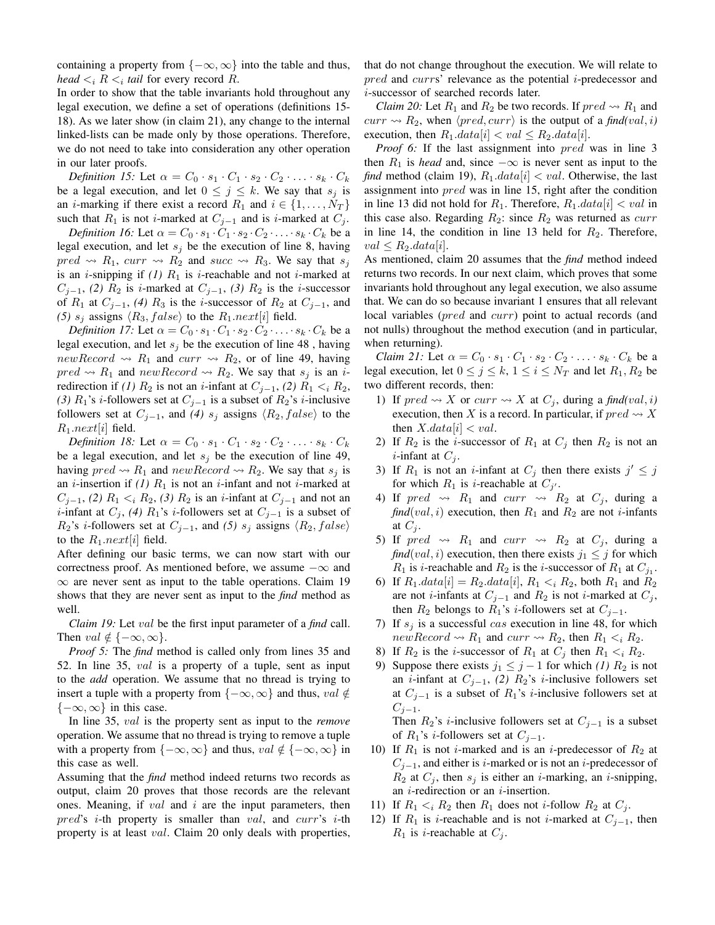containing a property from  $\{-\infty, \infty\}$  into the table and thus, *head*  $\lt_i$   $R \lt_i$  *tail* for every record  $R$ .

In order to show that the table invariants hold throughout any legal execution, we define a set of operations (definitions 15- 18). As we later show (in claim 21), any change to the internal linked-lists can be made only by those operations. Therefore, we do not need to take into consideration any other operation in our later proofs.

*Definition 15:* Let  $\alpha = C_0 \cdot s_1 \cdot C_1 \cdot s_2 \cdot C_2 \cdot \ldots \cdot s_k \cdot C_k$ be a legal execution, and let  $0 \le j \le k$ . We say that  $s_j$  is an *i*-marking if there exist a record  $R_1$  and  $i \in \{1, \ldots, N_T\}$ such that  $R_1$  is not *i*-marked at  $C_{j-1}$  and is *i*-marked at  $C_j$ .

*Definition 16:* Let  $\alpha = C_0 \cdot s_1 \cdot C_1 \cdot s_2 \cdot C_2 \cdot \ldots \cdot s_k \cdot C_k$  be a legal execution, and let  $s_j$  be the execution of line 8, having  $pred \rightarrow R_1$ ,  $curr \rightarrow R_2$  and  $succ \rightarrow R_3$ . We say that  $s_j$ is an *i*-snipping if  $(1)$   $R_1$  is *i*-reachable and not *i*-marked at  $C_{j-1}$ , *(2)*  $R_2$  is *i*-marked at  $C_{j-1}$ , *(3)*  $R_2$  is the *i*-successor of  $R_1$  at  $C_{j-1}$ , *(4)*  $R_3$  is the *i*-successor of  $R_2$  at  $C_{j-1}$ , and (5)  $s_i$  assigns  $\langle R_3, false \rangle$  to the  $R_1.next[i]$  field.

*Definition 17:* Let  $\alpha = C_0 \cdot s_1 \cdot C_1 \cdot s_2 \cdot C_2 \cdot \ldots \cdot s_k \cdot C_k$  be a legal execution, and let  $s_j$  be the execution of line 48, having newRecord  $\rightsquigarrow$  R<sub>1</sub> and curr  $\rightsquigarrow$  R<sub>2</sub>, or of line 49, having  $pred \rightarrow R_1$  and  $newRecord \rightarrow R_2$ . We say that  $s_j$  is an iredirection if *(1)*  $R_2$  is not an *i*-infant at  $C_{j-1}$ , *(2)*  $R_1 < i R_2$ , (3)  $R_1$ 's *i*-followers set at  $C_{j-1}$  is a subset of  $R_2$ 's *i*-inclusive followers set at  $C_{j-1}$ , and (4) s<sub>j</sub> assigns  $\langle R_2, false \rangle$  to the  $R_1.next[i]$  field.

*Definition 18:* Let  $\alpha = C_0 \cdot s_1 \cdot C_1 \cdot s_2 \cdot C_2 \cdot \ldots \cdot s_k \cdot C_k$ be a legal execution, and let  $s_j$  be the execution of line 49, having  $pred \rightarrow R_1$  and  $newRecord \rightarrow R_2$ . We say that  $s_i$  is an *i*-insertion if (1)  $R_1$  is not an *i*-infant and not *i*-marked at  $C_{j-1}$ , *(2)*  $R_1 < i$ ,  $R_2$ , *(3)*  $R_2$  is an *i*-infant at  $C_{j-1}$  and not an *i*-infant at  $C_j$ , *(4)*  $R_1$ 's *i*-followers set at  $C_{j-1}$  is a subset of  $R_2$ 's *i*-followers set at  $C_{j-1}$ , and (5)  $s_j$  assigns  $\langle R_2, false \rangle$ to the  $R_1.next[i]$  field.

After defining our basic terms, we can now start with our correctness proof. As mentioned before, we assume  $-\infty$  and  $\infty$  are never sent as input to the table operations. Claim 19 shows that they are never sent as input to the *find* method as well.

*Claim 19:* Let val be the first input parameter of a *find* call. Then  $val \notin \{-\infty, \infty\}.$ 

*Proof 5:* The *find* method is called only from lines 35 and 52. In line 35, val is a property of a tuple, sent as input to the *add* operation. We assume that no thread is trying to insert a tuple with a property from  $\{-\infty, \infty\}$  and thus, val  $\notin$  ${-\infty, \infty}$  in this case.

In line 35, val is the property sent as input to the *remove* operation. We assume that no thread is trying to remove a tuple with a property from  $\{-\infty, \infty\}$  and thus,  $val \notin \{-\infty, \infty\}$  in this case as well.

Assuming that the *find* method indeed returns two records as output, claim 20 proves that those records are the relevant ones. Meaning, if  $val$  and  $i$  are the input parameters, then  $pred's$  *i*-th property is smaller than *val*, and *curr's i*-th property is at least *val*. Claim 20 only deals with properties, that do not change throughout the execution. We will relate to pred and currs' relevance as the potential i-predecessor and i-successor of searched records later.

*Claim 20:* Let  $R_1$  and  $R_2$  be two records. If  $pred \rightarrow R_1$  and  $curr \rightsquigarrow R_2$ , when  $\langle pred, curr \rangle$  is the output of a *find*(*val*, *i*) execution, then  $R_1.data[i] < val \leq R_2.data[i]$ .

*Proof 6:* If the last assignment into *pred* was in line 3 then  $R_1$  is *head* and, since  $-\infty$  is never sent as input to the *find* method (claim 19),  $R_1.data[i] < val$ . Otherwise, the last assignment into *pred* was in line 15, right after the condition in line 13 did not hold for  $R_1$ . Therefore,  $R_1.data[i] < val$  in this case also. Regarding  $R_2$ : since  $R_2$  was returned as *curr* in line 14, the condition in line 13 held for  $R_2$ . Therefore,  $val < R_2.data[i].$ 

As mentioned, claim 20 assumes that the *find* method indeed returns two records. In our next claim, which proves that some invariants hold throughout any legal execution, we also assume that. We can do so because invariant 1 ensures that all relevant local variables (pred and curr) point to actual records (and not nulls) throughout the method execution (and in particular, when returning).

*Claim 21:* Let  $\alpha = C_0 \cdot s_1 \cdot C_1 \cdot s_2 \cdot C_2 \cdot \ldots \cdot s_k \cdot C_k$  be a legal execution, let  $0 \le j \le k$ ,  $1 \le i \le N_T$  and let  $R_1, R_2$  be two different records, then:

- 1) If  $pred \rightsquigarrow X$  or  $curr \rightsquigarrow X$  at  $C_j$ , during a *find*(*val*, *i*) execution, then X is a record. In particular, if  $pred \rightsquigarrow X$ then  $X.data[i] < val$ .
- 2) If  $R_2$  is the *i*-successor of  $R_1$  at  $C_j$  then  $R_2$  is not an *i*-infant at  $C_i$ .
- 3) If  $R_1$  is not an *i*-infant at  $C_j$  then there exists  $j' \leq j$ for which  $R_1$  is *i*-reachable at  $C_{j'}$ .
- 4) If  $pred \rightarrow R_1$  and  $curr \rightarrow R_2$  at  $C_j$ , during a  $find(val, i)$  execution, then  $R_1$  and  $R_2$  are not *i*-infants at  $C_i$ .
- 5) If  $pred \rightarrow R_1$  and  $curr \rightarrow R_2$  at  $C_j$ , during a *find*(*val*, *i*) execution, then there exists  $j_1 \leq j$  for which  $R_1$  is *i*-reachable and  $R_2$  is the *i*-successor of  $R_1$  at  $C_{j_1}$ .
- 6) If  $R_1.data[i] = R_2.data[i], R_1 \lt_i R_2$ , both  $R_1$  and  $R_2$ are not *i*-infants at  $C_{j-1}$  and  $R_2$  is not *i*-marked at  $C_j$ , then  $R_2$  belongs to  $R_1$ 's *i*-followers set at  $C_{j-1}$ .
- 7) If  $s_i$  is a successful cas execution in line 48, for which  $newRecord \rightsquigarrow R_1$  and  $curr \rightsquigarrow R_2$ , then  $R_1 \lt_i R_2$ .
- 8) If  $R_2$  is the *i*-successor of  $R_1$  at  $C_j$  then  $R_1 < iR_2$ .
- 9) Suppose there exists  $j_1 \leq j 1$  for which (1)  $R_2$  is not an *i*-infant at  $C_{j-1}$ , *(2)*  $R_2$ 's *i*-inclusive followers set at  $C_{j-1}$  is a subset of  $R_1$ 's *i*-inclusive followers set at  $C_{i-1}$ .

Then  $R_2$ 's *i*-inclusive followers set at  $C_{j-1}$  is a subset of  $R_1$ 's *i*-followers set at  $C_{i-1}$ .

- 10) If  $R_1$  is not *i*-marked and is an *i*-predecessor of  $R_2$  at  $C_{j-1}$ , and either is i-marked or is not an i-predecessor of  $R_2$  at  $C_i$ , then  $s_i$  is either an *i*-marking, an *i*-snipping, an  $i$ -redirection or an  $i$ -insertion.
- 11) If  $R_1 \leq_i R_2$  then  $R_1$  does not *i*-follow  $R_2$  at  $C_j$ .
- 12) If  $R_1$  is *i*-reachable and is not *i*-marked at  $C_{i-1}$ , then  $R_1$  is *i*-reachable at  $C_i$ .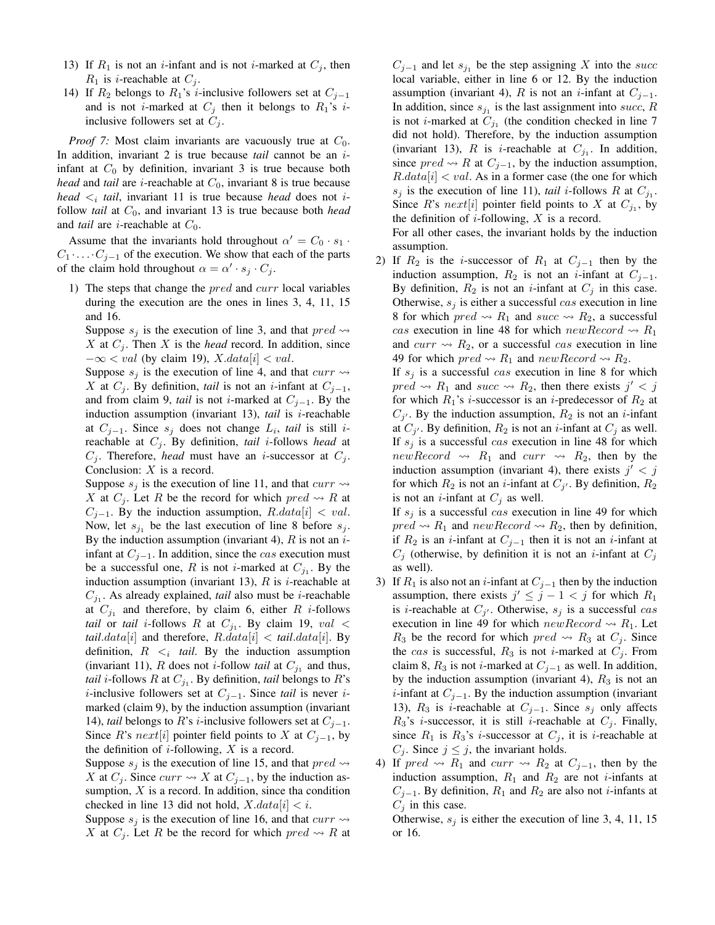- 13) If  $R_1$  is not an *i*-infant and is not *i*-marked at  $C_j$ , then  $R_1$  is *i*-reachable at  $C_i$ .
- 14) If  $R_2$  belongs to  $R_1$ 's *i*-inclusive followers set at  $C_{i-1}$ and is not *i*-marked at  $C_i$  then it belongs to  $R_1$ 's *i*inclusive followers set at  $C_i$ .

*Proof 7:* Most claim invariants are vacuously true at  $C_0$ . In addition, invariant 2 is true because *tail* cannot be an iinfant at  $C_0$  by definition, invariant 3 is true because both *head* and *tail* are *i*-reachable at  $C_0$ , invariant 8 is true because *head*  $\lt_i$  *tail*, invariant 11 is true because *head* does not *i*follow *tail* at  $C_0$ , and invariant 13 is true because both *head* and *tail* are *i*-reachable at  $C_0$ .

Assume that the invariants hold throughout  $\alpha' = C_0 \cdot s_1$ .  $C_1 \cdot \ldots \cdot C_{i-1}$  of the execution. We show that each of the parts of the claim hold throughout  $\alpha = \alpha' \cdot s_j \cdot C_j$ .

1) The steps that change the  $pred$  and  $curr$  local variables during the execution are the ones in lines 3, 4, 11, 15 and 16.

Suppose  $s_i$  is the execution of line 3, and that  $pred \rightarrow$ X at  $C_i$ . Then X is the *head* record. In addition, since  $-\infty$  < val (by claim 19), X.data[i] < val.

Suppose  $s_i$  is the execution of line 4, and that  $curr \rightarrow$ X at  $C_j$ . By definition, *tail* is not an *i*-infant at  $C_{j-1}$ , and from claim 9, *tail* is not *i*-marked at  $C_{j-1}$ . By the induction assumption (invariant 13), *tail* is *i*-reachable at  $C_{j-1}$ . Since  $s_j$  does not change  $L_i$ , *tail* is still *i*reachable at  $C_j$ . By definition, *tail i*-follows *head* at  $C_j$ . Therefore, *head* must have an *i*-successor at  $C_j$ . Conclusion: X is a record.

Suppose  $s_i$  is the execution of line 11, and that  $curr \rightarrow$ X at  $C_i$ . Let R be the record for which  $pred \rightsquigarrow R$  at  $C_{j-1}$ . By the induction assumption,  $R.data[i] < val$ . Now, let  $s_{j_1}$  be the last execution of line 8 before  $s_j$ . By the induction assumption (invariant 4),  $R$  is not an  $i$ infant at  $C_{i-1}$ . In addition, since the *cas* execution must be a successful one, R is not *i*-marked at  $C_{j_1}$ . By the induction assumption (invariant 13),  $R$  is *i*-reachable at  $C_{j_1}$ . As already explained, *tail* also must be *i*-reachable at  $C_{j_1}$  and therefore, by claim 6, either R *i*-follows *tail* or *tail i*-follows R at  $C_{j_1}$ . By claim 19, val < *tail.data*[*i*] and therefore,  $R.data[i] < tail.data[i]$ . By definition,  $R \lt_i$  tail. By the induction assumption (invariant 11), R does not *i*-follow *tail* at  $C_{j_1}$  and thus, *tail i*-follows  $R$  at  $C_{j_1}$ . By definition, *tail* belongs to  $R$ 's *i*-inclusive followers set at  $C_{j-1}$ . Since *tail* is never *i*marked (claim 9), by the induction assumption (invariant 14), *tail* belongs to R's *i*-inclusive followers set at  $C_{i-1}$ . Since R's next[i] pointer field points to X at  $C_{j-1}$ , by the definition of  $i$ -following,  $X$  is a record.

Suppose  $s_i$  is the execution of line 15, and that  $pred \rightarrow$ X at  $C_i$ . Since  $curr \rightsquigarrow X$  at  $C_{i-1}$ , by the induction assumption,  $X$  is a record. In addition, since tha condition checked in line 13 did not hold,  $X.data[i] < i$ .

Suppose  $s_i$  is the execution of line 16, and that  $curr \rightarrow$ X at  $C_i$ . Let R be the record for which  $pred \rightsquigarrow R$  at

 $C_{j-1}$  and let  $s_{j_1}$  be the step assigning X into the succ local variable, either in line 6 or 12. By the induction assumption (invariant 4), R is not an *i*-infant at  $C_{j-1}$ . In addition, since  $s_{j_1}$  is the last assignment into succ, R is not *i*-marked at  $C_{j_1}$  (the condition checked in line 7 did not hold). Therefore, by the induction assumption (invariant 13), R is *i*-reachable at  $C_{j_1}$ . In addition, since  $pred \rightsquigarrow R$  at  $C_{j-1}$ , by the induction assumption,  $R.data[i] < val$ . As in a former case (the one for which  $s_j$  is the execution of line 11), *tail i*-follows R at  $C_{j_1}$ . Since R's next<sup>[i]</sup> pointer field points to X at  $C_{j_1}$ , by the definition of  $i$ -following,  $X$  is a record.

For all other cases, the invariant holds by the induction assumption.

2) If  $R_2$  is the *i*-successor of  $R_1$  at  $C_{j-1}$  then by the induction assumption,  $R_2$  is not an *i*-infant at  $C_{j-1}$ . By definition,  $R_2$  is not an *i*-infant at  $C_j$  in this case. Otherwise,  $s_i$  is either a successful cas execution in line 8 for which  $pred \rightarrow R_1$  and  $succ \rightarrow R_2$ , a successful cas execution in line 48 for which new Record  $\rightsquigarrow R_1$ and curr  $\rightsquigarrow R_2$ , or a successful cas execution in line 49 for which  $pred \rightsquigarrow R_1$  and  $newRecord \rightsquigarrow R_2$ .

If  $s_i$  is a successful cas execution in line 8 for which  $pred \rightsquigarrow R_1$  and  $succ \rightsquigarrow R_2$ , then there exists  $j' < j$ for which  $R_1$ 's *i*-successor is an *i*-predecessor of  $R_2$  at  $C_{j'}$ . By the induction assumption,  $R_2$  is not an *i*-infant at  $C_{j'}$ . By definition,  $R_2$  is not an *i*-infant at  $C_j$  as well. If  $s_j$  is a successful cas execution in line 48 for which newRecord  $\rightsquigarrow$   $R_1$  and curr  $\rightsquigarrow$   $R_2$ , then by the induction assumption (invariant 4), there exists  $j' < j$ for which  $R_2$  is not an *i*-infant at  $C_{j'}$ . By definition,  $R_2$ is not an *i*-infant at  $C_j$  as well.

If  $s_j$  is a successful cas execution in line 49 for which  $pred \rightsquigarrow R_1$  and  $newRecord \rightsquigarrow R_2$ , then by definition, if  $R_2$  is an *i*-infant at  $C_{i-1}$  then it is not an *i*-infant at  $C_i$  (otherwise, by definition it is not an *i*-infant at  $C_i$ as well).

- 3) If  $R_1$  is also not an *i*-infant at  $C_{i-1}$  then by the induction assumption, there exists  $j' \leq j - 1 < j$  for which  $R_1$ is *i*-reachable at  $C_{j'}$ . Otherwise,  $s_j$  is a successful cas execution in line 49 for which  $newRecord \rightsquigarrow R_1$ . Let  $R_3$  be the record for which  $pred \rightsquigarrow R_3$  at  $C_j$ . Since the cas is successful,  $R_3$  is not *i*-marked at  $C_j$ . From claim 8,  $R_3$  is not *i*-marked at  $C_{j-1}$  as well. In addition, by the induction assumption (invariant 4),  $R_3$  is not an *i*-infant at  $C_{j-1}$ . By the induction assumption (invariant 13),  $R_3$  is *i*-reachable at  $C_{j-1}$ . Since  $s_j$  only affects  $R_3$ 's *i*-successor, it is still *i*-reachable at  $C_j$ . Finally, since  $R_1$  is  $R_3$ 's *i*-successor at  $C_j$ , it is *i*-reachable at  $C_j$ . Since  $j \leq j$ , the invariant holds.
- 4) If pred  $\rightsquigarrow$  R<sub>1</sub> and curr  $\rightsquigarrow$  R<sub>2</sub> at C<sub>j−1</sub>, then by the induction assumption,  $R_1$  and  $R_2$  are not *i*-infants at  $C_{i-1}$ . By definition,  $R_1$  and  $R_2$  are also not *i*-infants at  $C_i$  in this case.

Otherwise,  $s_i$  is either the execution of line 3, 4, 11, 15 or 16.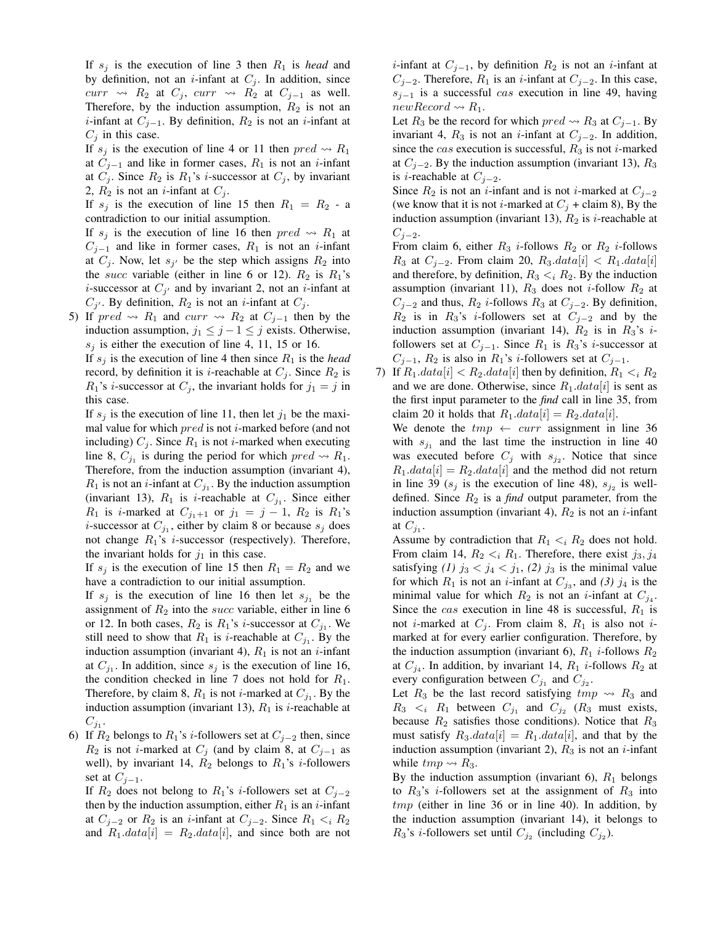If  $s_i$  is the execution of line 3 then  $R_1$  is *head* and by definition, not an *i*-infant at  $C_j$ . In addition, since curr  $\rightsquigarrow$   $R_2$  at  $C_j$ , curr  $\rightsquigarrow$   $R_2$  at  $C_{j-1}$  as well. Therefore, by the induction assumption,  $R_2$  is not an *i*-infant at  $C_{j-1}$ . By definition,  $R_2$  is not an *i*-infant at  $C_j$  in this case.

If  $s_j$  is the execution of line 4 or 11 then  $pred \rightsquigarrow R_1$ at  $C_{j-1}$  and like in former cases,  $R_1$  is not an *i*-infant at  $C_j$ . Since  $R_2$  is  $R_1$ 's *i*-successor at  $C_j$ , by invariant 2,  $R_2$  is not an *i*-infant at  $C_j$ .

If  $s_i$  is the execution of line 15 then  $R_1 = R_2$  - a contradiction to our initial assumption.

If  $s_i$  is the execution of line 16 then  $pred \rightarrow R_1$  at  $C_{j-1}$  and like in former cases,  $R_1$  is not an *i*-infant at  $C_j$ . Now, let  $s_{j'}$  be the step which assigns  $R_2$  into the *succ* variable (either in line 6 or 12).  $R_2$  is  $R_1$ 's *i*-successor at  $C_{j'}$  and by invariant 2, not an *i*-infant at  $C_{j'}$ . By definition,  $R_2$  is not an *i*-infant at  $C_j$ .

5) If pred  $\rightsquigarrow$  R<sub>1</sub> and curr  $\rightsquigarrow$  R<sub>2</sub> at C<sub>j−1</sub> then by the induction assumption,  $j_1 \leq j - 1 \leq j$  exists. Otherwise,  $s_i$  is either the execution of line 4, 11, 15 or 16.

If  $s_i$  is the execution of line 4 then since  $R_1$  is the *head* record, by definition it is *i*-reachable at  $C_j$ . Since  $R_2$  is  $R_1$ 's *i*-successor at  $C_j$ , the invariant holds for  $j_1 = j$  in this case.

If  $s_i$  is the execution of line 11, then let  $j_1$  be the maximal value for which  $pred$  is not *i*-marked before (and not including)  $C_j$ . Since  $R_1$  is not *i*-marked when executing line 8,  $C_{j_1}$  is during the period for which  $pred \rightsquigarrow R_1$ . Therefore, from the induction assumption (invariant 4),  $R_1$  is not an *i*-infant at  $C_{j_1}$ . By the induction assumption (invariant 13),  $R_1$  is *i*-reachable at  $C_{j_1}$ . Since either  $R_1$  is *i*-marked at  $C_{j_1+1}$  or  $j_1 = j - 1$ ,  $R_2$  is  $R_1$ 's *i*-successor at  $C_{j_1}$ , either by claim 8 or because  $s_j$  does not change  $R_1$ 's *i*-successor (respectively). Therefore, the invariant holds for  $j_1$  in this case.

If  $s_i$  is the execution of line 15 then  $R_1 = R_2$  and we have a contradiction to our initial assumption.

If  $s_j$  is the execution of line 16 then let  $s_{j_1}$  be the assignment of  $R_2$  into the *succ* variable, either in line 6 or 12. In both cases,  $R_2$  is  $R_1$ 's *i*-successor at  $C_{j_1}$ . We still need to show that  $R_1$  is *i*-reachable at  $C_{j_1}$ . By the induction assumption (invariant 4),  $R_1$  is not an *i*-infant at  $C_{j_1}$ . In addition, since  $s_j$  is the execution of line 16, the condition checked in line 7 does not hold for  $R_1$ . Therefore, by claim 8,  $R_1$  is not *i*-marked at  $C_{j_1}$ . By the induction assumption (invariant 13),  $R_1$  is *i*-reachable at  $C_{j_1}.$ 

6) If  $R_2$  belongs to  $R_1$ 's *i*-followers set at  $C_{i-2}$  then, since  $R_2$  is not *i*-marked at  $C_j$  (and by claim 8, at  $C_{j-1}$  as well), by invariant 14,  $R_2$  belongs to  $R_1$ 's *i*-followers set at  $C_{j-1}$ .

If  $R_2$  does not belong to  $R_1$ 's *i*-followers set at  $C_{i-2}$ then by the induction assumption, either  $R_1$  is an *i*-infant at  $C_{i-2}$  or  $R_2$  is an *i*-infant at  $C_{i-2}$ . Since  $R_1 \lt_i R_2$ and  $R_1.data[i] = R_2.data[i]$ , and since both are not

*i*-infant at  $C_{j-1}$ , by definition  $R_2$  is not an *i*-infant at  $C_{i-2}$ . Therefore,  $R_1$  is an i-infant at  $C_{i-2}$ . In this case,  $s_{i-1}$  is a successful *cas* execution in line 49, having newRecord  $\rightsquigarrow R_1$ .

Let  $R_3$  be the record for which  $pred \rightsquigarrow R_3$  at  $C_{j-1}$ . By invariant 4,  $R_3$  is not an *i*-infant at  $C_{j-2}$ . In addition, since the *cas* execution is successful,  $R_3$  is not *i*-marked at  $C_{i-2}$ . By the induction assumption (invariant 13),  $R_3$ is *i*-reachable at  $C_{j-2}$ .

Since  $R_2$  is not an *i*-infant and is not *i*-marked at  $C_{j-2}$ (we know that it is not *i*-marked at  $C_j$  + claim 8), By the induction assumption (invariant 13),  $R_2$  is *i*-reachable at  $C_{i-2}$ .

From claim 6, either  $R_3$  *i*-follows  $R_2$  or  $R_2$  *i*-follows  $R_3$  at  $C_{j-2}$ . From claim 20,  $R_3.data[i] < R_1.data[i]$ and therefore, by definition,  $R_3 \lt_i R_2$ . By the induction assumption (invariant 11),  $R_3$  does not *i*-follow  $R_2$  at  $C_{j-2}$  and thus,  $R_2$  *i*-follows  $R_3$  at  $C_{j-2}$ . By definition,  $R_2$  is in  $R_3$ 's *i*-followers set at  $C_{j-2}$  and by the induction assumption (invariant 14),  $R_2$  is in  $R_3$ 's *i*followers set at  $C_{i-1}$ . Since  $R_1$  is  $R_3$ 's *i*-successor at  $C_{j-1}$ ,  $R_2$  is also in  $R_1$ 's *i*-followers set at  $C_{j-1}$ .

7) If  $R_1.data[i] < R_2.data[i]$  then by definition,  $R_1 <_i R_2$ and we are done. Otherwise, since  $R_1.data[i]$  is sent as the first input parameter to the *find* call in line 35, from claim 20 it holds that  $R_1.data[i] = R_2.data[i]$ .

We denote the  $tmp \leftarrow curr$  assignment in line 36 with  $s_{j_1}$  and the last time the instruction in line 40 was executed before  $C_j$  with  $s_{j_2}$ . Notice that since  $R_1.data[i] = R_2.data[i]$  and the method did not return in line 39 ( $s_j$  is the execution of line 48),  $s_{j_2}$  is welldefined. Since  $R_2$  is a *find* output parameter, from the induction assumption (invariant 4),  $R_2$  is not an *i*-infant at  $C_{j_1}$ .

Assume by contradiction that  $R_1 \lt_i R_2$  does not hold. From claim 14,  $R_2 < i R_1$ . Therefore, there exist  $j_3, j_4$ satisfying (1)  $j_3 < j_4 < j_1$ , (2)  $j_3$  is the minimal value for which  $R_1$  is not an *i*-infant at  $C_{j_3}$ , and (3)  $j_4$  is the minimal value for which  $R_2$  is not an *i*-infant at  $C_{j_4}$ . Since the *cas* execution in line 48 is successful,  $R_1$  is not *i*-marked at  $C_i$ . From claim 8,  $R_1$  is also not *i*marked at for every earlier configuration. Therefore, by the induction assumption (invariant 6),  $R_1$  *i*-follows  $R_2$ at  $C_{j_4}$ . In addition, by invariant 14,  $R_1$  *i*-follows  $R_2$  at every configuration between  $C_{j_1}$  and  $C_{j_2}$ .

Let  $R_3$  be the last record satisfying  $tmp \rightsquigarrow R_3$  and  $R_3 \lt_i R_1$  between  $C_{j_1}$  and  $C_{j_2}$  ( $R_3$  must exists, because  $R_2$  satisfies those conditions). Notice that  $R_3$ must satisfy  $R_3.data[i] = R_1.data[i]$ , and that by the induction assumption (invariant 2),  $R_3$  is not an *i*-infant while  $tmp \rightsquigarrow R_3$ .

By the induction assumption (invariant 6),  $R_1$  belongs to  $R_3$ 's *i*-followers set at the assignment of  $R_3$  into  $tmp$  (either in line 36 or in line 40). In addition, by the induction assumption (invariant 14), it belongs to  $R_3$ 's *i*-followers set until  $C_{j_2}$  (including  $C_{j_2}$ ).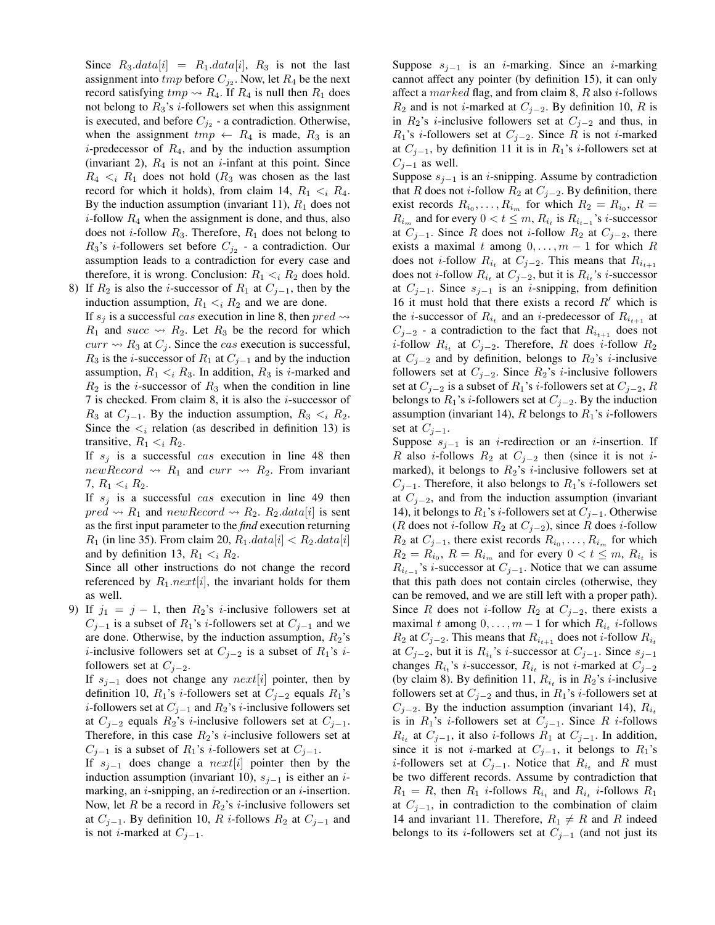Since  $R_3.data[i] = R_1.data[i], R_3$  is not the last assignment into  $tmp$  before  $C_{j_2}$ . Now, let  $R_4$  be the next record satisfying  $tmp \rightsquigarrow R_4$ . If  $R_4$  is null then  $R_1$  does not belong to  $R_3$ 's *i*-followers set when this assignment is executed, and before  $C_{j_2}$  - a contradiction. Otherwise, when the assignment  $tmp \leftarrow R_4$  is made,  $R_3$  is an *i*-predecessor of  $R_4$ , and by the induction assumption (invariant 2),  $R_4$  is not an *i*-infant at this point. Since  $R_4 \lt_i R_1$  does not hold  $(R_3$  was chosen as the last record for which it holds), from claim 14,  $R_1 \lt_i R_4$ . By the induction assumption (invariant 11),  $R_1$  does not *i*-follow  $R_4$  when the assignment is done, and thus, also does not *i*-follow  $R_3$ . Therefore,  $R_1$  does not belong to  $R_3$ 's *i*-followers set before  $C_{j_2}$  - a contradiction. Our assumption leads to a contradiction for every case and therefore, it is wrong. Conclusion:  $R_1 \lt_i R_2$  does hold.

8) If  $R_2$  is also the *i*-successor of  $R_1$  at  $C_{j-1}$ , then by the induction assumption,  $R_1 \lt_i R_2$  and we are done.

If  $s_i$  is a successful cas execution in line 8, then  $pred \rightarrow$  $R_1$  and succ  $\rightsquigarrow R_2$ . Let  $R_3$  be the record for which  $curr \rightsquigarrow R_3$  at  $C_i$ . Since the *cas* execution is successful,  $R_3$  is the *i*-successor of  $R_1$  at  $C_{j-1}$  and by the induction assumption,  $R_1 \lt_i R_3$ . In addition,  $R_3$  is *i*-marked and  $R_2$  is the *i*-successor of  $R_3$  when the condition in line 7 is checked. From claim 8, it is also the  $i$ -successor of  $R_3$  at  $C_{j-1}$ . By the induction assumption,  $R_3 < i R_2$ . Since the  $\lt_i$  relation (as described in definition 13) is transitive,  $R_1 \lt_i R_2$ .

If  $s_j$  is a successful cas execution in line 48 then  $newRecord \rightarrow R_1$  and  $curr \rightarrow R_2$ . From invariant 7,  $R_1 \lt_i R_2$ .

If  $s_i$  is a successful cas execution in line 49 then  $pred \rightsquigarrow R_1$  and  $newRecord \rightsquigarrow R_2$ .  $R_2.data[i]$  is sent as the first input parameter to the *find* execution returning  $R_1$  (in line 35). From claim 20,  $R_1.data[i] < R_2.data[i]$ and by definition 13,  $R_1 \lt_i R_2$ .

Since all other instructions do not change the record referenced by  $R_1.next[i]$ , the invariant holds for them as well.

9) If  $j_1 = j - 1$ , then  $R_2$ 's *i*-inclusive followers set at  $C_{i-1}$  is a subset of  $R_1$ 's *i*-followers set at  $C_{i-1}$  and we are done. Otherwise, by the induction assumption,  $R_2$ 's *i*-inclusive followers set at  $C_{j-2}$  is a subset of  $R_1$ 's *i*followers set at  $C_{j-2}$ .

If  $s_{j-1}$  does not change any  $next[i]$  pointer, then by definition 10,  $R_1$ 's *i*-followers set at  $C_{j-2}$  equals  $R_1$ 's *i*-followers set at  $C_{j-1}$  and  $R_2$ 's *i*-inclusive followers set at  $C_{j-2}$  equals  $R_2$ 's *i*-inclusive followers set at  $C_{j-1}$ . Therefore, in this case  $R_2$ 's *i*-inclusive followers set at  $C_{j-1}$  is a subset of  $R_1$ 's *i*-followers set at  $C_{j-1}$ .

If  $s_{i-1}$  does change a next[i] pointer then by the induction assumption (invariant 10),  $s_{i-1}$  is either an *i*marking, an  $i$ -snipping, an  $i$ -redirection or an  $i$ -insertion. Now, let R be a record in  $R_2$ 's *i*-inclusive followers set at  $C_{i-1}$ . By definition 10, R i-follows  $R_2$  at  $C_{j-1}$  and is not *i*-marked at  $C_{j-1}$ .

Suppose  $s_{i-1}$  is an *i*-marking. Since an *i*-marking cannot affect any pointer (by definition 15), it can only affect a marked flag, and from claim 8,  $R$  also *i*-follows  $R_2$  and is not *i*-marked at  $C_{i-2}$ . By definition 10, R is in  $R_2$ 's *i*-inclusive followers set at  $C_{j-2}$  and thus, in  $R_1$ 's *i*-followers set at  $C_{j-2}$ . Since R is not *i*-marked at  $C_{i-1}$ , by definition 11 it is in  $R_1$ 's *i*-followers set at  $C_{j-1}$  as well.

Suppose  $s_{j-1}$  is an *i*-snipping. Assume by contradiction that R does not *i*-follow  $R_2$  at  $C_{j-2}$ . By definition, there exist records  $R_{i_0}, \ldots, R_{i_m}$  for which  $R_2 = R_{i_0}, R =$  $R_{i_m}$  and for every  $0 < t \leq m$ ,  $R_{i_t}$  is  $R_{i_{t-1}}$ 's *i*-successor at  $C_{i-1}$ . Since R does not i-follow  $R_2$  at  $C_{i-2}$ , there exists a maximal t among  $0, \ldots, m - 1$  for which R does not *i*-follow  $R_{i_t}$  at  $C_{j-2}$ . This means that  $R_{i_{t+1}}$ does not *i*-follow  $R_{i_t}$  at  $C_{j-2}$ , but it is  $R_{i_t}$ 's *i*-successor at  $C_{j-1}$ . Since  $s_{j-1}$  is an *i*-snipping, from definition 16 it must hold that there exists a record  $R'$  which is the *i*-successor of  $R_{i_t}$  and an *i*-predecessor of  $R_{i_{t+1}}$  at  $C_{i-2}$  - a contradiction to the fact that  $R_{i_{t+1}}$  does not *i*-follow  $R_{i_t}$  at  $C_{j-2}$ . Therefore, R does *i*-follow  $R_2$ at  $C_{i-2}$  and by definition, belongs to  $R_2$ 's *i*-inclusive followers set at  $C_{j-2}$ . Since  $R_2$ 's *i*-inclusive followers set at  $C_{i-2}$  is a subset of  $R_1$ 's *i*-followers set at  $C_{i-2}$ , R belongs to  $R_1$ 's *i*-followers set at  $C_{j-2}$ . By the induction assumption (invariant 14), R belongs to  $R_1$ 's *i*-followers set at  $C_{i-1}$ .

Suppose  $s_{j-1}$  is an *i*-redirection or an *i*-insertion. If R also *i*-follows  $R_2$  at  $C_{j-2}$  then (since it is not *i*marked), it belongs to  $R_2$ 's *i*-inclusive followers set at  $C_{j-1}$ . Therefore, it also belongs to  $R_1$ 's *i*-followers set at  $C_{i-2}$ , and from the induction assumption (invariant 14), it belongs to  $R_1$ 's *i*-followers set at  $C_{j-1}$ . Otherwise (R does not *i*-follow  $R_2$  at  $C_{j-2}$ ), since R does *i*-follow  $R_2$  at  $C_{j-1}$ , there exist records  $R_{i_0}, \ldots, R_{i_m}$  for which  $R_2 = R_{i_0}, R = R_{i_m}$  and for every  $0 < t \leq m, R_{i_t}$  is  $R_{i_{t-1}}$ 's *i*-successor at  $C_{j-1}$ . Notice that we can assume that this path does not contain circles (otherwise, they can be removed, and we are still left with a proper path). Since R does not *i*-follow  $R_2$  at  $C_{j-2}$ , there exists a maximal t among  $0, \ldots, m-1$  for which  $R_{i_t}$  *i*-follows  $R_2$  at  $C_{j-2}$ . This means that  $R_{i_{t+1}}$  does not *i*-follow  $R_{i_t}$ at  $C_{j-2}$ , but it is  $R_{i_t}$ 's *i*-successor at  $C_{j-1}$ . Since  $s_{j-1}$ changes  $R_{i_t}$ 's *i*-successor,  $R_{i_t}$  is not *i*-marked at  $C_{j-2}$ (by claim 8). By definition 11,  $R_{i_t}$  is in  $R_2$ 's *i*-inclusive followers set at  $C_{j-2}$  and thus, in  $R_1$ 's *i*-followers set at  $C_{i-2}$ . By the induction assumption (invariant 14),  $R_{i}$ is in  $R_1$ 's *i*-followers set at  $C_{j-1}$ . Since R *i*-follows  $R_{i_t}$  at  $C_{j-1}$ , it also *i*-follows  $R_1$  at  $C_{j-1}$ . In addition, since it is not *i*-marked at  $C_{j-1}$ , it belongs to  $R_1$ 's *i*-followers set at  $C_{j-1}$ . Notice that  $R_{i_t}$  and R must be two different records. Assume by contradiction that  $R_1 = R$ , then  $R_1$  *i*-follows  $R_{i_t}$  and  $R_{i_t}$  *i*-follows  $R_1$ at  $C_{i-1}$ , in contradiction to the combination of claim 14 and invariant 11. Therefore,  $R_1 \neq R$  and R indeed belongs to its *i*-followers set at  $C_{i-1}$  (and not just its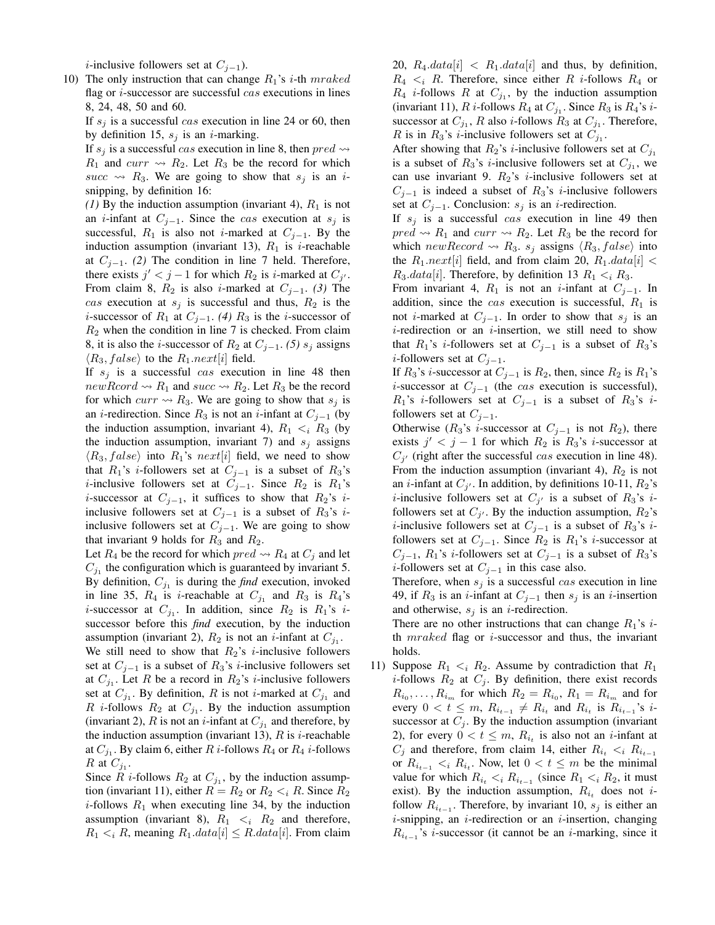*i*-inclusive followers set at  $C_{j-1}$ ).

10) The only instruction that can change  $R_1$ 's *i*-th mraked flag or  $i$ -successor are successful cas executions in lines 8, 24, 48, 50 and 60.

If  $s_i$  is a successful cas execution in line 24 or 60, then by definition 15,  $s_j$  is an *i*-marking.

If  $s_i$  is a successful cas execution in line 8, then  $pred \rightarrow$  $R_1$  and  $curr \rightarrow R_2$ . Let  $R_3$  be the record for which succ  $\rightsquigarrow$  R<sub>3</sub>. We are going to show that s<sub>j</sub> is an *i*snipping, by definition 16:

*(1)* By the induction assumption (invariant 4),  $R_1$  is not an *i*-infant at  $C_{j-1}$ . Since the *cas* execution at  $s_j$  is successful,  $R_1$  is also not *i*-marked at  $C_{i-1}$ . By the induction assumption (invariant 13),  $R_1$  is *i*-reachable at  $C_{i-1}$ . *(2)* The condition in line 7 held. Therefore, there exists  $j' < j - 1$  for which  $R_2$  is *i*-marked at  $C_{j'}$ . From claim 8,  $R_2$  is also *i*-marked at  $C_{j-1}$ . *(3)* The cas execution at  $s_j$  is successful and thus,  $R_2$  is the *i*-successor of  $R_1$  at  $C_{i-1}$ . *(4)*  $R_3$  is the *i*-successor of  $R_2$  when the condition in line 7 is checked. From claim 8, it is also the *i*-successor of  $R_2$  at  $C_{j-1}$ . *(5)*  $s_j$  assigns  $\langle R_3, false \rangle$  to the  $R_1.next[i]$  field.

If  $s_i$  is a successful cas execution in line 48 then  $newRcord \rightarrow R_1$  and  $succ \rightarrow R_2$ . Let  $R_3$  be the record for which  $curr \rightarrow R_3$ . We are going to show that  $s_j$  is an *i*-redirection. Since  $R_3$  is not an *i*-infant at  $C_{j-1}$  (by the induction assumption, invariant 4),  $R_1 \lt_i R_3$  (by the induction assumption, invariant 7) and  $s_j$  assigns  $\langle R_3, false \rangle$  into  $R_1$ 's next[i] field, we need to show that  $R_1$ 's *i*-followers set at  $C_{i-1}$  is a subset of  $R_3$ 's *i*-inclusive followers set at  $C_{j-1}$ . Since  $R_2$  is  $R_1$ 's *i*-successor at  $C_{j-1}$ , it suffices to show that  $R_2$ 's *i*inclusive followers set at  $C_{j-1}$  is a subset of  $R_3$ 's iinclusive followers set at  $C_{j-1}$ . We are going to show that invariant 9 holds for  $R_3$  and  $R_2$ .

Let  $R_4$  be the record for which  $pred \rightsquigarrow R_4$  at  $C_j$  and let  $C_{j_1}$  the configuration which is guaranteed by invariant 5. By definition,  $C_{j_1}$  is during the *find* execution, invoked in line 35,  $R_4$  is *i*-reachable at  $C_{j_1}$  and  $R_3$  is  $R_4$ 's *i*-successor at  $C_{j_1}$ . In addition, since  $R_2$  is  $R_1$ 's *i*successor before this *find* execution, by the induction assumption (invariant 2),  $R_2$  is not an *i*-infant at  $C_{j_1}$ . We still need to show that  $R_2$ 's *i*-inclusive followers set at  $C_{j-1}$  is a subset of  $R_3$ 's *i*-inclusive followers set at  $C_{j_1}$ . Let R be a record in  $R_2$ 's *i*-inclusive followers set at  $C_{j_1}$ . By definition, R is not *i*-marked at  $C_{j_1}$  and R *i*-follows  $R_2$  at  $C_{j_1}$ . By the induction assumption (invariant 2), R is not an *i*-infant at  $C_{j_1}$  and therefore, by the induction assumption (invariant 13),  $R$  is *i*-reachable at  $C_{j_1}$ . By claim 6, either  $R$  *i*-follows  $R_4$  or  $R_4$  *i*-follows R at  $C_{j_1}$ .

Since R *i*-follows  $R_2$  at  $C_{j_1}$ , by the induction assumption (invariant 11), either  $R = R_2$  or  $R_2 < iR$ . Since  $R_2$ *i*-follows  $R_1$  when executing line 34, by the induction assumption (invariant 8),  $R_1 \lt_i R_2$  and therefore,  $R_1 \lt_i R$ , meaning  $R_1.data[i] \leq R.data[i]$ . From claim 20,  $R_4.data[i] < R_1.data[i]$  and thus, by definition,  $R_4 \lt_i R$ . Therefore, since either R *i*-follows  $R_4$  or  $R_4$  *i*-follows  $R$  at  $C_{j_1}$ , by the induction assumption (invariant 11),  $R$  *i*-follows  $R_4$  at  $C_{j_1}$ . Since  $R_3$  is  $R_4$ 's *i*successor at  $C_{j_1}$ , R also *i*-follows  $R_3$  at  $C_{j_1}$ . Therefore, R is in  $R_3$ 's *i*-inclusive followers set at  $C_{j_1}$ .

After showing that  $R_2$ 's *i*-inclusive followers set at  $C_{j_1}$ is a subset of  $R_3$ 's *i*-inclusive followers set at  $C_{j_1}$ , we can use invariant 9.  $R_2$ 's *i*-inclusive followers set at  $C_{j-1}$  is indeed a subset of  $R_3$ 's *i*-inclusive followers set at  $C_{j-1}$ . Conclusion:  $s_j$  is an *i*-redirection.

If  $s_i$  is a successful cas execution in line 49 then  $pred \rightarrow R_1$  and  $curr \rightarrow R_2$ . Let  $R_3$  be the record for which new Record  $\rightsquigarrow R_3$ .  $s_j$  assigns  $\langle R_3, false \rangle$  into the  $R_1.next[i]$  field, and from claim 20,  $R_1.data[i]$  <  $R_3.data[i]$ . Therefore, by definition 13  $R_1 \lt_i R_3$ .

From invariant 4,  $R_1$  is not an *i*-infant at  $C_{j-1}$ . In addition, since the cas execution is successful,  $R_1$  is not *i*-marked at  $C_{i-1}$ . In order to show that  $s_i$  is an  $i$ -redirection or an  $i$ -insertion, we still need to show that  $R_1$ 's *i*-followers set at  $C_{i-1}$  is a subset of  $R_3$ 's *i*-followers set at  $C_{i-1}$ .

If  $R_3$ 's *i*-successor at  $C_{j-1}$  is  $R_2$ , then, since  $R_2$  is  $R_1$ 's *i*-successor at  $C_{j-1}$  (the *cas* execution is successful),  $R_1$ 's *i*-followers set at  $C_{j-1}$  is a subset of  $R_3$ 's *i*followers set at  $C_{j-1}$ .

Otherwise ( $R_3$ 's *i*-successor at  $C_{j-1}$  is not  $R_2$ ), there exists  $j' < j - 1$  for which  $R_2$  is  $R_3$ 's *i*-successor at  $C_{j'}$  (right after the successful cas execution in line 48). From the induction assumption (invariant 4),  $R_2$  is not an *i*-infant at  $C_{j'}$ . In addition, by definitions 10-11,  $R_2$ 's *i*-inclusive followers set at  $C_{j'}$  is a subset of  $R_3$ 's *i*followers set at  $C_{j'}$ . By the induction assumption,  $R_2$ 's *i*-inclusive followers set at  $C_{j-1}$  is a subset of  $R_3$ 's *i*followers set at  $C_{j-1}$ . Since  $R_2$  is  $R_1$ 's *i*-successor at  $C_{i-1}$ ,  $R_1$ 's *i*-followers set at  $C_{i-1}$  is a subset of  $R_3$ 's *i*-followers set at  $C_{i-1}$  in this case also.

Therefore, when  $s_i$  is a successful cas execution in line 49, if  $R_3$  is an *i*-infant at  $C_{i-1}$  then  $s_i$  is an *i*-insertion and otherwise,  $s_j$  is an *i*-redirection.

There are no other instructions that can change  $R_1$ 's *i*th  $mraked$  flag or *i*-successor and thus, the invariant holds.

11) Suppose  $R_1 \lt_i R_2$ . Assume by contradiction that  $R_1$ *i*-follows  $R_2$  at  $C_j$ . By definition, there exist records  $R_{i_0}, \ldots, R_{i_m}$  for which  $R_2 = R_{i_0}, R_1 = R_{i_m}$  and for every  $0 < t \leq m$ ,  $R_{i_{t-1}} \neq R_{i_t}$  and  $R_{i_t}$  is  $R_{i_{t-1}}$ 's *i*successor at  $C_j$ . By the induction assumption (invariant 2), for every  $0 < t \leq m$ ,  $R_{i_t}$  is also not an *i*-infant at  $C_j$  and therefore, from claim 14, either  $R_{i_t} < i \ R_{i_{t-1}}$ or  $R_{i_{t-1}} < i R_{i_t}$ . Now, let  $0 < t \leq m$  be the minimal value for which  $R_{i_t} < i R_{i_{t-1}}$  (since  $R_1 < i R_2$ , it must exist). By the induction assumption,  $R_{i_t}$  does not *i*follow  $R_{i_{t-1}}$ . Therefore, by invariant 10,  $s_j$  is either an *i*-snipping, an *i*-redirection or an *i*-insertion, changing  $R_{i_{t-1}}$ 's *i*-successor (it cannot be an *i*-marking, since it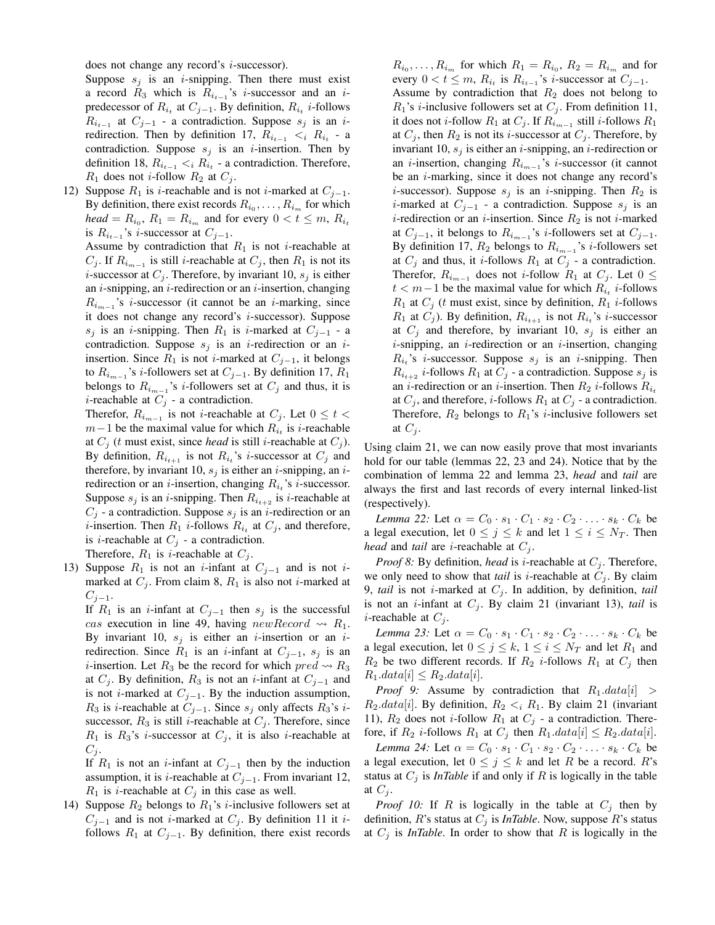does not change any record's *i*-successor).

Suppose  $s_i$  is an *i*-snipping. Then there must exist a record  $R_3$  which is  $R_{i_{t-1}}$ 's *i*-successor and an *i*predecessor of  $R_{i_t}$  at  $C_{j-1}$ . By definition,  $R_{i_t}$  *i*-follows  $R_{i_{t-1}}$  at  $C_{j-1}$  - a contradiction. Suppose  $s_j$  is an iredirection. Then by definition 17,  $R_{i_{t-1}} < i R_{i_t}$  - a contradiction. Suppose  $s_j$  is an *i*-insertion. Then by definition 18,  $R_{i_{t-1}} < i R_{i_t}$  - a contradiction. Therefore,  $R_1$  does not *i*-follow  $R_2$  at  $C_j$ .

12) Suppose  $R_1$  is *i*-reachable and is not *i*-marked at  $C_{j-1}$ . By definition, there exist records  $R_{i_0}, \ldots, R_{i_m}$  for which  $head = R_{i_0}, R_1 = R_{i_m}$  and for every  $0 < t \leq m, R_{i_t}$ is  $R_{i_{t-1}}$ 's *i*-successor at  $C_{j-1}$ .

Assume by contradiction that  $R_1$  is not *i*-reachable at  $C_j$ . If  $R_{i_{m-1}}$  is still *i*-reachable at  $C_j$ , then  $R_1$  is not its *i*-successor at  $C_j$ . Therefore, by invariant 10,  $s_j$  is either an  $i$ -snipping, an  $i$ -redirection or an  $i$ -insertion, changing  $R_{i_{m-1}}$ 's *i*-successor (it cannot be an *i*-marking, since it does not change any record's i-successor). Suppose s<sub>i</sub> is an *i*-snipping. Then  $R_1$  is *i*-marked at  $C_{i-1}$  - a contradiction. Suppose  $s_i$  is an *i*-redirection or an *i*insertion. Since  $R_1$  is not *i*-marked at  $C_{i-1}$ , it belongs to  $R_{i_{m-1}}$ 's *i*-followers set at  $C_{j-1}$ . By definition 17,  $R_1$ belongs to  $R_{i_{m-1}}$ 's *i*-followers set at  $C_j$  and thus, it is *i*-reachable at  $C_j$  - a contradiction.

Therefor,  $R_{i_{m-1}}$  is not *i*-reachable at  $C_j$ . Let  $0 \le t <$  $m-1$  be the maximal value for which  $R_{i_t}$  is *i*-reachable at  $C_j$  (*t* must exist, since *head* is still *i*-reachable at  $C_j$ ). By definition,  $R_{i_{t+1}}$  is not  $R_{i_t}$ 's *i*-successor at  $C_j$  and therefore, by invariant 10,  $s_i$  is either an *i*-snipping, an *i*redirection or an *i*-insertion, changing  $R_{i_t}$ 's *i*-successor. Suppose  $s_j$  is an *i*-snipping. Then  $R_{i_{t+2}}$  is *i*-reachable at  $C_j$  - a contradiction. Suppose  $s_j$  is an *i*-redirection or an *i*-insertion. Then  $R_1$  *i*-follows  $R_{i_t}$  at  $C_j$ , and therefore, is *i*-reachable at  $C_i$  - a contradiction.

Therefore,  $R_1$  is *i*-reachable at  $C_i$ .

13) Suppose  $R_1$  is not an *i*-infant at  $C_{i-1}$  and is not *i*marked at  $C_i$ . From claim 8,  $R_1$  is also not *i*-marked at  $C_{i-1}$ .

If  $R_1$  is an *i*-infant at  $C_{j-1}$  then  $s_j$  is the successful cas execution in line 49, having new Record  $\rightsquigarrow R_1$ . By invariant 10,  $s_i$  is either an *i*-insertion or an *i*redirection. Since  $R_1$  is an *i*-infant at  $C_{j-1}$ ,  $s_j$  is an *i*-insertion. Let  $R_3$  be the record for which  $pred \rightsquigarrow R_3$ at  $C_j$ . By definition,  $R_3$  is not an *i*-infant at  $C_{j-1}$  and is not *i*-marked at  $C_{j-1}$ . By the induction assumption,  $R_3$  is *i*-reachable at  $C_{j-1}$ . Since  $s_j$  only affects  $R_3$ 's *i*successor,  $R_3$  is still *i*-reachable at  $C_j$ . Therefore, since  $R_1$  is  $R_3$ 's *i*-successor at  $C_j$ , it is also *i*-reachable at  $C_j$ .

If  $R_1$  is not an *i*-infant at  $C_{j-1}$  then by the induction assumption, it is *i*-reachable at  $C_{i-1}$ . From invariant 12,  $R_1$  is *i*-reachable at  $C_i$  in this case as well.

14) Suppose  $R_2$  belongs to  $R_1$ 's *i*-inclusive followers set at  $C_{i-1}$  and is not *i*-marked at  $C_i$ . By definition 11 it *i*follows  $R_1$  at  $C_{j-1}$ . By definition, there exist records

 $R_{i_0}, \ldots, R_{i_m}$  for which  $R_1 = R_{i_0}, R_2 = R_{i_m}$  and for every  $0 < t \leq m$ ,  $R_{i_t}$  is  $R_{i_{t-1}}$ 's *i*-successor at  $C_{j-1}$ . Assume by contradiction that  $R_2$  does not belong to  $R_1$ 's *i*-inclusive followers set at  $C_j$ . From definition 11, it does not *i*-follow  $R_1$  at  $C_j$ . If  $R_{i_{m-1}}$  still *i*-follows  $R_1$ at  $C_j$ , then  $R_2$  is not its *i*-successor at  $C_j$ . Therefore, by invariant 10,  $s_j$  is either an *i*-snipping, an *i*-redirection or an *i*-insertion, changing  $R_{i_{m-1}}$ 's *i*-successor (it cannot be an  $i$ -marking, since it does not change any record's *i*-successor). Suppose  $s_j$  is an *i*-snipping. Then  $R_2$  is *i*-marked at  $C_{j-1}$  - a contradiction. Suppose  $s_j$  is an *i*-redirection or an *i*-insertion. Since  $R_2$  is not *i*-marked at  $C_{j-1}$ , it belongs to  $R_{i_{m-1}}$ 's *i*-followers set at  $C_{j-1}$ . By definition 17,  $R_2$  belongs to  $R_{i_{m-1}}$ 's *i*-followers set at  $C_j$  and thus, it *i*-follows  $R_1$  at  $C_j$  - a contradiction. Therefor,  $R_{i_{m-1}}$  does not *i*-follow  $R_1$  at  $C_j$ . Let  $0 \leq$  $t < m-1$  be the maximal value for which  $R_{i_t}$  *i*-follows  $R_1$  at  $C_j$  (*t* must exist, since by definition,  $R_1$  *i*-follows  $R_1$  at  $C_j$ ). By definition,  $R_{i_{t+1}}$  is not  $R_{i_t}$ 's *i*-successor at  $C_i$  and therefore, by invariant 10,  $s_i$  is either an  $i$ -snipping, an  $i$ -redirection or an  $i$ -insertion, changing  $R_{i_t}$ 's *i*-successor. Suppose  $s_j$  is an *i*-snipping. Then  $R_{i_{t+2}}$  *i*-follows  $R_1$  at  $C_j$  - a contradiction. Suppose  $s_j$  is an *i*-redirection or an *i*-insertion. Then  $R_2$  *i*-follows  $R_{i_t}$ at  $C_j$ , and therefore, *i*-follows  $R_1$  at  $C_j$  - a contradiction. Therefore,  $R_2$  belongs to  $R_1$ 's *i*-inclusive followers set at  $C_i$ .

Using claim 21, we can now easily prove that most invariants hold for our table (lemmas 22, 23 and 24). Notice that by the combination of lemma 22 and lemma 23, *head* and *tail* are always the first and last records of every internal linked-list (respectively).

*Lemma 22:* Let  $\alpha = C_0 \cdot s_1 \cdot C_1 \cdot s_2 \cdot C_2 \cdot \ldots \cdot s_k \cdot C_k$  be a legal execution, let  $0 \le j \le k$  and let  $1 \le i \le N_T$ . Then *head* and *tail* are *i*-reachable at  $C_i$ .

*Proof 8:* By definition, *head* is *i*-reachable at  $C_i$ . Therefore, we only need to show that *tail* is *i*-reachable at  $C_j$ . By claim 9, *tail* is not *i*-marked at  $C_j$ . In addition, by definition, *tail* is not an *i*-infant at  $C_j$ . By claim 21 (invariant 13), *tail* is *i*-reachable at  $C_i$ .

*Lemma 23:* Let  $\alpha = C_0 \cdot s_1 \cdot C_1 \cdot s_2 \cdot C_2 \cdot \ldots \cdot s_k \cdot C_k$  be a legal execution, let  $0 \le j \le k$ ,  $1 \le i \le N_T$  and let  $R_1$  and  $R_2$  be two different records. If  $R_2$  *i*-follows  $R_1$  at  $C_j$  then  $R_1.data[i] \leq R_2.data[i].$ 

*Proof 9:* Assume by contradiction that  $R_1.data[i] >$  $R_2.data[i]$ . By definition,  $R_2 \lt_i R_1$ . By claim 21 (invariant 11),  $R_2$  does not *i*-follow  $R_1$  at  $C_j$  - a contradiction. Therefore, if  $R_2$  *i*-follows  $R_1$  at  $C_j$  then  $R_1.data[i] \leq R_2.data[i]$ .

*Lemma 24:* Let  $\alpha = C_0 \cdot s_1 \cdot C_1 \cdot s_2 \cdot C_2 \cdot \ldots \cdot s_k \cdot C_k$  be a legal execution, let  $0 \le j \le k$  and let R be a record. R's status at  $C_j$  is *InTable* if and only if R is logically in the table at  $C_j$ .

*Proof 10:* If R is logically in the table at  $C_i$  then by definition, R's status at  $C_i$  is *InTable*. Now, suppose R's status at  $C_j$  is *InTable*. In order to show that R is logically in the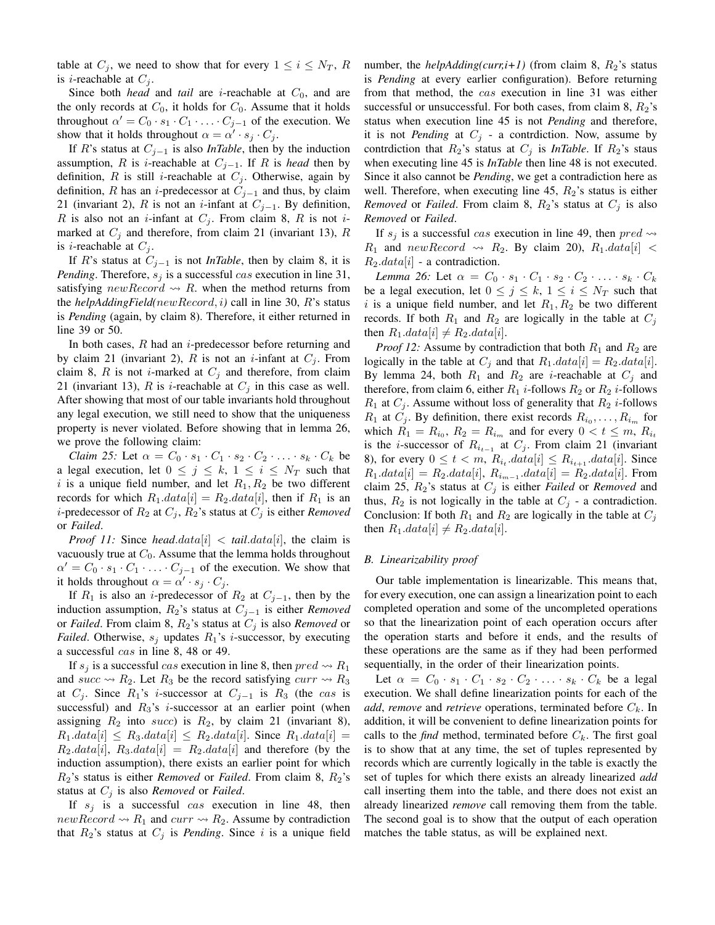table at  $C_j$ , we need to show that for every  $1 \leq i \leq N_T$ , R is *i*-reachable at  $C_i$ .

Since both *head* and *tail* are *i*-reachable at  $C_0$ , and are the only records at  $C_0$ , it holds for  $C_0$ . Assume that it holds throughout  $\alpha' = C_0 \cdot s_1 \cdot C_1 \cdot \ldots \cdot C_{j-1}$  of the execution. We show that it holds throughout  $\alpha = \alpha' \cdot s_j \cdot C_j$ .

If R's status at Cj−<sup>1</sup> is also *InTable*, then by the induction assumption, R is *i*-reachable at  $C_{j-1}$ . If R is *head* then by definition, R is still *i*-reachable at  $C_j$ . Otherwise, again by definition, R has an *i*-predecessor at  $C_{j-1}$  and thus, by claim 21 (invariant 2), R is not an *i*-infant at  $C_{j-1}$ . By definition, R is also not an *i*-infant at  $C_i$ . From claim 8, R is not *i*marked at  $C_i$  and therefore, from claim 21 (invariant 13), R is *i*-reachable at  $C_j$ .

If R's status at Cj−<sup>1</sup> is not *InTable*, then by claim 8, it is *Pending*. Therefore,  $s_j$  is a successful cas execution in line 31, satisfying new Record  $\rightsquigarrow$  R. when the method returns from the *helpAddingField(*newRecord, i*)* call in line 30, R's status is *Pending* (again, by claim 8). Therefore, it either returned in line 39 or 50.

In both cases,  $R$  had an *i*-predecessor before returning and by claim 21 (invariant 2), R is not an *i*-infant at  $C_i$ . From claim 8, R is not *i*-marked at  $C_j$  and therefore, from claim 21 (invariant 13), R is *i*-reachable at  $C_i$  in this case as well. After showing that most of our table invariants hold throughout any legal execution, we still need to show that the uniqueness property is never violated. Before showing that in lemma 26, we prove the following claim:

*Claim 25:* Let  $\alpha = C_0 \cdot s_1 \cdot C_1 \cdot s_2 \cdot C_2 \cdot \ldots \cdot s_k \cdot C_k$  be a legal execution, let  $0 \le j \le k$ ,  $1 \le i \le N_T$  such that i is a unique field number, and let  $R_1, R_2$  be two different records for which  $R_1.data[i] = R_2.data[i]$ , then if  $R_1$  is an *i*-predecessor of  $R_2$  at  $C_j$ ,  $R_2$ 's status at  $C_j$  is either *Removed* or *Failed*.

*Proof 11:* Since *head.data*[i] < *tail.data*[i], the claim is vacuously true at  $C_0$ . Assume that the lemma holds throughout  $\alpha' = C_0 \cdot s_1 \cdot C_1 \cdot \ldots \cdot C_{j-1}$  of the execution. We show that it holds throughout  $\alpha = \alpha' \cdot s_j \cdot C_j$ .

If  $R_1$  is also an *i*-predecessor of  $R_2$  at  $C_{j-1}$ , then by the induction assumption,  $R_2$ 's status at  $C_{j-1}$  is either *Removed* or *Failed*. From claim 8,  $R_2$ 's status at  $C_j$  is also *Removed* or *Failed*. Otherwise,  $s_i$  updates  $R_1$ 's *i*-successor, by executing a successful cas in line 8, 48 or 49.

If  $s_i$  is a successful cas execution in line 8, then  $pred \rightarrow R_1$ and succ  $\rightsquigarrow R_2$ . Let  $R_3$  be the record satisfying curr  $\rightsquigarrow R_3$ at  $C_j$ . Since  $R_1$ 's *i*-successor at  $C_{j-1}$  is  $R_3$  (the cas is successful) and  $R_3$ 's *i*-successor at an earlier point (when assigning  $R_2$  into succ) is  $R_2$ , by claim 21 (invariant 8),  $R_1.data[i] \leq R_3.data[i] \leq R_2.data[i]$ . Since  $R_1.data[i]$  $R_2.data[i], R_3.data[i] = R_2.data[i]$  and therefore (by the induction assumption), there exists an earlier point for which R2's status is either *Removed* or *Failed*. From claim 8, R2's status at  $C_i$  is also *Removed* or *Failed*.

If  $s_j$  is a successful cas execution in line 48, then  $newRecord \rightarrow R_1$  and  $curr \rightarrow R_2$ . Assume by contradiction that  $R_2$ 's status at  $C_j$  is *Pending*. Since i is a unique field number, the *helpAdding(curr,i+1)* (from claim 8,  $R_2$ 's status is *Pending* at every earlier configuration). Before returning from that method, the cas execution in line 31 was either successful or unsuccessful. For both cases, from claim 8,  $R_2$ 's status when execution line 45 is not *Pending* and therefore, it is not *Pending* at  $C_j$  - a contrdiction. Now, assume by contrdiction that  $R_2$ 's status at  $C_j$  is *InTable*. If  $R_2$ 's staus when executing line 45 is *InTable* then line 48 is not executed. Since it also cannot be *Pending*, we get a contradiction here as well. Therefore, when executing line 45,  $R_2$ 's status is either *Removed* or *Failed*. From claim 8,  $R_2$ 's status at  $C_j$  is also *Removed* or *Failed*.

If  $s_i$  is a successful cas execution in line 49, then  $pred \rightarrow$  $R_1$  and new Record  $\rightsquigarrow R_2$ . By claim 20),  $R_1.data[i]$  <  $R_2.data[i]$  - a contradiction.

*Lemma 26:* Let  $\alpha = C_0 \cdot s_1 \cdot C_1 \cdot s_2 \cdot C_2 \cdot \ldots \cdot s_k \cdot C_k$ be a legal execution, let  $0 \le j \le k$ ,  $1 \le i \le N_T$  such that i is a unique field number, and let  $R_1, R_2$  be two different records. If both  $R_1$  and  $R_2$  are logically in the table at  $C_j$ then  $R_1.data[i] \neq R_2.data[i]$ .

*Proof 12:* Assume by contradiction that both  $R_1$  and  $R_2$  are logically in the table at  $C_j$  and that  $R_1.data[i] = R_2.data[i]$ . By lemma 24, both  $R_1$  and  $R_2$  are *i*-reachable at  $C_j$  and therefore, from claim 6, either  $R_1$  *i*-follows  $R_2$  or  $R_2$  *i*-follows  $R_1$  at  $C_j$ . Assume without loss of generality that  $R_2$  *i*-follows  $R_1$  at  $C_j$ . By definition, there exist records  $R_{i_0}, \ldots, R_{i_m}$  for which  $R_1 = R_{i_0}$ ,  $R_2 = R_{i_m}$  and for every  $0 < t \leq m$ ,  $R_{i_t}$ is the *i*-successor of  $R_{i_{t-1}}$  at  $C_j$ . From claim 21 (invariant 8), for every  $0 \le t < m$ ,  $R_{i_t}.data[i] \le R_{i_{t+1}}.data[i]$ . Since  $R_1.data[i] = R_2.data[i], R_{i_{m-1}}.data[i] = R_2.data[i].$  From claim 25,  $R_2$ 's status at  $C_j$  is either *Failed* or *Removed* and thus,  $R_2$  is not logically in the table at  $C_j$  - a contradiction. Conclusion: If both  $R_1$  and  $R_2$  are logically in the table at  $C_j$ then  $R_1.data[i] \neq R_2.data[i]$ .

#### *B. Linearizability proof*

Our table implementation is linearizable. This means that, for every execution, one can assign a linearization point to each completed operation and some of the uncompleted operations so that the linearization point of each operation occurs after the operation starts and before it ends, and the results of these operations are the same as if they had been performed sequentially, in the order of their linearization points.

Let  $\alpha = C_0 \cdot s_1 \cdot C_1 \cdot s_2 \cdot C_2 \cdot \ldots \cdot s_k \cdot C_k$  be a legal execution. We shall define linearization points for each of the *add, remove* and *retrieve* operations, terminated before  $C_k$ . In addition, it will be convenient to define linearization points for calls to the *find* method, terminated before  $C_k$ . The first goal is to show that at any time, the set of tuples represented by records which are currently logically in the table is exactly the set of tuples for which there exists an already linearized *add* call inserting them into the table, and there does not exist an already linearized *remove* call removing them from the table. The second goal is to show that the output of each operation matches the table status, as will be explained next.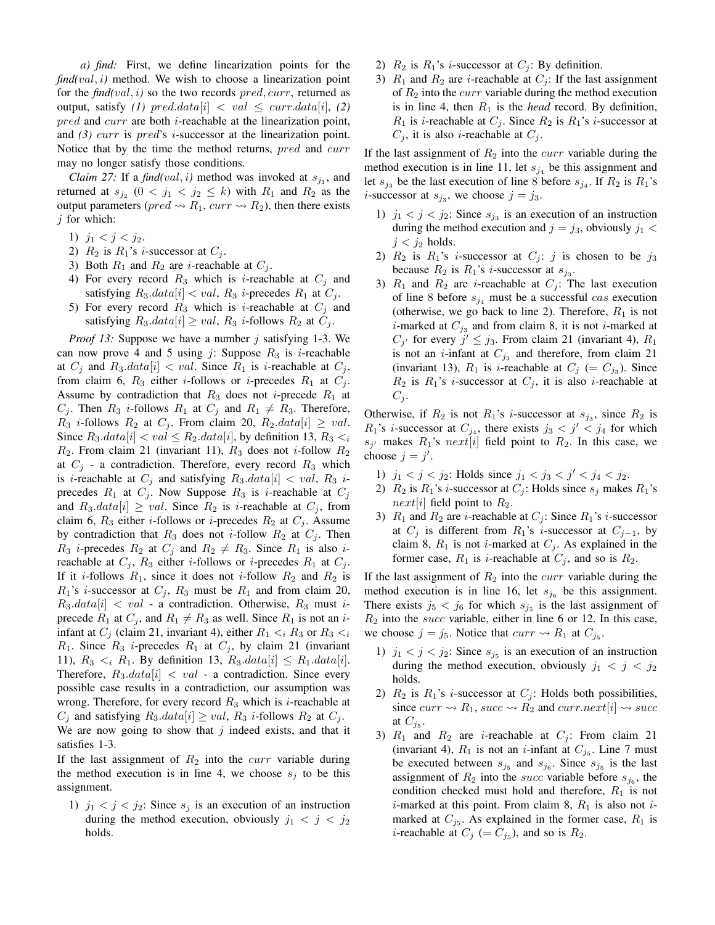*a) find:* First, we define linearization points for the  $find(val, i)$  method. We wish to choose a linearization point for the *find(*val, i*)* so the two records pred, curr, returned as output, satisfy (1) pred.data[i]  $\langle$  val  $\leq$  curr.data[i], (2) pred and curr are both *i*-reachable at the linearization point, and *(3)* curr is pred's i-successor at the linearization point. Notice that by the time the method returns, pred and curr may no longer satisfy those conditions.

*Claim 27:* If a  $\text{find}(val, i)$  method was invoked at  $s_{j_1}$ , and returned at  $s_{j_2}$   $(0 \lt j_1 \lt j_2 \le k)$  with  $R_1$  and  $R_2$  as the output parameters ( $pred \rightarrow R_1$ ,  $curr \rightarrow R_2$ ), then there exists  $j$  for which:

- 1)  $j_1 < j < j_2$ .
- 2)  $R_2$  is  $R_1$ 's *i*-successor at  $C_i$ .
- 3) Both  $R_1$  and  $R_2$  are *i*-reachable at  $C_j$ .
- 4) For every record  $R_3$  which is *i*-reachable at  $C_i$  and satisfying  $R_3.data[i] < val$ ,  $R_3$  *i*-precedes  $R_1$  at  $C_j$ .
- 5) For every record  $R_3$  which is *i*-reachable at  $C_j$  and satisfying  $R_3.data[i] \geq val$ ,  $R_3$  *i*-follows  $R_2$  at  $C_j$ .

*Proof 13:* Suppose we have a number j satisfying 1-3. We can now prove 4 and 5 using j: Suppose  $R_3$  is *i*-reachable at  $C_j$  and  $R_3.data[i] < val$ . Since  $R_1$  is *i*-reachable at  $C_j$ , from claim 6,  $R_3$  either *i*-follows or *i*-precedes  $R_1$  at  $C_i$ . Assume by contradiction that  $R_3$  does not *i*-precede  $R_1$  at  $C_j$ . Then  $R_3$  *i*-follows  $R_1$  at  $C_j$  and  $R_1 \neq R_3$ . Therefore,  $R_3$  *i*-follows  $R_2$  at  $C_j$ . From claim 20,  $R_2.data[i] \geq val$ . Since  $R_3.data[i] < val \leq R_2.data[i]$ , by definition 13,  $R_3 < i$  $R_2$ . From claim 21 (invariant 11),  $R_3$  does not *i*-follow  $R_2$ at  $C_j$  - a contradiction. Therefore, every record  $R_3$  which is *i*-reachable at  $C_j$  and satisfying  $R_3.data[i] < val$ ,  $R_3$  *i*precedes  $R_1$  at  $C_j$ . Now Suppose  $R_3$  is *i*-reachable at  $C_j$ and  $R_3.data[i] \geq val$ . Since  $R_2$  is *i*-reachable at  $C_j$ , from claim 6,  $R_3$  either *i*-follows or *i*-precedes  $R_2$  at  $C_j$ . Assume by contradiction that  $R_3$  does not *i*-follow  $R_2$  at  $C_j$ . Then  $R_3$  *i*-precedes  $R_2$  at  $C_j$  and  $R_2 \neq R_3$ . Since  $R_1$  is also *i*reachable at  $C_j$ ,  $R_3$  either *i*-follows or *i*-precedes  $R_1$  at  $C_j$ . If it *i*-follows  $R_1$ , since it does not *i*-follow  $R_2$  and  $R_2$  is  $R_1$ 's *i*-successor at  $C_j$ ,  $R_3$  must be  $R_1$  and from claim 20,  $R_3.data[i] < val$  - a contradiction. Otherwise,  $R_3$  must *i*precede  $R_1$  at  $C_i$ , and  $R_1 \neq R_3$  as well. Since  $R_1$  is not an iinfant at  $C_j$  (claim 21, invariant 4), either  $R_1 \lt_i R_3$  or  $R_3 \lt_i$  $R_1$ . Since  $R_3$  *i*-precedes  $R_1$  at  $C_j$ , by claim 21 (invariant 11),  $R_3 \lt_i R_1$ . By definition 13,  $R_3.data[i] \leq R_1.data[i]$ . Therefore,  $R_3.data[i] < val$  - a contradiction. Since every possible case results in a contradiction, our assumption was wrong. Therefore, for every record  $R_3$  which is *i*-reachable at  $C_j$  and satisfying  $R_3.data[i] \geq val$ ,  $R_3$  *i*-follows  $R_2$  at  $C_j$ . We are now going to show that  $j$  indeed exists, and that it satisfies 1-3.

If the last assignment of  $R_2$  into the *curr* variable during the method execution is in line 4, we choose  $s_i$  to be this assignment.

1)  $j_1 < j < j_2$ : Since  $s_j$  is an execution of an instruction during the method execution, obviously  $j_1 < j < j_2$ holds.

- 2)  $R_2$  is  $R_1$ 's *i*-successor at  $C_i$ : By definition.
- 3)  $R_1$  and  $R_2$  are *i*-reachable at  $C_i$ : If the last assignment of  $R_2$  into the *curr* variable during the method execution is in line 4, then  $R_1$  is the *head* record. By definition,  $R_1$  is *i*-reachable at  $C_j$ . Since  $R_2$  is  $R_1$ 's *i*-successor at  $C_j$ , it is also *i*-reachable at  $C_j$ .

If the last assignment of  $R_2$  into the *curr* variable during the method execution is in line 11, let  $s_{j_4}$  be this assignment and let  $s_{j_3}$  be the last execution of line 8 before  $s_{j_4}$ . If  $R_2$  is  $R_1$ 's *i*-successor at  $s_{j_3}$ , we choose  $j = j_3$ .

- 1)  $j_1 < j < j_2$ : Since  $s_{j_3}$  is an execution of an instruction during the method execution and  $j = j_3$ , obviously  $j_1$  <  $j < j_2$  holds.
- 2)  $R_2$  is  $R_1$ 's *i*-successor at  $C_j$ : *j* is chosen to be  $j_3$ because  $R_2$  is  $R_1$ 's *i*-successor at  $s_{j_3}$ .
- 3)  $R_1$  and  $R_2$  are *i*-reachable at  $C_i$ : The last execution of line 8 before  $s_{i_4}$  must be a successful cas execution (otherwise, we go back to line 2). Therefore,  $R_1$  is not *i*-marked at  $C_{j_3}$  and from claim 8, it is not *i*-marked at  $C_{j'}$  for every  $j' \leq j_3$ . From claim 21 (invariant 4),  $R_1$ is not an *i*-infant at  $C_{j_3}$  and therefore, from claim 21 (invariant 13),  $R_1$  is *i*-reachable at  $C_j$  (=  $C_{j_3}$ ). Since  $R_2$  is  $R_1$ 's *i*-successor at  $C_j$ , it is also *i*-reachable at  $C_j$ .

Otherwise, if  $R_2$  is not  $R_1$ 's *i*-successor at  $s_{j_3}$ , since  $R_2$  is  $R_1$ 's *i*-successor at  $C_{j_4}$ , there exists  $j_3 < j' < j_4$  for which  $s_{j'}$  makes  $R_1$ 's next[i] field point to  $R_2$ . In this case, we choose  $j = j'$ .

- 1)  $j_1 < j < j_2$ : Holds since  $j_1 < j_3 < j' < j_4 < j_2$ .
- 2)  $R_2$  is  $R_1$ 's *i*-successor at  $C_i$ : Holds since  $s_i$  makes  $R_1$ 's *next*[i] field point to  $R_2$ .
- 3)  $R_1$  and  $R_2$  are *i*-reachable at  $C_i$ : Since  $R_1$ 's *i*-successor at  $C_j$  is different from  $R_1$ 's *i*-successor at  $C_{j-1}$ , by claim 8,  $R_1$  is not *i*-marked at  $C_j$ . As explained in the former case,  $R_1$  is *i*-reachable at  $C_j$ , and so is  $R_2$ .

If the last assignment of  $R_2$  into the *curr* variable during the method execution is in line 16, let  $s_{j_6}$  be this assignment. There exists  $j_5 < j_6$  for which  $s_{j_5}$  is the last assignment of  $R_2$  into the *succ* variable, either in line 6 or 12. In this case, we choose  $j = j_5$ . Notice that  $curr \rightsquigarrow R_1$  at  $C_{j_5}$ .

- 1)  $j_1 < j < j_2$ : Since  $s_{j_5}$  is an execution of an instruction during the method execution, obviously  $j_1 < j < j_2$ holds.
- 2)  $R_2$  is  $R_1$ 's *i*-successor at  $C_j$ : Holds both possibilities, since  $curr \rightsquigarrow R_1$ ,  $succ \rightsquigarrow R_2$  and  $curr.next[i] \rightsquigarrow succ$ at  $C_{j_5}$ .
- 3)  $R_1$  and  $R_2$  are *i*-reachable at  $C_i$ : From claim 21 (invariant 4),  $R_1$  is not an *i*-infant at  $C_{j_5}$ . Line 7 must be executed between  $s_{j_5}$  and  $s_{j_6}$ . Since  $s_{j_5}$  is the last assignment of  $R_2$  into the *succ* variable before  $s_{j_6}$ , the condition checked must hold and therefore,  $R_1$  is not  $i$ -marked at this point. From claim 8,  $R_1$  is also not  $i$ marked at  $C_{j_5}$ . As explained in the former case,  $R_1$  is *i*-reachable at  $C_j$  (=  $C_{j_5}$ ), and so is  $R_2$ .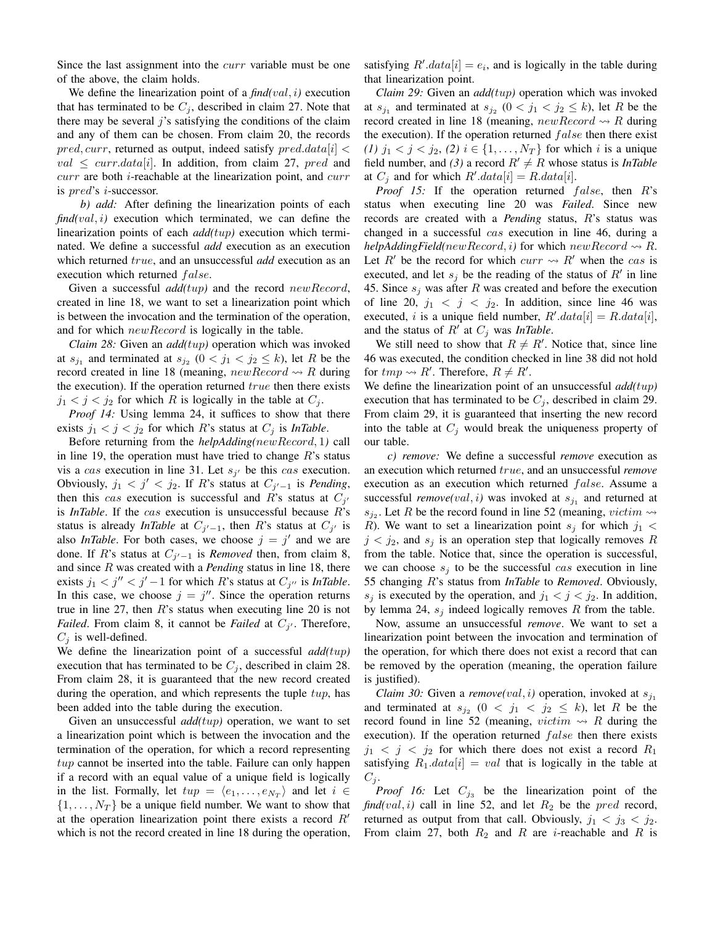Since the last assignment into the *curr* variable must be one of the above, the claim holds.

We define the linearization point of a  $\text{find}(val, i)$  execution that has terminated to be  $C_i$ , described in claim 27. Note that there may be several  $j$ 's satisfying the conditions of the claim and any of them can be chosen. From claim 20, the records  $pred, curr$ , returned as output, indeed satisfy  $pred.data[i]$  $val \leq curr.data[i]$ . In addition, from claim 27, pred and  $curr$  are both *i*-reachable at the linearization point, and  $curr$ is pred's i-successor.

*b) add:* After defining the linearization points of each  $find(val, i)$  execution which terminated, we can define the linearization points of each *add(*tup*)* execution which terminated. We define a successful *add* execution as an execution which returned true, and an unsuccessful *add* execution as an execution which returned false.

Given a successful *add(*tup*)* and the record newRecord, created in line 18, we want to set a linearization point which is between the invocation and the termination of the operation, and for which *newRecord* is logically in the table.

*Claim 28:* Given an *add(*tup*)* operation which was invoked at  $s_{j_1}$  and terminated at  $s_{j_2}$   $(0 < j_1 < j_2 \le k)$ , let R be the record created in line 18 (meaning,  $newRecord \rightarrow R$  during the execution). If the operation returned  $true$  then there exists  $j_1 < j < j_2$  for which R is logically in the table at  $C_j$ .

*Proof 14:* Using lemma 24, it suffices to show that there exists  $j_1 < j < j_2$  for which R's status at  $C_j$  is *InTable*.

Before returning from the *helpAdding(*newRecord, 1*)* call in line 19, the operation must have tried to change  $R$ 's status vis a cas execution in line 31. Let  $s_{j'}$  be this cas execution. Obviously,  $j_1 < j' < j_2$ . If R's status at  $C_{j'-1}$  is *Pending*, then this cas execution is successful and R's status at  $C_{j'}$ is *InTable*. If the cas execution is unsuccessful because R's status is already *InTable* at  $C_{j'-1}$ , then R's status at  $C_{j'}$  is also *InTable*. For both cases, we choose  $j = j'$  and we are done. If R's status at  $C_{j'-1}$  is *Removed* then, from claim 8, and since R was created with a *Pending* status in line 18, there exists  $j_1 < j'' < j' - 1$  for which R's status at  $C_{j''}$  is *InTable*. In this case, we choose  $j = j''$ . Since the operation returns true in line  $27$ , then  $R$ 's status when executing line  $20$  is not *Failed*. From claim 8, it cannot be *Failed* at  $C_{j'}$ . Therefore,  $C_i$  is well-defined.

We define the linearization point of a successful *add(*tup*)* execution that has terminated to be  $C_j$ , described in claim 28. From claim 28, it is guaranteed that the new record created during the operation, and which represents the tuple  $tup$ , has been added into the table during the execution.

Given an unsuccessful *add(*tup*)* operation, we want to set a linearization point which is between the invocation and the termination of the operation, for which a record representing  $tup$  cannot be inserted into the table. Failure can only happen if a record with an equal value of a unique field is logically in the list. Formally, let  $tup = \langle e_1, \ldots, e_{N_T} \rangle$  and let  $i \in$  $\{1, \ldots, N_T\}$  be a unique field number. We want to show that at the operation linearization point there exists a record  $R<sup>′</sup>$ which is not the record created in line 18 during the operation,

satisfying  $R' . data[i] = e_i$ , and is logically in the table during that linearization point.

*Claim 29:* Given an *add(*tup*)* operation which was invoked at  $s_{j_1}$  and terminated at  $s_{j_2}$   $(0 < j_1 < j_2 \le k)$ , let R be the record created in line 18 (meaning,  $newRecord \rightsquigarrow R$  during the execution). If the operation returned  $false$  then there exist *(1)*  $j_1$  <  $j$  <  $j_2$ , *(2)*  $i$  ∈ {1, ...,  $N_T$ } for which *i* is a unique field number, and (3) a record  $R' \neq R$  whose status is *InTable* at  $C_j$  and for which  $R'.data[i] = R.data[i].$ 

*Proof 15:* If the operation returned *false*, then *R*'s status when executing line 20 was *Failed*. Since new records are created with a *Pending* status, R's status was changed in a successful cas execution in line 46, during a *helpAddingField(newRecord, i)* for which  $newRecord \rightarrow R$ . Let R' be the record for which  $curr \rightarrow R'$  when the cas is executed, and let  $s_j$  be the reading of the status of  $R'$  in line 45. Since  $s_i$  was after R was created and before the execution of line 20,  $j_1 < j < j_2$ . In addition, since line 46 was executed, *i* is a unique field number,  $R' . data[i] = R . data[i],$ and the status of  $R'$  at  $C_j$  was *InTable*.

We still need to show that  $R \neq R'$ . Notice that, since line 46 was executed, the condition checked in line 38 did not hold for  $tmp \leadsto R'$ . Therefore,  $R \neq R'$ .

We define the linearization point of an unsuccessful *add(*tup*)* execution that has terminated to be  $C_j$ , described in claim 29. From claim 29, it is guaranteed that inserting the new record into the table at  $C_j$  would break the uniqueness property of our table.

*c) remove:* We define a successful *remove* execution as an execution which returned true, and an unsuccessful *remove* execution as an execution which returned  $false$ . Assume a successful *remove*(*val*, *i*) was invoked at  $s_{j_1}$  and returned at  $s_{j_2}$ . Let R be the record found in line 52 (meaning, victim  $\rightsquigarrow$ R). We want to set a linearization point  $s_j$  for which  $j_1$  <  $j < j_2$ , and  $s_j$  is an operation step that logically removes R from the table. Notice that, since the operation is successful, we can choose  $s_i$  to be the successful cas execution in line 55 changing R's status from *InTable* to *Removed*. Obviously,  $s_j$  is executed by the operation, and  $j_1 < j < j_2$ . In addition, by lemma 24,  $s_j$  indeed logically removes R from the table.

Now, assume an unsuccessful *remove*. We want to set a linearization point between the invocation and termination of the operation, for which there does not exist a record that can be removed by the operation (meaning, the operation failure is justified).

*Claim 30:* Given a *remove*(*val*, *i*) operation, invoked at  $s_{j_1}$ and terminated at  $s_{j_2}$   $(0 \lt j_1 \lt j_2 \le k)$ , let R be the record found in line 52 (meaning,  $victim \rightsquigarrow R$  during the execution). If the operation returned  $false$  then there exists  $j_1 < j < j_2$  for which there does not exist a record  $R_1$ satisfying  $R_1.data[i] = val$  that is logically in the table at  $C_i$ .

*Proof 16:* Let  $C_{j_3}$  be the linearization point of the  $find(val, i)$  call in line 52, and let  $R_2$  be the *pred* record, returned as output from that call. Obviously,  $j_1 < j_3 < j_2$ . From claim 27, both  $R_2$  and R are *i*-reachable and R is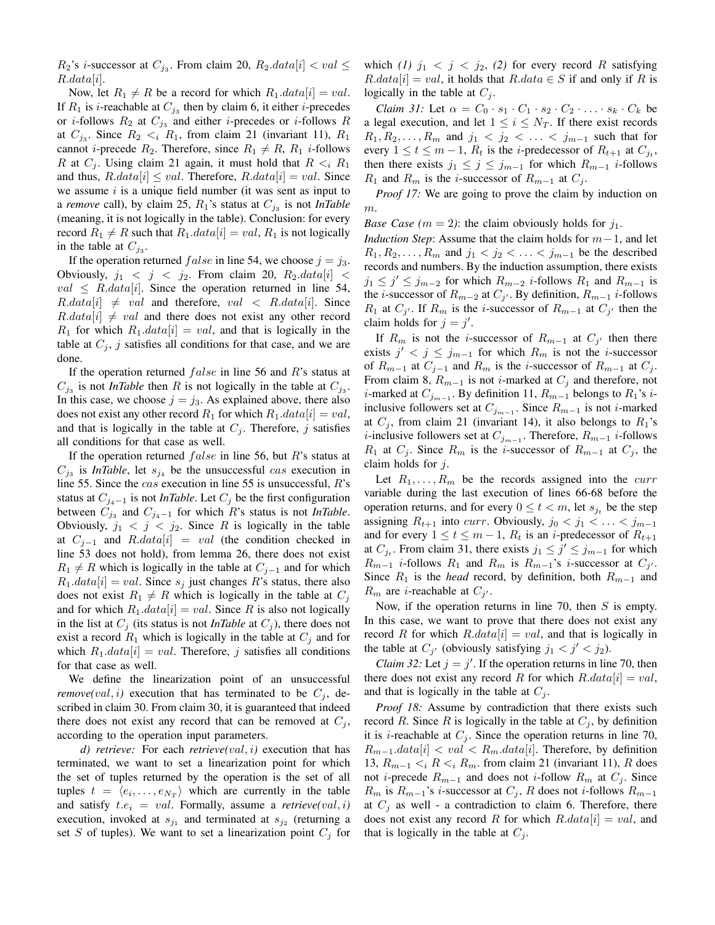$R_2$ 's *i*-successor at  $C_{j_3}$ . From claim 20,  $R_2.data[i] < val \leq$  $R.data[i]$ .

Now, let  $R_1 \neq R$  be a record for which  $R_1.data[i] = val$ . If  $R_1$  is *i*-reachable at  $C_{j_3}$  then by claim 6, it either *i*-precedes or *i*-follows  $R_2$  at  $C_{j_3}$  and either *i*-precedes or *i*-follows R at  $C_{j_3}$ . Since  $R_2 \lt_i R_1$ , from claim 21 (invariant 11),  $R_1$ cannot *i*-precede  $R_2$ . Therefore, since  $R_1 \neq R$ ,  $R_1$  *i*-follows R at  $C_i$ . Using claim 21 again, it must hold that  $R \lt_i R_1$ and thus,  $R.data[i] \leq val$ . Therefore,  $R.data[i] = val$ . Since we assume  $i$  is a unique field number (it was sent as input to a *remove* call), by claim 25,  $R_1$ 's status at  $C_{j_3}$  is not *InTable* (meaning, it is not logically in the table). Conclusion: for every record  $R_1 \neq R$  such that  $R_1.data[i] = val$ ,  $R_1$  is not logically in the table at  $C_{j_3}$ .

If the operation returned  $false$  in line 54, we choose  $j = j_3$ . Obviously,  $j_1 < j < j_2$ . From claim 20,  $R_2.data[i]$  $val \leq R.data[i]$ . Since the operation returned in line 54,  $R.data[i] \neq val$  and therefore,  $val < R.data[i]$ . Since  $R.data[i] \neq val$  and there does not exist any other record  $R_1$  for which  $R_1.data[i] = val$ , and that is logically in the table at  $C_j$ , j satisfies all conditions for that case, and we are done.

If the operation returned  $false$  in line 56 and R's status at  $C_{j_3}$  is not *InTable* then R is not logically in the table at  $C_{j_3}$ . In this case, we choose  $j = j_3$ . As explained above, there also does not exist any other record  $R_1$  for which  $R_1.data[i] = val$ , and that is logically in the table at  $C_j$ . Therefore, j satisfies all conditions for that case as well.

If the operation returned  $false$  in line 56, but R's status at  $C_{j3}$  is *InTable*, let  $s_{j4}$  be the unsuccessful cas execution in line 55. Since the cas execution in line 55 is unsuccessful, R's status at  $C_{j_4-1}$  is not *InTable*. Let  $C_j$  be the first configuration between  $C_{j_3}$  and  $C_{j_4-1}$  for which R's status is not *InTable*. Obviously,  $j_1 < j < j_2$ . Since R is logically in the table at  $C_{i-1}$  and  $R.data[i] = val$  (the condition checked in line 53 does not hold), from lemma 26, there does not exist  $R_1 \neq R$  which is logically in the table at  $C_{i-1}$  and for which  $R_1.data[i] = val$ . Since  $s_i$  just changes R's status, there also does not exist  $R_1 \neq R$  which is logically in the table at  $C_j$ and for which  $R_1.data[i] = val$ . Since R is also not logically in the list at  $C_i$  (its status is not *InTable* at  $C_i$ ), there does not exist a record  $R_1$  which is logically in the table at  $C_i$  and for which  $R_1.data[i] = val$ . Therefore, j satisfies all conditions for that case as well.

We define the linearization point of an unsuccessful *remove*(*val*, *i*) execution that has terminated to be  $C_j$ , described in claim 30. From claim 30, it is guaranteed that indeed there does not exist any record that can be removed at  $C_i$ , according to the operation input parameters.

*d) retrieve:* For each *retrieve(*val, i*)* execution that has terminated, we want to set a linearization point for which the set of tuples returned by the operation is the set of all tuples  $t = \langle e_i, \dots, e_{N_T} \rangle$  which are currently in the table and satisfy  $t.e_i = val$ . Formally, assume a  $retrieve(val, i)$ execution, invoked at  $s_{j_1}$  and terminated at  $s_{j_2}$  (returning a set S of tuples). We want to set a linearization point  $C_j$  for

which (1)  $j_1 < j < j_2$ , (2) for every record R satisfying  $R.data[i] = val$ , it holds that  $R.data \in S$  if and only if R is logically in the table at  $C_i$ .

*Claim 31:* Let  $\alpha = C_0 \cdot s_1 \cdot C_1 \cdot s_2 \cdot C_2 \cdot \ldots \cdot s_k \cdot C_k$  be a legal execution, and let  $1 \leq i \leq N_T$ . If there exist records  $R_1, R_2, \ldots, R_m$  and  $j_1 < j_2 < \ldots < j_{m-1}$  such that for every  $1 \le t \le m-1$ ,  $R_t$  is the *i*-predecessor of  $R_{t+1}$  at  $C_{j_t}$ , then there exists  $j_1 \leq j \leq j_{m-1}$  for which  $R_{m-1}$  *i*-follows  $R_1$  and  $R_m$  is the *i*-successor of  $R_{m-1}$  at  $C_j$ .

*Proof 17:* We are going to prove the claim by induction on m.

*Base Case (m = 2)*: the claim obviously holds for  $j_1$ .

*Induction Step*: Assume that the claim holds for  $m-1$ , and let  $R_1, R_2, \ldots, R_m$  and  $j_1 < j_2 < \ldots < j_{m-1}$  be the described records and numbers. By the induction assumption, there exists  $j_1 \leq j' \leq j_{m-2}$  for which  $R_{m-2}$  *i*-follows  $R_1$  and  $R_{m-1}$  is the *i*-successor of  $R_{m-2}$  at  $C_{j'}$ . By definition,  $R_{m-1}$  *i*-follows  $R_1$  at  $C_{j'}$ . If  $R_m$  is the *i*-successor of  $R_{m-1}$  at  $C_{j'}$  then the claim holds for  $j = j'$ .

If  $R_m$  is not the *i*-successor of  $R_{m-1}$  at  $C_{j'}$  then there exists  $j' < j \le j_{m-1}$  for which  $R_m$  is not the *i*-successor of  $R_{m-1}$  at  $C_{j-1}$  and  $R_m$  is the *i*-successor of  $R_{m-1}$  at  $C_j$ . From claim 8,  $R_{m-1}$  is not *i*-marked at  $C_j$  and therefore, not *i*-marked at  $C_{j_{m-1}}$ . By definition 11,  $R_{m-1}$  belongs to  $R_1$ 's *i*inclusive followers set at  $C_{j_{m-1}}$ . Since  $R_{m-1}$  is not *i*-marked at  $C_j$ , from claim 21 (invariant 14), it also belongs to  $R_1$ 's *i*-inclusive followers set at  $C_{j_{m-1}}$ . Therefore,  $R_{m-1}$  *i*-follows  $R_1$  at  $C_j$ . Since  $R_m$  is the *i*-successor of  $R_{m-1}$  at  $C_j$ , the claim holds for  $j$ .

Let  $R_1, \ldots, R_m$  be the records assigned into the *curr* variable during the last execution of lines 66-68 before the operation returns, and for every  $0 \le t < m$ , let  $s_{j_t}$  be the step assigning  $R_{t+1}$  into *curr*. Obviously,  $j_0 < j_1 < \ldots < j_{m-1}$ and for every  $1 \le t \le m-1$ ,  $R_t$  is an *i*-predecessor of  $R_{t+1}$ at  $C_{j_t}$ . From claim 31, there exists  $j_1 \leq j' \leq j_{m-1}$  for which  $R_{m-1}$  *i*-follows  $R_1$  and  $R_m$  is  $R_{m-1}$ 's *i*-successor at  $C_{j'}$ . Since  $R_1$  is the *head* record, by definition, both  $R_{m-1}$  and  $R_m$  are *i*-reachable at  $C_{j'}$ .

Now, if the operation returns in line 70, then  $S$  is empty. In this case, we want to prove that there does not exist any record R for which  $R.data[i] = val$ , and that is logically in the table at  $C_{j'}$  (obviously satisfying  $j_1 < j' < j_2$ ).

*Claim 32:* Let  $j = j'$ . If the operation returns in line 70, then there does not exist any record R for which  $R.data[i] = val$ , and that is logically in the table at  $C_j$ .

*Proof 18:* Assume by contradiction that there exists such record R. Since R is logically in the table at  $C_j$ , by definition it is *i*-reachable at  $C_i$ . Since the operation returns in line 70,  $R_{m-1}.data[i] < val < R_m.data[i]$ . Therefore, by definition 13,  $R_{m-1} \lt_i R \lt_i R_m$ . from claim 21 (invariant 11), R does not *i*-precede  $R_{m-1}$  and does not *i*-follow  $R_m$  at  $C_i$ . Since  $R_m$  is  $R_{m-1}$ 's *i*-successor at  $C_i$ , R does not *i*-follows  $R_{m-1}$ at  $C_i$  as well - a contradiction to claim 6. Therefore, there does not exist any record R for which  $R.data[i] = val$ , and that is logically in the table at  $C_i$ .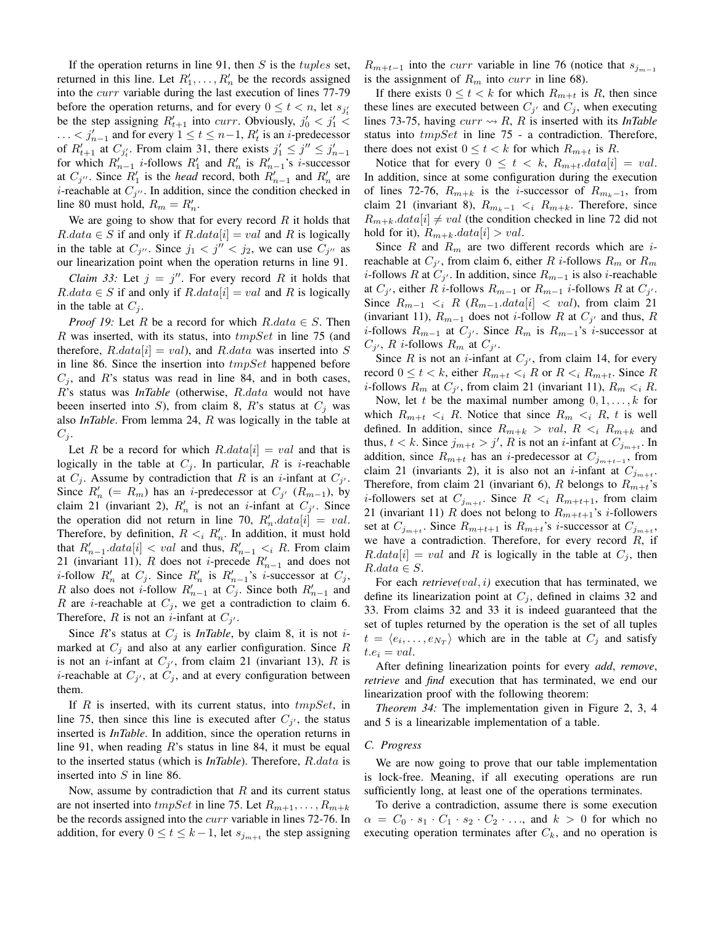If the operation returns in line 91, then  $S$  is the *tuples* set, returned in this line. Let  $R'_1, \ldots, R'_n$  be the records assigned into the curr variable during the last execution of lines 77-79 before the operation returns, and for every  $0 \le t < n$ , let  $s_{j_t}$ be the step assigning  $R'_{t+1}$  into *curr*. Obviously,  $j'_0 < j'_1 <$ ...  $\lt j'_{n-1}$  and for every  $1 \le t \le n-1$ ,  $R'_t$  is an *i*-predecessor of  $R'_{t+1}$  at  $C_{j'_t}$ . From claim 31, there exists  $j'_1 \leq j'' \leq j'_{n-1}$ for which  $R_{n-1}'$  *i*-follows  $R_1'$  and  $R_n'$  is  $R_{n-1}'$ 's *i*-successor at  $C_{j''}$ . Since  $R'_1$  is the *head* record, both  $R'_{n-1}$  and  $R'_n$  are *i*-reachable at  $C_{j''}$ . In addition, since the condition checked in line 80 must hold,  $R_m = R'_n$ .

We are going to show that for every record  $R$  it holds that  $R.data \in S$  if and only if  $R.data[i] = val$  and R is logically in the table at  $C_{j''}$ . Since  $j_1 < j'' < j_2$ , we can use  $C_{j''}$  as our linearization point when the operation returns in line 91.

*Claim 33:* Let  $j = j''$ . For every record R it holds that  $R.data \in S$  if and only if  $R.data[i] = val$  and R is logically in the table at  $C_j$ .

*Proof 19:* Let R be a record for which  $R.data \in S$ . Then R was inserted, with its status, into  $tmpSet$  in line 75 (and therefore,  $R.data[i] = val$ , and  $R.data$  was inserted into S in line 86. Since the insertion into  $tmpSet$  happened before  $C_i$ , and R's status was read in line 84, and in both cases, R's status was *InTable* (otherwise, R.data would not have beeen inserted into S), from claim 8, R's status at  $C_i$  was also *InTable*. From lemma 24, R was logically in the table at  $C_j$ .

Let R be a record for which  $R.data[i] = val$  and that is logically in the table at  $C_i$ . In particular, R is *i*-reachable at  $C_j$ . Assume by contradiction that R is an *i*-infant at  $C_{j'}$ . Since  $R'_n$  (=  $R_m$ ) has an *i*-predecessor at  $C_{j'}$  ( $R_{m-1}$ ), by claim 21 (invariant 2),  $R'_n$  is not an *i*-infant at  $C_{j'}$ . Since the operation did not return in line 70,  $R'_n.data[i] = val$ . Therefore, by definition,  $R \leq_i R'_n$ . In addition, it must hold that  $R'_{n-1}.data[i] < val$  and thus,  $R'_{n-1} < i$  R. From claim 21 (invariant 11), R does not *i*-precede  $R'_{n-1}$  and does not *i*-follow  $R'_n$  at  $C_j$ . Since  $R'_n$  is  $R'_{n-1}$ 's *i*-successor at  $C_j$ , R also does not *i*-follow  $R'_{n-1}$  at  $C_j$ . Since both  $R'_{n-1}$  and R are *i*-reachable at  $C_i$ , we get a contradiction to claim 6. Therefore, R is not an *i*-infant at  $C_{j'}$ .

Since R's status at  $C_i$  is *InTable*, by claim 8, it is not *i*marked at  $C_j$  and also at any earlier configuration. Since R is not an *i*-infant at  $C_{j'}$ , from claim 21 (invariant 13), R is *i*-reachable at  $C_{j'}$ , at  $C_{j}$ , and at every configuration between them.

If  $R$  is inserted, with its current status, into  $tmpSet$ , in line 75, then since this line is executed after  $C_{j'}$ , the status inserted is *InTable*. In addition, since the operation returns in line 91, when reading  $R$ 's status in line 84, it must be equal to the inserted status (which is *InTable*). Therefore, R.data is inserted into S in line 86.

Now, assume by contradiction that  $R$  and its current status are not inserted into  $tmpSet$  in line 75. Let  $R_{m+1}, \ldots, R_{m+k}$ be the records assigned into the curr variable in lines 72-76. In addition, for every  $0 \le t \le k-1$ , let  $s_{j_{m+t}}$  the step assigning

 $R_{m+t-1}$  into the *curr* variable in line 76 (notice that  $s_{j_{m-1}}$ is the assignment of  $R_m$  into *curr* in line 68).

If there exists  $0 \le t < k$  for which  $R_{m+t}$  is R, then since these lines are executed between  $C_{j'}$  and  $C_j$ , when executing lines 73-75, having  $curr \nightharpoonup R$ , R is inserted with its *InTable* status into tmpSet in line 75 - a contradiction. Therefore, there does not exist  $0 \le t < k$  for which  $R_{m+t}$  is R.

Notice that for every  $0 \leq t \leq k$ ,  $R_{m+t}.data[i] = val$ . In addition, since at some configuration during the execution of lines 72-76,  $R_{m+k}$  is the *i*-successor of  $R_{m,k-1}$ , from claim 21 (invariant 8),  $R_{m_k-1} < i \ R_{m+k}$ . Therefore, since  $R_{m+k}.data[i] \neq val$  (the condition checked in line 72 did not hold for it),  $R_{m+k}.data[i] > val.$ 

Since R and  $R_m$  are two different records which are *i*reachable at  $C_{j'}$ , from claim 6, either R *i*-follows  $R_m$  or  $R_m$ *i*-follows R at  $C_{j'}$ . In addition, since  $R_{m-1}$  is also *i*-reachable at  $C_{j'}$ , either R *i*-follows  $R_{m-1}$  or  $R_{m-1}$  *i*-follows R at  $C_{j'}$ . Since  $R_{m-1} \lt_i R$  ( $R_{m-1}.data[i] \lt val$ ), from claim 21 (invariant 11),  $R_{m-1}$  does not *i*-follow R at  $C_{j'}$  and thus, R *i*-follows  $R_{m-1}$  at  $C_j$ . Since  $R_m$  is  $R_{m-1}$ 's *i*-successor at  $C_{j'}$ , R *i*-follows  $R_m$  at  $C_{j'}$ .

Since R is not an *i*-infant at  $C_{j'}$ , from claim 14, for every record  $0 \le t < k$ , either  $R_{m+t} < iR$  or  $R < iR_{m+t}$ . Since R *i*-follows  $R_m$  at  $C_{j'}$ , from claim 21 (invariant 11),  $R_m < iR$ .

Now, let t be the maximal number among  $0, 1, \ldots, k$  for which  $R_{m+t} < i \ R$ . Notice that since  $R_m < i \ R$ , t is well defined. In addition, since  $R_{m+k} > val$ ,  $R \lt_i R_{m+k}$  and thus,  $t < k$ . Since  $j_{m+t} > j'$ , R is not an *i*-infant at  $C_{j_{m+t}}$ . In addition, since  $R_{m+t}$  has an *i*-predecessor at  $C_{j_{m+t-1}}$ , from claim 21 (invariants 2), it is also not an *i*-infant at  $C_{j_{m+t}}$ . Therefore, from claim 21 (invariant 6), R belongs to  $R_{m+t}$ 's *i*-followers set at  $C_{j_{m+t}}$ . Since  $R \leq i \ R_{m+t+1}$ , from claim 21 (invariant 11) R does not belong to  $R_{m+t+1}$ 's *i*-followers set at  $C_{j_{m+t}}$ . Since  $R_{m+t+1}$  is  $R_{m+t}$ 's *i*-successor at  $C_{j_{m+t}}$ , we have a contradiction. Therefore, for every record  $R$ , if  $R.data[i] = val$  and R is logically in the table at  $C_i$ , then  $R.data \in S$ .

For each *retrieve(val, i)* execution that has terminated, we define its linearization point at  $C_j$ , defined in claims 32 and 33. From claims 32 and 33 it is indeed guaranteed that the set of tuples returned by the operation is the set of all tuples  $t = \langle e_i, \dots, e_{N_T} \rangle$  which are in the table at  $C_j$  and satisfy  $t.e_i = val.$ 

After defining linearization points for every *add*, *remove*, *retrieve* and *find* execution that has terminated, we end our linearization proof with the following theorem:

*Theorem 34:* The implementation given in Figure 2, 3, 4 and 5 is a linearizable implementation of a table.

#### *C. Progress*

We are now going to prove that our table implementation is lock-free. Meaning, if all executing operations are run sufficiently long, at least one of the operations terminates.

To derive a contradiction, assume there is some execution  $\alpha = C_0 \cdot s_1 \cdot C_1 \cdot s_2 \cdot C_2 \cdot \ldots$ , and  $k > 0$  for which no executing operation terminates after  $C_k$ , and no operation is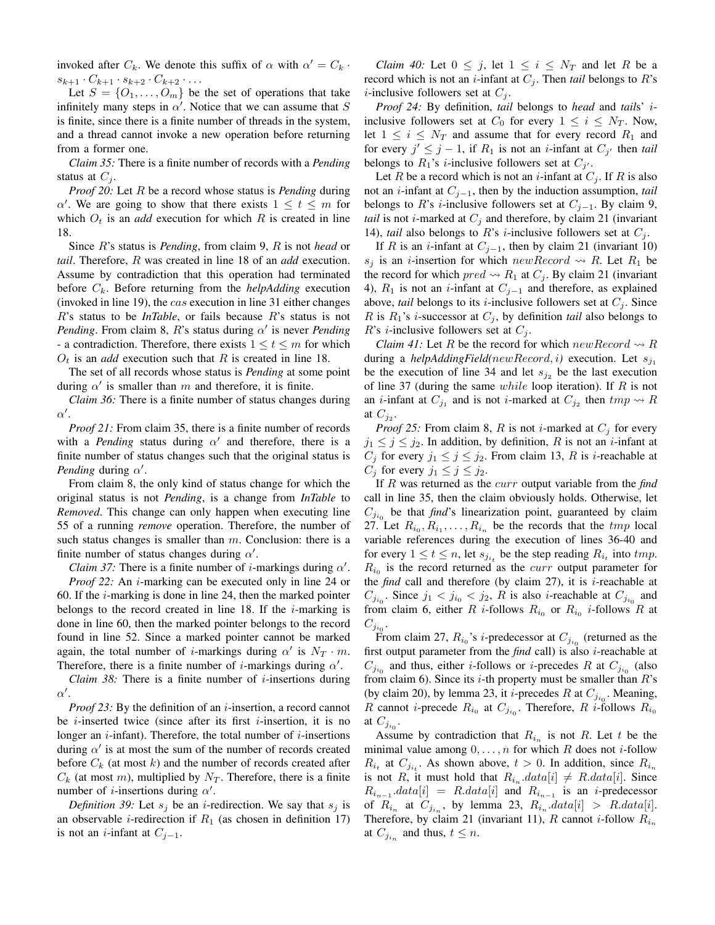invoked after  $C_k$ . We denote this suffix of  $\alpha$  with  $\alpha' = C_k$ .  $s_{k+1} \cdot C_{k+1} \cdot s_{k+2} \cdot C_{k+2} \cdot \ldots$ 

Let  $S = \{O_1, \ldots, O_m\}$  be the set of operations that take infinitely many steps in  $\alpha'$ . Notice that we can assume that S is finite, since there is a finite number of threads in the system, and a thread cannot invoke a new operation before returning from a former one.

*Claim 35:* There is a finite number of records with a *Pending* status at  $C_i$ .

*Proof 20:* Let R be a record whose status is *Pending* during  $\alpha'$ . We are going to show that there exists  $1 \leq t \leq m$  for which  $O_t$  is an *add* execution for which R is created in line 18.

Since R's status is *Pending*, from claim 9, R is not *head* or *tail*. Therefore, R was created in line 18 of an *add* execution. Assume by contradiction that this operation had terminated before  $C_k$ . Before returning from the *helpAdding* execution (invoked in line 19), the cas execution in line 31 either changes R's status to be *InTable*, or fails because R's status is not *Pending*. From claim 8,  $R$ 's status during  $\alpha'$  is never *Pending* - a contradiction. Therefore, there exists  $1 \le t \le m$  for which  $O_t$  is an *add* execution such that R is created in line 18.

The set of all records whose status is *Pending* at some point during  $\alpha'$  is smaller than m and therefore, it is finite.

*Claim 36:* There is a finite number of status changes during  $\alpha'$ .

*Proof 21:* From claim 35, there is a finite number of records with a *Pending* status during  $\alpha'$  and therefore, there is a finite number of status changes such that the original status is *Pending* during  $\alpha'$ .

From claim 8, the only kind of status change for which the original status is not *Pending*, is a change from *InTable* to *Removed*. This change can only happen when executing line 55 of a running *remove* operation. Therefore, the number of such status changes is smaller than  $m$ . Conclusion: there is a finite number of status changes during  $\alpha'$ .

*Claim 37:* There is a finite number of *i*-markings during  $\alpha'$ .

*Proof 22:* An *i*-marking can be executed only in line 24 or 60. If the  $i$ -marking is done in line 24, then the marked pointer belongs to the record created in line 18. If the  $i$ -marking is done in line 60, then the marked pointer belongs to the record found in line 52. Since a marked pointer cannot be marked again, the total number of *i*-markings during  $\alpha'$  is  $N_T \cdot m$ . Therefore, there is a finite number of *i*-markings during  $\alpha'$ .

*Claim 38:* There is a finite number of  $i$ -insertions during  $\alpha'$ .

*Proof 23:* By the definition of an *i*-insertion, a record cannot be *i*-inserted twice (since after its first *i*-insertion, it is no longer an  $i$ -infant). Therefore, the total number of  $i$ -insertions during  $\alpha'$  is at most the sum of the number of records created before  $C_k$  (at most k) and the number of records created after  $C_k$  (at most m), multiplied by  $N_T$ . Therefore, there is a finite number of *i*-insertions during  $\alpha'$ .

*Definition 39:* Let  $s_i$  be an *i*-redirection. We say that  $s_i$  is an observable *i*-redirection if  $R_1$  (as chosen in definition 17) is not an *i*-infant at  $C_{j-1}$ .

*Claim 40:* Let  $0 \leq j$ , let  $1 \leq i \leq N_T$  and let R be a record which is not an *i*-infant at  $C_j$ . Then *tail* belongs to R's *i*-inclusive followers set at  $C_i$ .

*Proof 24:* By definition, *tail* belongs to *head* and *tail*s' iinclusive followers set at  $C_0$  for every  $1 \leq i \leq N_T$ . Now, let  $1 \leq i \leq N_T$  and assume that for every record  $R_1$  and for every  $j' \leq j - 1$ , if  $R_1$  is not an *i*-infant at  $C_{j'}$  then *tail* belongs to  $R_1$ 's *i*-inclusive followers set at  $C_{j'}$ .

Let R be a record which is not an *i*-infant at  $C_i$ . If R is also not an i-infant at Cj−1, then by the induction assumption, *tail* belongs to R's *i*-inclusive followers set at  $C_{j-1}$ . By claim 9, *tail* is not *i*-marked at  $C_i$  and therefore, by claim 21 (invariant 14), *tail* also belongs to R's *i*-inclusive followers set at  $C_i$ .

If R is an *i*-infant at  $C_{j-1}$ , then by claim 21 (invariant 10)  $s_i$  is an *i*-insertion for which new Record  $\rightsquigarrow$  R. Let R<sub>1</sub> be the record for which  $pred \rightsquigarrow R_1$  at  $C_j$ . By claim 21 (invariant 4),  $R_1$  is not an *i*-infant at  $C_{j-1}$  and therefore, as explained above, *tail* belongs to its *i*-inclusive followers set at  $C_i$ . Since R is  $R_1$ 's *i*-successor at  $C_j$ , by definition *tail* also belongs to R's *i*-inclusive followers set at  $C_i$ .

*Claim 41:* Let R be the record for which  $newRecord \rightarrow R$ during a *helpAddingField(newRecord, i)* execution. Let  $s_{j_1}$ be the execution of line 34 and let  $s_{i2}$  be the last execution of line 37 (during the same  $while$  loop iteration). If  $R$  is not an *i*-infant at  $C_{j_1}$  and is not *i*-marked at  $C_{j_2}$  then  $tmp \leadsto R$ at  $C_{j_2}$ .

*Proof 25:* From claim 8, R is not *i*-marked at  $C_j$  for every  $j_1 \leq j \leq j_2$ . In addition, by definition, R is not an *i*-infant at  $C_j$  for every  $j_1 \leq j \leq j_2$ . From claim 13, R is *i*-reachable at  $C_j$  for every  $j_1 \leq j \leq j_2$ .

If R was returned as the curr output variable from the *find* call in line 35, then the claim obviously holds. Otherwise, let  $C_{j_{i_0}}$  be that *find*'s linearization point, guaranteed by claim 27. Let  $R_{i_0}, R_{i_1}, \ldots, R_{i_n}$  be the records that the  $tmp$  local variable references during the execution of lines 36-40 and for every  $1 \le t \le n$ , let  $s_{j_{i_t}}$  be the step reading  $R_{i_t}$  into  $tmp$ .  $R_{i_0}$  is the record returned as the *curr* output parameter for the *find* call and therefore (by claim  $27$ ), it is *i*-reachable at  $C_{j_{i_0}}$ . Since  $j_1 < j_{i_0} < j_2$ , R is also *i*-reachable at  $C_{j_{i_0}}$  and from claim 6, either R *i*-follows  $R_{i_0}$  or  $R_{i_0}$  *i*-follows R at  $C_{j_{i_0}}.$ 

From claim 27,  $R_{i_0}$ 's *i*-predecessor at  $C_{j_{i_0}}$  (returned as the first output parameter from the *find* call) is also i-reachable at  $C_{j_{i_0}}$  and thus, either *i*-follows or *i*-precedes R at  $C_{j_{i_0}}$  (also from claim 6). Since its *i*-th property must be smaller than  $R$ 's (by claim 20), by lemma 23, it *i*-precedes R at  $C_{j_{i_0}}$ . Meaning, R cannot *i*-precede  $R_{i_0}$  at  $C_{j_{i_0}}$ . Therefore, R *i*-follows  $R_{i_0}$ at  $C_{j_{i_0}}$ .

Assume by contradiction that  $R_{i_n}$  is not R. Let t be the minimal value among  $0, \ldots, n$  for which R does not *i*-follow  $R_{i_t}$  at  $C_{j_{i_t}}$ . As shown above,  $t > 0$ . In addition, since  $R_{i_n}$ is not R, it must hold that  $R_{i_n}.data[i] \neq R.data[i]$ . Since  $R_{i_{n-1}}$ .  $data[i] = R.data[i]$  and  $R_{i_{n-1}}$  is an *i*-predecessor of  $R_{i_n}$  at  $C_{j_{i_n}}$ , by lemma 23,  $R_{i_n}.data[i] > R.data[i]$ . Therefore, by claim 21 (invariant 11), R cannot *i*-follow  $R_{i_n}$ at  $C_{j_{i_n}}$  and thus,  $t \leq n$ .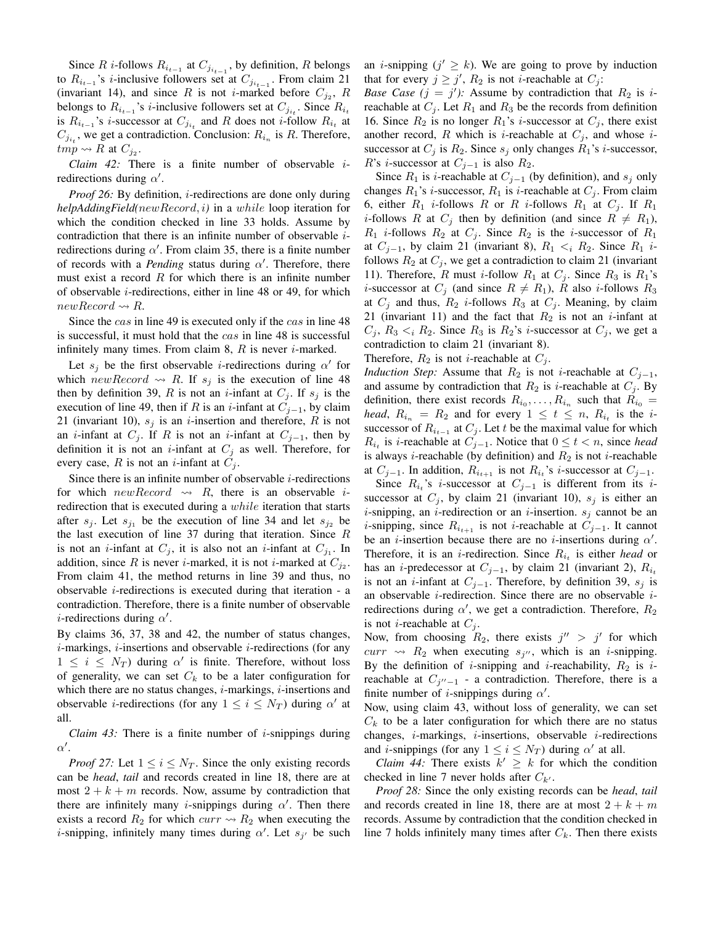Since R *i*-follows  $R_{i_{t-1}}$  at  $C_{j_{i_{t-1}}}$ , by definition, R belongs to  $R_{i_{t-1}}$ 's *i*-inclusive followers set at  $C_{j_{i_{t-1}}}$ . From claim 21 (invariant 14), and since R is not *i*-marked before  $C_{j_2}$ , R belongs to  $R_{i_{t-1}}$ 's *i*-inclusive followers set at  $C_{j_{i_t}}$ . Since  $R_{i_t}$ is  $R_{i_{t-1}}$ 's *i*-successor at  $C_{j_{i_t}}$  and R does not *i*-follow  $R_{i_t}$  at  $C_{j_{i_t}}$ , we get a contradiction. Conclusion:  $R_{i_n}$  is R. Therefore,  $\lim_{p\to\infty} R$  at  $C_{j_2}$ .

*Claim 42:* There is a finite number of observable iredirections during  $\alpha'$ .

*Proof 26:* By definition, *i*-redirections are done only during *helpAddingField(*newRecord, i*)* in a while loop iteration for which the condition checked in line 33 holds. Assume by contradiction that there is an infinite number of observable iredirections during  $\alpha'$ . From claim 35, there is a finite number of records with a *Pending* status during  $\alpha'$ . Therefore, there must exist a record  $R$  for which there is an infinite number of observable *i*-redirections, either in line 48 or 49, for which  $newRecord \leadsto R$ .

Since the *cas* in line 49 is executed only if the *cas* in line 48 is successful, it must hold that the cas in line 48 is successful infinitely many times. From claim 8,  $R$  is never *i*-marked.

Let  $s_j$  be the first observable *i*-redirections during  $\alpha'$  for which new Record  $\rightsquigarrow$  R. If  $s_j$  is the execution of line 48 then by definition 39, R is not an *i*-infant at  $C_i$ . If  $s_i$  is the execution of line 49, then if R is an *i*-infant at  $C_{j-1}$ , by claim 21 (invariant 10),  $s_i$  is an *i*-insertion and therefore, R is not an *i*-infant at  $C_j$ . If R is not an *i*-infant at  $C_{j-1}$ , then by definition it is not an *i*-infant at  $C_j$  as well. Therefore, for every case, R is not an *i*-infant at  $C_i$ .

Since there is an infinite number of observable  $i$ -redirections for which  $newRecord \rightsquigarrow R$ , there is an observable *i*redirection that is executed during a while iteration that starts after  $s_j$ . Let  $s_{j_1}$  be the execution of line 34 and let  $s_{j_2}$  be the last execution of line 37 during that iteration. Since  $R$ is not an *i*-infant at  $C_j$ , it is also not an *i*-infant at  $C_{j_1}$ . In addition, since R is never *i*-marked, it is not *i*-marked at  $C_{j_2}$ . From claim 41, the method returns in line 39 and thus, no observable  $i$ -redirections is executed during that iteration - a contradiction. Therefore, there is a finite number of observable *i*-redirections during  $\alpha'$ .

By claims 36, 37, 38 and 42, the number of status changes,  $i$ -markings,  $i$ -insertions and observable  $i$ -redirections (for any  $1 \leq i \leq N_T$ ) during  $\alpha'$  is finite. Therefore, without loss of generality, we can set  $C_k$  to be a later configuration for which there are no status changes,  $i$ -markings,  $i$ -insertions and observable *i*-redirections (for any  $1 \le i \le N_T$ ) during  $\alpha'$  at all.

*Claim 43:* There is a finite number of  $i$ -snippings during  $\alpha'$ .

*Proof 27:* Let  $1 \le i \le N_T$ . Since the only existing records can be *head*, *tail* and records created in line 18, there are at most  $2 + k + m$  records. Now, assume by contradiction that there are infinitely many *i*-snippings during  $\alpha'$ . Then there exists a record  $R_2$  for which  $curr \rightsquigarrow R_2$  when executing the *i*-snipping, infinitely many times during  $\alpha'$ . Let  $s_{j'}$  be such an *i*-snipping  $(j' \geq k)$ . We are going to prove by induction that for every  $j \geq j'$ ,  $R_2$  is not *i*-reachable at  $C_j$ :

*Base Case*  $(j = j')$ *:* Assume by contradiction that  $R_2$  is *i*reachable at  $C_i$ . Let  $R_1$  and  $R_3$  be the records from definition 16. Since  $R_2$  is no longer  $R_1$ 's *i*-successor at  $C_j$ , there exist another record, R which is *i*-reachable at  $C_j$ , and whose *i*successor at  $C_j$  is  $R_2$ . Since  $s_j$  only changes  $R_1$ 's *i*-successor, R's *i*-successor at  $C_{j-1}$  is also  $R_2$ .

Since  $R_1$  is *i*-reachable at  $C_{j-1}$  (by definition), and  $s_j$  only changes  $R_1$ 's *i*-successor,  $R_1$  is *i*-reachable at  $C_j$ . From claim 6, either  $R_1$  *i*-follows R or R *i*-follows  $R_1$  at  $C_j$ . If  $R_1$ *i*-follows R at  $C_i$  then by definition (and since  $R \neq R_1$ ),  $R_1$  *i*-follows  $R_2$  at  $C_j$ . Since  $R_2$  is the *i*-successor of  $R_1$ at  $C_{j-1}$ , by claim 21 (invariant 8),  $R_1 \lt_i R_2$ . Since  $R_1$  *i*follows  $R_2$  at  $C_j$ , we get a contradiction to claim 21 (invariant 11). Therefore, R must *i*-follow  $R_1$  at  $C_j$ . Since  $R_3$  is  $R_1$ 's *i*-successor at  $C_j$  (and since  $R \neq R_1$ ), R also *i*-follows  $R_3$ at  $C_j$  and thus,  $R_2$  *i*-follows  $R_3$  at  $C_j$ . Meaning, by claim 21 (invariant 11) and the fact that  $R_2$  is not an *i*-infant at  $C_i$ ,  $R_3 < i R_2$ . Since  $R_3$  is  $R_2$ 's *i*-successor at  $C_i$ , we get a contradiction to claim 21 (invariant 8).

Therefore,  $R_2$  is not *i*-reachable at  $C_i$ .

*Induction Step:* Assume that  $R_2$  is not *i*-reachable at  $C_{j-1}$ , and assume by contradiction that  $R_2$  is *i*-reachable at  $C_i$ . By definition, there exist records  $R_{i_0}, \ldots, R_{i_n}$  such that  $R_{i_0} =$ *head*,  $R_{i_n} = R_2$  and for every  $1 \le t \le n$ ,  $R_{i_t}$  is the *i*successor of  $R_{i_{t-1}}$  at  $C_j$ . Let t be the maximal value for which  $R_{i_t}$  is *i*-reachable at  $C_{j-1}$ . Notice that  $0 \le t < n$ , since *head* is always *i*-reachable (by definition) and  $R_2$  is not *i*-reachable at  $C_{j-1}$ . In addition,  $R_{i_{t+1}}$  is not  $R_{i_t}$ 's *i*-successor at  $C_{j-1}$ .

Since  $R_{i_t}$ 's *i*-successor at  $C_{j-1}$  is different from its *i*successor at  $C_j$ , by claim 21 (invariant 10),  $s_j$  is either an *i*-snipping, an *i*-redirection or an *i*-insertion.  $s_j$  cannot be an *i*-snipping, since  $R_{i_{t+1}}$  is not *i*-reachable at  $C_{j-1}$ . It cannot be an *i*-insertion because there are no *i*-insertions during  $\alpha'$ . Therefore, it is an *i*-redirection. Since  $R_{i_t}$  is either *head* or has an *i*-predecessor at  $C_{j-1}$ , by claim 21 (invariant 2),  $R_{i_t}$ is not an *i*-infant at  $C_{j-1}$ . Therefore, by definition 39,  $s_j$  is an observable i-redirection. Since there are no observable iredirections during  $\alpha'$ , we get a contradiction. Therefore,  $R_2$ is not *i*-reachable at  $C_i$ .

Now, from choosing  $R_2$ , there exists  $j'' > j'$  for which  $curr \rightsquigarrow R_2$  when executing  $s_{j''}$ , which is an *i*-snipping. By the definition of *i*-snipping and *i*-reachability,  $R_2$  is *i*reachable at  $C_{j''-1}$  - a contradiction. Therefore, there is a finite number of *i*-snippings during  $\alpha'$ .

Now, using claim 43, without loss of generality, we can set  $C_k$  to be a later configuration for which there are no status changes,  $i$ -markings,  $i$ -insertions, observable  $i$ -redirections and *i*-snippings (for any  $1 \le i \le N_T$ ) during  $\alpha'$  at all.

*Claim 44:* There exists  $k' \geq k$  for which the condition checked in line 7 never holds after  $C_{k'}$ .

*Proof 28:* Since the only existing records can be *head*, *tail* and records created in line 18, there are at most  $2 + k + m$ records. Assume by contradiction that the condition checked in line 7 holds infinitely many times after  $C_k$ . Then there exists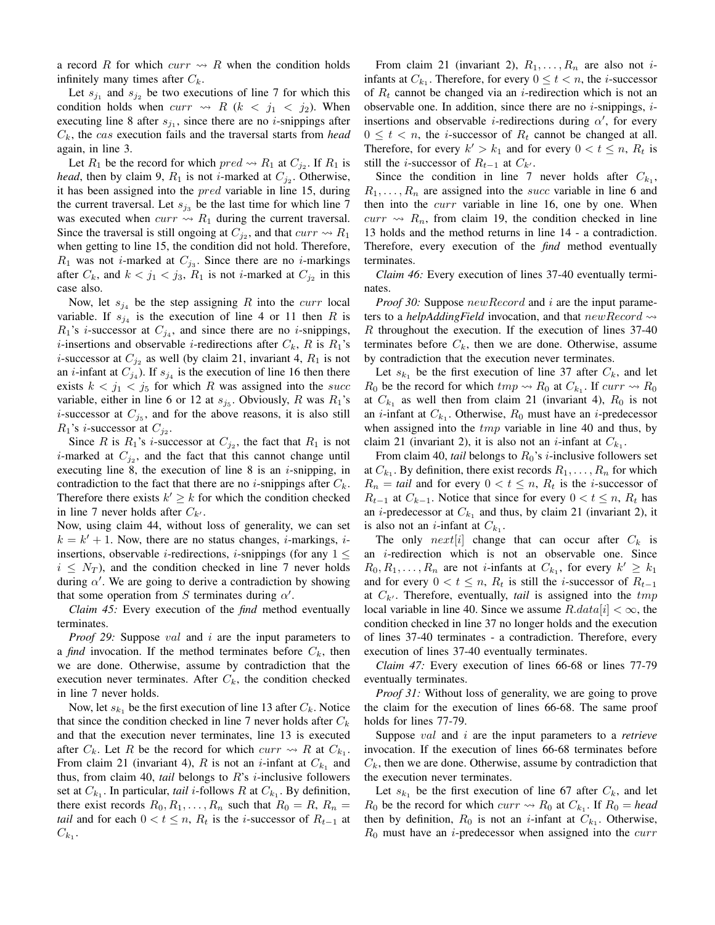a record R for which  $curr \rightsquigarrow R$  when the condition holds infinitely many times after  $C_k$ .

Let  $s_{j_1}$  and  $s_{j_2}$  be two executions of line 7 for which this condition holds when  $curr \rightsquigarrow R$  ( $k < j_1 < j_2$ ). When executing line 8 after  $s_{j_1}$ , since there are no *i*-snippings after  $C_k$ , the *cas* execution fails and the traversal starts from *head* again, in line 3.

Let  $R_1$  be the record for which  $pred \rightsquigarrow R_1$  at  $C_{j_2}$ . If  $R_1$  is *head*, then by claim 9,  $R_1$  is not *i*-marked at  $C_{j_2}$ . Otherwise, it has been assigned into the pred variable in line 15, during the current traversal. Let  $s_{j_3}$  be the last time for which line 7 was executed when  $curr \rightsquigarrow R_1$  during the current traversal. Since the traversal is still ongoing at  $C_{j_2}$ , and that  $curr \rightsquigarrow R_1$ when getting to line 15, the condition did not hold. Therefore,  $R_1$  was not *i*-marked at  $C_{j_3}$ . Since there are no *i*-markings after  $C_k$ , and  $k < j_1 < j_3$ ,  $R_1$  is not *i*-marked at  $C_{j_2}$  in this case also.

Now, let  $s_{j_4}$  be the step assigning R into the *curr* local variable. If  $s_{j_4}$  is the execution of line 4 or 11 then R is  $R_1$ 's *i*-successor at  $C_{j_4}$ , and since there are no *i*-snippings, *i*-insertions and observable *i*-redirections after  $C_k$ , R is  $R_1$ 's *i*-successor at  $C_{j_2}$  as well (by claim 21, invariant 4,  $R_1$  is not an *i*-infant at  $C_{j_4}$ ). If  $s_{j_4}$  is the execution of line 16 then there exists  $k < j_1 < j_5$  for which R was assigned into the succ variable, either in line 6 or 12 at  $s_{j_5}$ . Obviously, R was  $R_1$ 's *i*-successor at  $C_{j_5}$ , and for the above reasons, it is also still  $R_1$ 's *i*-successor at  $C_{j_2}$ .

Since R is  $R_1$ 's *i*-successor at  $C_{j_2}$ , the fact that  $R_1$  is not *i*-marked at  $C_{j_2}$ , and the fact that this cannot change until executing line 8, the execution of line 8 is an  $i$ -snipping, in contradiction to the fact that there are no *i*-snippings after  $C_k$ . Therefore there exists  $k' \geq k$  for which the condition checked in line 7 never holds after  $C_{k'}$ .

Now, using claim 44, without loss of generality, we can set  $k = k' + 1$ . Now, there are no status changes, *i*-markings, *i*insertions, observable *i*-redirections, *i*-snippings (for any  $1 \leq$  $i \leq N_T$ ), and the condition checked in line 7 never holds during  $\alpha'$ . We are going to derive a contradiction by showing that some operation from S terminates during  $\alpha'$ .

*Claim 45:* Every execution of the *find* method eventually terminates.

*Proof 29:* Suppose *val* and *i* are the input parameters to a *find* invocation. If the method terminates before  $C_k$ , then we are done. Otherwise, assume by contradiction that the execution never terminates. After  $C_k$ , the condition checked in line 7 never holds.

Now, let  $s_{k_1}$  be the first execution of line 13 after  $C_k$ . Notice that since the condition checked in line 7 never holds after  $C_k$ and that the execution never terminates, line 13 is executed after  $C_k$ . Let R be the record for which  $curr \rightsquigarrow R$  at  $C_{k_1}$ . From claim 21 (invariant 4), R is not an *i*-infant at  $C_{k_1}$  and thus, from claim 40, *tail* belongs to  $R$ 's *i*-inclusive followers set at  $C_{k_1}$ . In particular, *tail i*-follows R at  $C_{k_1}$ . By definition, there exist records  $R_0, R_1, \ldots, R_n$  such that  $R_0 = R$ ,  $R_n =$ *tail* and for each  $0 < t \le n$ ,  $R_t$  is the *i*-successor of  $R_{t-1}$  at  $C_{k_1}$ .

From claim 21 (invariant 2),  $R_1, \ldots, R_n$  are also not *i*infants at  $C_{k_1}$ . Therefore, for every  $0 \le t < n$ , the *i*-successor of  $R_t$  cannot be changed via an *i*-redirection which is not an observable one. In addition, since there are no  $i$ -snippings,  $i$ insertions and observable *i*-redirections during  $\alpha'$ , for every  $0 \leq t < n$ , the *i*-successor of  $R_t$  cannot be changed at all. Therefore, for every  $k' > k_1$  and for every  $0 < t \le n$ ,  $R_t$  is still the *i*-successor of  $R_{t-1}$  at  $C_{k'}$ .

Since the condition in line 7 never holds after  $C_{k_1}$ ,  $R_1, \ldots, R_n$  are assigned into the *succ* variable in line 6 and then into the *curr* variable in line 16, one by one. When  $curr \rightarrow R_n$ , from claim 19, the condition checked in line 13 holds and the method returns in line 14 - a contradiction. Therefore, every execution of the *find* method eventually terminates.

*Claim 46:* Every execution of lines 37-40 eventually terminates.

*Proof 30:* Suppose  $newRecord$  and i are the input parameters to a *helpAddingField* invocation, and that  $newRecord \rightarrow$ R throughout the execution. If the execution of lines 37-40 terminates before  $C_k$ , then we are done. Otherwise, assume by contradiction that the execution never terminates.

Let  $s_{k_1}$  be the first execution of line 37 after  $C_k$ , and let  $R_0$  be the record for which  $tmp \leadsto R_0$  at  $C_{k_1}$ . If  $curr \leadsto R_0$ at  $C_{k_1}$  as well then from claim 21 (invariant 4),  $R_0$  is not an *i*-infant at  $C_{k_1}$ . Otherwise,  $R_0$  must have an *i*-predecessor when assigned into the  $tmp$  variable in line 40 and thus, by claim 21 (invariant 2), it is also not an *i*-infant at  $C_{k_1}$ .

From claim 40, *tail* belongs to R<sub>0</sub>'s *i*-inclusive followers set at  $C_{k_1}$ . By definition, there exist records  $R_1, \ldots, R_n$  for which  $R_n = \text{tail}$  and for every  $0 < t \leq n$ ,  $R_t$  is the *i*-successor of  $R_{t-1}$  at  $C_{k-1}$ . Notice that since for every  $0 < t \leq n$ ,  $R_t$  has an *i*-predecessor at  $C_{k_1}$  and thus, by claim 21 (invariant 2), it is also not an *i*-infant at  $C_{k_1}$ .

The only  $next[i]$  change that can occur after  $C_k$  is an i-redirection which is not an observable one. Since  $R_0, R_1, \ldots, R_n$  are not *i*-infants at  $C_{k_1}$ , for every  $k' \geq k_1$ and for every  $0 < t \leq n$ ,  $R_t$  is still the *i*-successor of  $R_{t-1}$ at  $C_{k'}$ . Therefore, eventually, *tail* is assigned into the  $tmp$ local variable in line 40. Since we assume  $R.data[i] < \infty$ , the condition checked in line 37 no longer holds and the execution of lines 37-40 terminates - a contradiction. Therefore, every execution of lines 37-40 eventually terminates.

*Claim 47:* Every execution of lines 66-68 or lines 77-79 eventually terminates.

*Proof 31:* Without loss of generality, we are going to prove the claim for the execution of lines 66-68. The same proof holds for lines 77-79.

Suppose val and i are the input parameters to a *retrieve* invocation. If the execution of lines 66-68 terminates before  $C_k$ , then we are done. Otherwise, assume by contradiction that the execution never terminates.

Let  $s_{k_1}$  be the first execution of line 67 after  $C_k$ , and let  $R_0$  be the record for which *curr*  $\rightsquigarrow R_0$  at  $C_{k_1}$ . If  $R_0 = head$ then by definition,  $R_0$  is not an *i*-infant at  $C_{k_1}$ . Otherwise,  $R_0$  must have an *i*-predecessor when assigned into the *curr*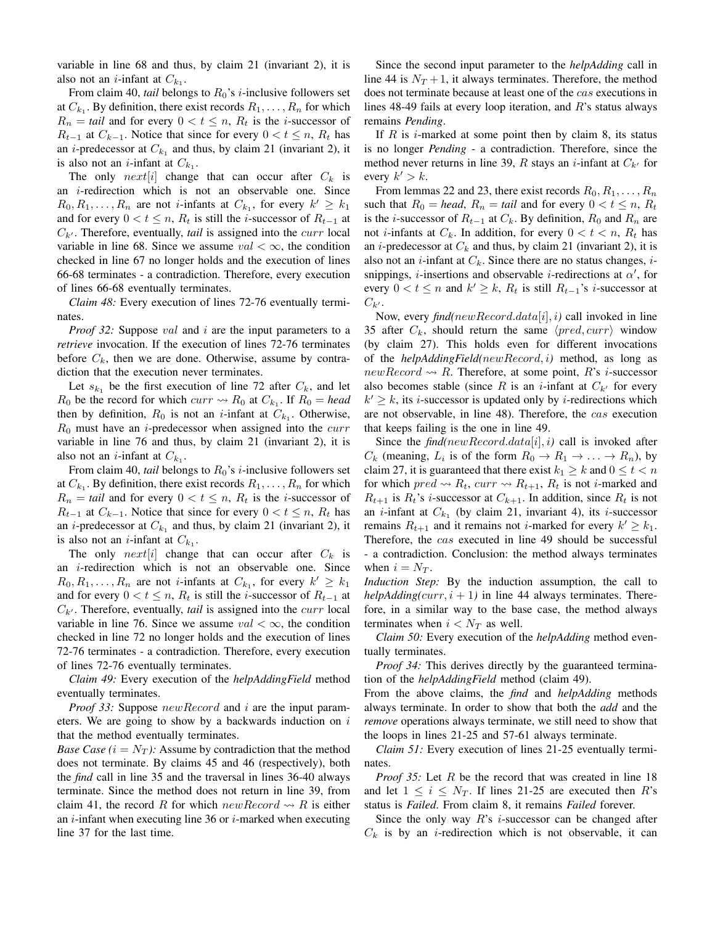variable in line 68 and thus, by claim 21 (invariant 2), it is also not an *i*-infant at  $C_{k_1}$ .

From claim 40, *tail* belongs to  $R_0$ 's *i*-inclusive followers set at  $C_{k_1}$ . By definition, there exist records  $R_1, \ldots, R_n$  for which  $R_n = \text{tail}$  and for every  $0 < t \leq n$ ,  $R_t$  is the *i*-successor of  $R_{t-1}$  at  $C_{k-1}$ . Notice that since for every  $0 < t \leq n$ ,  $R_t$  has an *i*-predecessor at  $C_{k_1}$  and thus, by claim 21 (invariant 2), it is also not an *i*-infant at  $C_{k_1}$ .

The only  $next[i]$  change that can occur after  $C_k$  is an i-redirection which is not an observable one. Since  $R_0, R_1, \ldots, R_n$  are not *i*-infants at  $C_{k_1}$ , for every  $k' \geq k_1$ and for every  $0 < t \leq n$ ,  $R_t$  is still the *i*-successor of  $R_{t-1}$  at  $C_{k'}$ . Therefore, eventually, *tail* is assigned into the *curr* local variable in line 68. Since we assume  $val < \infty$ , the condition checked in line 67 no longer holds and the execution of lines 66-68 terminates - a contradiction. Therefore, every execution of lines 66-68 eventually terminates.

*Claim 48:* Every execution of lines 72-76 eventually terminates.

*Proof 32:* Suppose *val* and *i* are the input parameters to a *retrieve* invocation. If the execution of lines 72-76 terminates before  $C_k$ , then we are done. Otherwise, assume by contradiction that the execution never terminates.

Let  $s_{k_1}$  be the first execution of line 72 after  $C_k$ , and let  $R_0$  be the record for which  $curr \rightsquigarrow R_0$  at  $C_{k_1}$ . If  $R_0 = head$ then by definition,  $R_0$  is not an *i*-infant at  $C_{k_1}$ . Otherwise,  $R_0$  must have an *i*-predecessor when assigned into the *curr* variable in line 76 and thus, by claim 21 (invariant 2), it is also not an *i*-infant at  $C_{k_1}$ .

From claim 40, *tail* belongs to  $R_0$ 's *i*-inclusive followers set at  $C_{k_1}$ . By definition, there exist records  $R_1, \ldots, R_n$  for which  $R_n = \text{tail}$  and for every  $0 < t \leq n$ ,  $R_t$  is the *i*-successor of  $R_{t-1}$  at  $C_{k-1}$ . Notice that since for every  $0 < t \leq n$ ,  $R_t$  has an *i*-predecessor at  $C_{k_1}$  and thus, by claim 21 (invariant 2), it is also not an *i*-infant at  $C_{k_1}$ .

The only  $next[i]$  change that can occur after  $C_k$  is an i-redirection which is not an observable one. Since  $R_0, R_1, \ldots, R_n$  are not *i*-infants at  $C_{k_1}$ , for every  $k' \geq k_1$ and for every  $0 < t \le n$ ,  $R_t$  is still the *i*-successor of  $R_{t-1}$  at  $C_{k'}$ . Therefore, eventually, *tail* is assigned into the *curr* local variable in line 76. Since we assume  $val < \infty$ , the condition checked in line 72 no longer holds and the execution of lines 72-76 terminates - a contradiction. Therefore, every execution of lines 72-76 eventually terminates.

*Claim 49:* Every execution of the *helpAddingField* method eventually terminates.

*Proof 33:* Suppose  $newRecord$  and i are the input parameters. We are going to show by a backwards induction on  $i$ that the method eventually terminates.

*Base Case*  $(i = N_T)$ *:* Assume by contradiction that the method does not terminate. By claims 45 and 46 (respectively), both the *find* call in line 35 and the traversal in lines 36-40 always terminate. Since the method does not return in line 39, from claim 41, the record R for which  $newRecord \rightarrow R$  is either an  $i$ -infant when executing line 36 or  $i$ -marked when executing line 37 for the last time.

Since the second input parameter to the *helpAdding* call in line 44 is  $N_T + 1$ , it always terminates. Therefore, the method does not terminate because at least one of the cas executions in lines 48-49 fails at every loop iteration, and  $R$ 's status always remains *Pending*.

If  $R$  is i-marked at some point then by claim 8, its status is no longer *Pending* - a contradiction. Therefore, since the method never returns in line 39, R stays an *i*-infant at  $C_{k'}$  for every  $k' > k$ .

From lemmas 22 and 23, there exist records  $R_0, R_1, \ldots, R_n$ such that  $R_0 = head$ ,  $R_n = tail$  and for every  $0 < t \le n$ ,  $R_t$ is the *i*-successor of  $R_{t-1}$  at  $C_k$ . By definition,  $R_0$  and  $R_n$  are not *i*-infants at  $C_k$ . In addition, for every  $0 < t < n$ ,  $R_t$  has an *i*-predecessor at  $C_k$  and thus, by claim 21 (invariant 2), it is also not an *i*-infant at  $C_k$ . Since there are no status changes, *i*snippings, *i*-insertions and observable *i*-redirections at  $\alpha'$ , for every  $0 < t \leq n$  and  $k' \geq k$ ,  $R_t$  is still  $R_{t-1}$ 's *i*-successor at  $C_{k'}$ .

Now, every *find(*newRecord.data[i], i*)* call invoked in line 35 after  $C_k$ , should return the same  $\langle pred, curr \rangle$  window (by claim 27). This holds even for different invocations of the *helpAddingField(*newRecord, i*)* method, as long as newRecord  $\rightsquigarrow$  R. Therefore, at some point, R's *i*-successor also becomes stable (since R is an *i*-infant at  $C_{k'}$  for every  $k' \geq k$ , its *i*-successor is updated only by *i*-redirections which are not observable, in line 48). Therefore, the cas execution that keeps failing is the one in line 49.

Since the  $find(newRecord.data[i], i)$  call is invoked after  $C_k$  (meaning,  $L_i$  is of the form  $R_0 \to R_1 \to \ldots \to R_n$ ), by claim 27, it is guaranteed that there exist  $k_1 \geq k$  and  $0 \leq t < n$ for which  $pred \rightsquigarrow R_t$ ,  $curr \rightsquigarrow R_{t+1}$ ,  $R_t$  is not *i*-marked and  $R_{t+1}$  is  $R_t$ 's *i*-successor at  $C_{k+1}$ . In addition, since  $R_t$  is not an *i*-infant at  $C_{k_1}$  (by claim 21, invariant 4), its *i*-successor remains  $R_{t+1}$  and it remains not *i*-marked for every  $k' \geq k_1$ . Therefore, the cas executed in line 49 should be successful - a contradiction. Conclusion: the method always terminates when  $i = N_T$ .

*Induction Step:* By the induction assumption, the call to *helpAdding(curr, i* + 1) in line 44 always terminates. Therefore, in a similar way to the base case, the method always terminates when  $i < N_T$  as well.

*Claim 50:* Every execution of the *helpAdding* method eventually terminates.

*Proof 34:* This derives directly by the guaranteed termination of the *helpAddingField* method (claim 49).

From the above claims, the *find* and *helpAdding* methods always terminate. In order to show that both the *add* and the *remove* operations always terminate, we still need to show that the loops in lines 21-25 and 57-61 always terminate.

*Claim 51:* Every execution of lines 21-25 eventually terminates.

*Proof 35:* Let R be the record that was created in line 18 and let  $1 \le i \le N_T$ . If lines 21-25 are executed then R's status is *Failed*. From claim 8, it remains *Failed* forever.

Since the only way  $R$ 's *i*-successor can be changed after  $C_k$  is by an *i*-redirection which is not observable, it can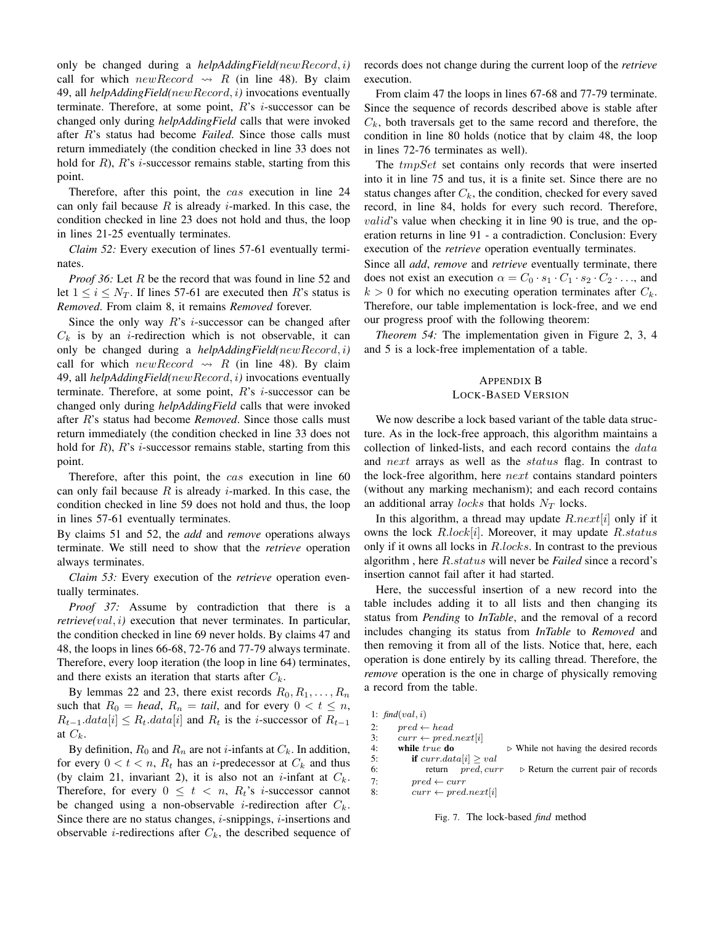only be changed during a *helpAddingField(*newRecord, i*)* call for which new Record  $\rightsquigarrow$  R (in line 48). By claim 49, all *helpAddingField(*newRecord, i*)* invocations eventually terminate. Therefore, at some point,  $R$ 's *i*-successor can be changed only during *helpAddingField* calls that were invoked after R's status had become *Failed*. Since those calls must return immediately (the condition checked in line 33 does not hold for  $R$ ),  $R$ 's *i*-successor remains stable, starting from this point.

Therefore, after this point, the cas execution in line 24 can only fail because  $R$  is already *i*-marked. In this case, the condition checked in line 23 does not hold and thus, the loop in lines 21-25 eventually terminates.

*Claim 52:* Every execution of lines 57-61 eventually terminates.

*Proof 36:* Let R be the record that was found in line 52 and let  $1 \leq i \leq N_T$ . If lines 57-61 are executed then R's status is *Removed*. From claim 8, it remains *Removed* forever.

Since the only way  $R$ 's *i*-successor can be changed after  $C_k$  is by an *i*-redirection which is not observable, it can only be changed during a *helpAddingField(*newRecord, i*)* call for which  $newRecord \rightsquigarrow R$  (in line 48). By claim 49, all *helpAddingField(*newRecord, i*)* invocations eventually terminate. Therefore, at some point,  $R$ 's *i*-successor can be changed only during *helpAddingField* calls that were invoked after R's status had become *Removed*. Since those calls must return immediately (the condition checked in line 33 does not hold for  $R$ ),  $R$ 's *i*-successor remains stable, starting from this point.

Therefore, after this point, the *cas* execution in line 60 can only fail because  $R$  is already *i*-marked. In this case, the condition checked in line 59 does not hold and thus, the loop in lines 57-61 eventually terminates.

By claims 51 and 52, the *add* and *remove* operations always terminate. We still need to show that the *retrieve* operation always terminates.

*Claim 53:* Every execution of the *retrieve* operation eventually terminates.

*Proof 37:* Assume by contradiction that there is a *retrieve(val, i)* execution that never terminates. In particular, the condition checked in line 69 never holds. By claims 47 and 48, the loops in lines 66-68, 72-76 and 77-79 always terminate. Therefore, every loop iteration (the loop in line 64) terminates, and there exists an iteration that starts after  $C_k$ .

By lemmas 22 and 23, there exist records  $R_0, R_1, \ldots, R_n$ such that  $R_0 = head$ ,  $R_n = tail$ , and for every  $0 < t \le n$ ,  $R_{t-1}.data[i] \leq R_t.data[i]$  and  $R_t$  is the *i*-successor of  $R_{t-1}$ at  $C_k$ .

By definition,  $R_0$  and  $R_n$  are not *i*-infants at  $C_k$ . In addition, for every  $0 < t < n$ ,  $R_t$  has an *i*-predecessor at  $C_k$  and thus (by claim 21, invariant 2), it is also not an *i*-infant at  $C_k$ . Therefore, for every  $0 \leq t \leq n$ ,  $R_t$ 's *i*-successor cannot be changed using a non-observable *i*-redirection after  $C_k$ . Since there are no status changes,  $i$ -snippings,  $i$ -insertions and observable *i*-redirections after  $C_k$ , the described sequence of

records does not change during the current loop of the *retrieve* execution.

From claim 47 the loops in lines 67-68 and 77-79 terminate. Since the sequence of records described above is stable after  $C_k$ , both traversals get to the same record and therefore, the condition in line 80 holds (notice that by claim 48, the loop in lines 72-76 terminates as well).

The *tmpSet* set contains only records that were inserted into it in line 75 and tus, it is a finite set. Since there are no status changes after  $C_k$ , the condition, checked for every saved record, in line 84, holds for every such record. Therefore, *valid's* value when checking it in line 90 is true, and the operation returns in line 91 - a contradiction. Conclusion: Every execution of the *retrieve* operation eventually terminates.

Since all *add*, *remove* and *retrieve* eventually terminate, there does not exist an execution  $\alpha = C_0 \cdot s_1 \cdot C_1 \cdot s_2 \cdot C_2 \cdot \ldots$ , and  $k > 0$  for which no executing operation terminates after  $C_k$ . Therefore, our table implementation is lock-free, and we end our progress proof with the following theorem:

*Theorem 54:* The implementation given in Figure 2, 3, 4 and 5 is a lock-free implementation of a table.

# APPENDIX B

## LOCK-BASED VERSION

We now describe a lock based variant of the table data structure. As in the lock-free approach, this algorithm maintains a collection of linked-lists, and each record contains the data and next arrays as well as the *status* flag. In contrast to the lock-free algorithm, here next contains standard pointers (without any marking mechanism); and each record contains an additional array *locks* that holds  $N_T$  locks.

In this algorithm, a thread may update  $R.next[i]$  only if it owns the lock  $R~lock[i]$ . Moreover, it may update  $R~status$ only if it owns all locks in R.locks. In contrast to the previous algorithm , here R.status will never be *Failed* since a record's insertion cannot fail after it had started.

Here, the successful insertion of a new record into the table includes adding it to all lists and then changing its status from *Pending* to *InTable*, and the removal of a record includes changing its status from *InTable* to *Removed* and then removing it from all of the lists. Notice that, here, each operation is done entirely by its calling thread. Therefore, the *remove* operation is the one in charge of physically removing a record from the table.

```
1: find(val, i)
2: pred \leftarrow head<br>3: curr \leftarrow pred.
        curr \leftarrow pred.next[i]4: while true do \triangleright While not having the desired records 5: if curr.data[i] \geq valif curr.data[i] \geq val6: return pred, curr \rightharpoonup Return the current pair of records
7: pred \leftarrow curr8: curr \leftarrow pred.next[i]
```
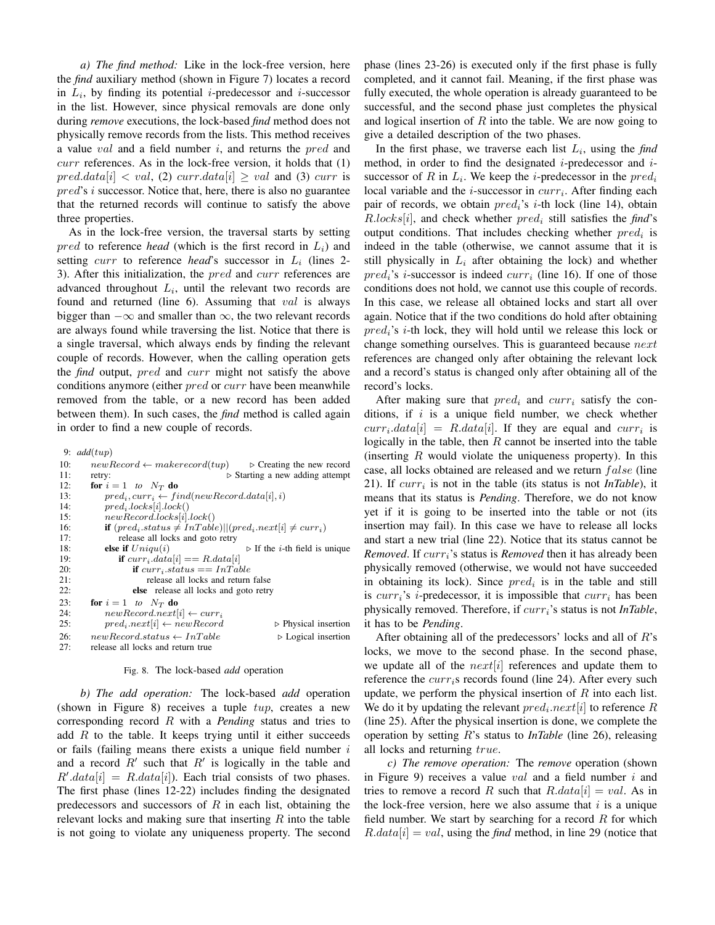*a) The find method:* Like in the lock-free version, here the *find* auxiliary method (shown in Figure 7) locates a record in  $L_i$ , by finding its potential *i*-predecessor and *i*-successor in the list. However, since physical removals are done only during *remove* executions, the lock-based *find* method does not physically remove records from the lists. This method receives a value val and a field number  $i$ , and returns the  $pred$  and  $curr$  references. As in the lock-free version, it holds that  $(1)$  $pred.data[i] < val$ , (2) curr.data $[i] \ge val$  and (3) curr is pred's i successor. Notice that, here, there is also no guarantee that the returned records will continue to satisfy the above three properties.

As in the lock-free version, the traversal starts by setting  $pred$  to reference *head* (which is the first record in  $L<sub>i</sub>$ ) and setting *curr* to reference *head*'s successor in  $L_i$  (lines 2-3). After this initialization, the *pred* and *curr* references are advanced throughout  $L_i$ , until the relevant two records are found and returned (line 6). Assuming that val is always bigger than  $-\infty$  and smaller than  $\infty$ , the two relevant records are always found while traversing the list. Notice that there is a single traversal, which always ends by finding the relevant couple of records. However, when the calling operation gets the *find* output, pred and curr might not satisfy the above conditions anymore (either *pred* or *curr* have been meanwhile removed from the table, or a new record has been added between them). In such cases, the *find* method is called again in order to find a new couple of records.

9: *add*(tup)

10:  $newRecord \leftarrow makerecord(tup) \rightarrow Creating the new record$ <br>11:  $text{letty:} \rightarrow Starting a new adding attempt$ 11: retry: . Starting a new adding attempt 12: **for**  $i = 1$  *to*  $N_T$  **do**<br>13: *pred<sub>i</sub>*, *curr<sub>i</sub>*  $\leftarrow$  *fi*  $pred_i, curr_i \leftarrow find(newRecord.data[i], i)$ 14:  $pred_i. locks[i].lock()$ <br>15:  $newRecord.locks[i].$  $newRecord. locks[i].lock()$ 16: **if**  $(pred_i.startus \neq InTable)|| (pred_i.next[i] \neq curr_i)$ <br>17: release all locks and goto retry release all locks and goto retry 18: **else if**  $Uniqu(i)$   $\triangleright$  If the *i*-th field is unique 19: **if**  $curr_i.data[i] == R.data[i]$ <br>
20: **if**  $curr_i.stateus == InTal$ 20: **if**  $curr_i.\overline{status} == InTable$ <br>21: **if** release all locks and return release all locks and return false 22: else release all locks and goto retry 23: **for**  $i = 1$  *to*  $N_T$  **do**<br>24: *new Record.next*  $newRecord.next[i] \leftarrow curr_i$ 25:  $pred_i.next[i] \leftarrow newRecord$   $\triangleright$  Physical insertion 26:  $newRecord\: \leftarrow InTable$   $\triangleright$  Logical insertion 27: release all locks and return true release all locks and return true

#### Fig. 8. The lock-based *add* operation

*b) The add operation:* The lock-based *add* operation (shown in Figure 8) receives a tuple  $tup$ , creates a new corresponding record R with a *Pending* status and tries to add  $R$  to the table. It keeps trying until it either succeeds or fails (failing means there exists a unique field number  $i$ and a record  $R'$  such that  $R'$  is logically in the table and  $R' . data[i] = R . data[i]$ . Each trial consists of two phases. The first phase (lines 12-22) includes finding the designated predecessors and successors of  $R$  in each list, obtaining the relevant locks and making sure that inserting  $R$  into the table is not going to violate any uniqueness property. The second phase (lines 23-26) is executed only if the first phase is fully completed, and it cannot fail. Meaning, if the first phase was fully executed, the whole operation is already guaranteed to be successful, and the second phase just completes the physical and logical insertion of  $R$  into the table. We are now going to give a detailed description of the two phases.

In the first phase, we traverse each list  $L_i$ , using the *find* method, in order to find the designated  $i$ -predecessor and  $i$ successor of R in  $L_i$ . We keep the *i*-predecessor in the  $pred_i$ local variable and the *i*-successor in  $curr_i$ . After finding each pair of records, we obtain  $pred_i$ 's *i*-th lock (line 14), obtain  $R. locks[i]$ , and check whether  $pred_i$  still satisfies the *find*'s output conditions. That includes checking whether  $pred_i$  is indeed in the table (otherwise, we cannot assume that it is still physically in  $L_i$  after obtaining the lock) and whether  $pred_i$ 's *i*-successor is indeed  $curr_i$  (line 16). If one of those conditions does not hold, we cannot use this couple of records. In this case, we release all obtained locks and start all over again. Notice that if the two conditions do hold after obtaining  $pred_i$ 's *i*-th lock, they will hold until we release this lock or change something ourselves. This is guaranteed because next references are changed only after obtaining the relevant lock and a record's status is changed only after obtaining all of the record's locks.

After making sure that  $pred_i$  and  $curr_i$  satisfy the conditions, if  $i$  is a unique field number, we check whether  $curr_i.data[i] = R.data[i]$ . If they are equal and  $curr_i$  is logically in the table, then  $R$  cannot be inserted into the table (inserting  $R$  would violate the uniqueness property). In this case, all locks obtained are released and we return  $false$  (line 21). If  $curr_i$  is not in the table (its status is not *InTable*), it means that its status is *Pending*. Therefore, we do not know yet if it is going to be inserted into the table or not (its insertion may fail). In this case we have to release all locks and start a new trial (line 22). Notice that its status cannot be *Removed.* If curr<sub>i</sub>'s status is *Removed* then it has already been physically removed (otherwise, we would not have succeeded in obtaining its lock). Since  $pred_i$  is in the table and still is  $curr_i$ 's *i*-predecessor, it is impossible that  $curr_i$  has been physically removed. Therefore, if  $curr_i$ 's status is not *InTable*, it has to be *Pending*.

After obtaining all of the predecessors' locks and all of  $R$ 's locks, we move to the second phase. In the second phase, we update all of the  $next[i]$  references and update them to reference the  $curr_i$ s records found (line 24). After every such update, we perform the physical insertion of  $R$  into each list. We do it by updating the relevant  $pred_i.next[i]$  to reference R (line 25). After the physical insertion is done, we complete the operation by setting R's status to *InTable* (line 26), releasing all locks and returning true.

*c) The remove operation:* The *remove* operation (shown in Figure 9) receives a value val and a field number  $i$  and tries to remove a record R such that  $R.data[i] = val$ . As in the lock-free version, here we also assume that  $i$  is a unique field number. We start by searching for a record  $R$  for which  $R.data[i] = val$ , using the *find* method, in line 29 (notice that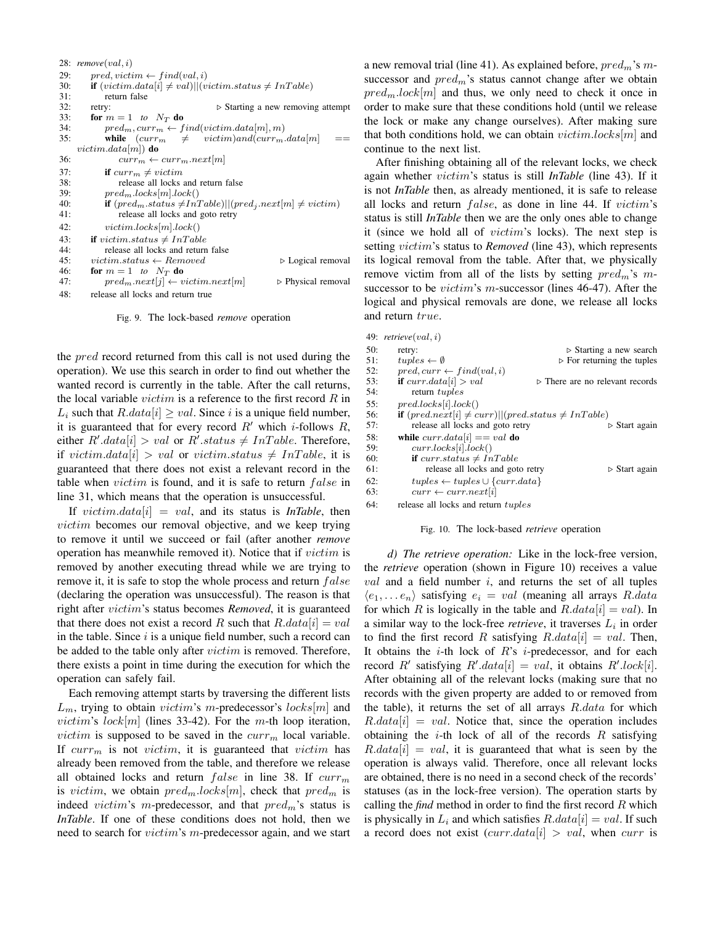|     | 28: $remove(val, i)$                                                            |  |
|-----|---------------------------------------------------------------------------------|--|
| 29: | $pred, victim \leftarrow find(val, i)$                                          |  |
| 30: | <b>if</b> $(victim.data[i] \neq val)  (victim.dataus \neq InTable)$             |  |
| 31: | return false                                                                    |  |
| 32: | $\triangleright$ Starting a new removing attempt<br>retry:                      |  |
| 33: | for $m = 1$ to $N_T$ do                                                         |  |
| 34: | $pred_m, curr_m \leftarrow find(victim.data[m], m)$                             |  |
| 35: | while $(curr_m \neq victim)$ and $(curr_m.data[m]$                              |  |
|     | <i>victim.data</i> $ m $ <b>)</b> do                                            |  |
| 36: | $curr_m \leftarrow curr_m.next m $                                              |  |
| 37: | <b>if</b> $curr_m \neq victim$                                                  |  |
| 38: | release all locks and return false                                              |  |
| 39: | $pred_m, locks m .lock()$                                                       |  |
| 40: | <b>if</b> $(pred_m\_status \neq InTable)   (pred_j.next[m] \neq victim)$        |  |
| 41: | release all locks and goto retry                                                |  |
| 42: | victim. locks m .lock()                                                         |  |
| 43: | <b>if</b> victim.status $\neq InTable$                                          |  |
| 44: | release all locks and return false                                              |  |
| 45: | $victim.status \leftarrow Removed$<br>$\triangleright$ Logical removal          |  |
| 46: | for $m = 1$ to $N_T$ do                                                         |  |
| 47: | $pred_m.next[j] \leftarrow victim.next[m]$<br>$\triangleright$ Physical removal |  |
| 48: | release all locks and return true                                               |  |

Fig. 9. The lock-based *remove* operation

the *pred* record returned from this call is not used during the operation). We use this search in order to find out whether the wanted record is currently in the table. After the call returns, the local variable  $victim$  is a reference to the first record  $R$  in  $L_i$  such that  $R.data[i] \geq val$ . Since i is a unique field number, it is guaranteed that for every record  $R'$  which *i*-follows  $R$ , either  $R'.data[i] > val$  or  $R'.status \neq InTable$ . Therefore, if victim.data[i] > val or victim.status  $\neq In Table$ , it is guaranteed that there does not exist a relevant record in the table when  $victim$  is found, and it is safe to return  $false$  in line 31, which means that the operation is unsuccessful.

If  $victim.data[i] = val$ , and its status is *InTable*, then victim becomes our removal objective, and we keep trying to remove it until we succeed or fail (after another *remove* operation has meanwhile removed it). Notice that if victim is removed by another executing thread while we are trying to remove it, it is safe to stop the whole process and return  $false$ (declaring the operation was unsuccessful). The reason is that right after victim's status becomes *Removed*, it is guaranteed that there does not exist a record R such that  $R.data[i] = val$ in the table. Since  $i$  is a unique field number, such a record can be added to the table only after *victim* is removed. Therefore, there exists a point in time during the execution for which the operation can safely fail.

Each removing attempt starts by traversing the different lists  $L_m$ , trying to obtain *victim's m*-predecessor's *locks*[m] and victim's lock[m] (lines 33-42). For the m-th loop iteration, *victim* is supposed to be saved in the  $curr_m$  local variable. If  $curr_m$  is not victim, it is guaranteed that victim has already been removed from the table, and therefore we release all obtained locks and return  $false$  in line 38. If  $curr_m$ is victim, we obtain  $pred_m, locks[m]$ , check that  $pred_m$  is indeed victim's m-predecessor, and that  $pred<sub>m</sub>$ 's status is *InTable*. If one of these conditions does not hold, then we need to search for *victim*'s *m*-predecessor again, and we start a new removal trial (line 41). As explained before,  $pred<sub>m</sub>$ 's msuccessor and  $pred<sub>m</sub>$ 's status cannot change after we obtain  $pred_mlock[m]$  and thus, we only need to check it once in order to make sure that these conditions hold (until we release the lock or make any change ourselves). After making sure that both conditions hold, we can obtain  $victim. locks[m]$  and continue to the next list.

After finishing obtaining all of the relevant locks, we check again whether victim's status is still *InTable* (line 43). If it is not *InTable* then, as already mentioned, it is safe to release all locks and return  $false$ , as done in line 44. If  $victim's$ status is still *InTable* then we are the only ones able to change it (since we hold all of victim's locks). The next step is setting victim's status to *Removed* (line 43), which represents its logical removal from the table. After that, we physically remove victim from all of the lists by setting  $pred<sub>m</sub>$ 's msuccessor to be *victim's m*-successor (lines 46-47). After the logical and physical removals are done, we release all locks and return true.

|     | 49: $retrieve(val, i)$                                   |                                                |
|-----|----------------------------------------------------------|------------------------------------------------|
| 50: | retry:                                                   | $\triangleright$ Starting a new search         |
| 51: | $tuples \leftarrow \emptyset$                            | $\triangleright$ For returning the tuples      |
| 52: | $pred, curr \leftarrow find(val, i)$                     |                                                |
| 53: | <b>if</b> $curr.data[i] > val$                           | $\triangleright$ There are no relevant records |
| 54: | return tuples                                            |                                                |
| 55: | pred. locks[i].lock()                                    |                                                |
| 56: | if $(pred.next[i] \neq curr)  (predstatus \neq InTable)$ |                                                |
| 57: | release all locks and goto retry                         | $\triangleright$ Start again                   |
| 58: | while $curr.data[i] == val$ do                           |                                                |
| 59: | curr. locks[i].lock()                                    |                                                |
| 60: | if curr.status $\neq InTable$                            |                                                |
| 61: | release all locks and goto retry                         | $\triangleright$ Start again                   |
| 62: | $tuples \leftarrow tuples \cup \{curr.data\}$            |                                                |
| 63: | $curr \leftarrow curr.next[i]$                           |                                                |
| 64: | release all locks and return <i>tuples</i>               |                                                |
|     |                                                          |                                                |

#### Fig. 10. The lock-based *retrieve* operation

*d) The retrieve operation:* Like in the lock-free version, the *retrieve* operation (shown in Figure 10) receives a value  $val$  and a field number  $i$ , and returns the set of all tuples  $\langle e_1, \ldots e_n \rangle$  satisfying  $e_i = val$  (meaning all arrays R.data for which R is logically in the table and  $R.data[i] = val$ ). In a similar way to the lock-free *retrieve*, it traverses  $L_i$  in order to find the first record R satisfying  $R.data[i] = val$ . Then, It obtains the  $i$ -th lock of  $R$ 's  $i$ -predecessor, and for each record R' satisfying  $R' . data[i] = val$ , it obtains  $R' . lock[i]$ . After obtaining all of the relevant locks (making sure that no records with the given property are added to or removed from the table), it returns the set of all arrays  $R.data$  for which  $R.data[i] = val.$  Notice that, since the operation includes obtaining the *i*-th lock of all of the records  $R$  satisfying  $R.data[i] = val$ , it is guaranteed that what is seen by the operation is always valid. Therefore, once all relevant locks are obtained, there is no need in a second check of the records' statuses (as in the lock-free version). The operation starts by calling the *find* method in order to find the first record R which is physically in  $L_i$  and which satisfies  $R.data[i] = val$ . If such a record does not exist  $(curr.data[i] > val$ , when curr is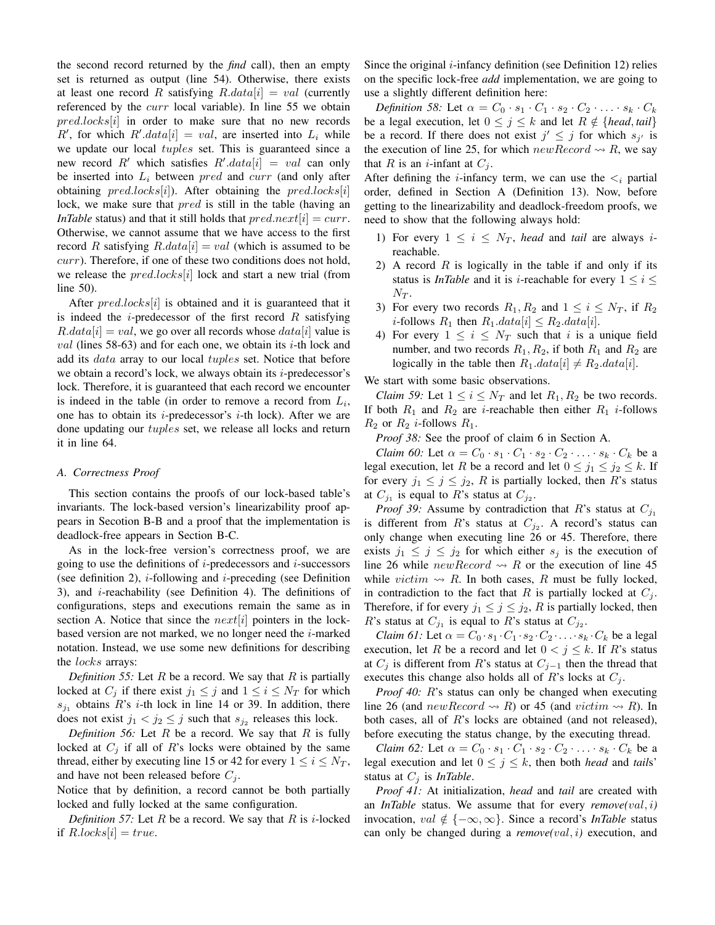the second record returned by the *find* call), then an empty set is returned as output (line 54). Otherwise, there exists at least one record R satisfying  $R.data[i] = val$  (currently referenced by the *curr* local variable). In line 55 we obtain  $pred. locks[i]$  in order to make sure that no new records R', for which  $R'$ .data[i] = val, are inserted into  $L_i$  while we update our local *tuples* set. This is guaranteed since a new record R' which satisfies  $R' . data[i] = val$  can only be inserted into  $L_i$  between *pred* and *curr* (and only after obtaining  $pred. locks[i]$ ). After obtaining the  $pred.locks[i]$ lock, we make sure that *pred* is still in the table (having an *InTable* status) and that it still holds that  $pred.next[i] = curr$ . Otherwise, we cannot assume that we have access to the first record R satisfying  $R.data[i] = val$  (which is assumed to be  $curr$ ). Therefore, if one of these two conditions does not hold, we release the  $pred.\textit{locks}[i]$  lock and start a new trial (from line 50).

After  $pred~locks[i]$  is obtained and it is guaranteed that it is indeed the *i*-predecessor of the first record  $R$  satisfying  $R.data[i] = val$ , we go over all records whose  $data[i]$  value is  $val$  (lines 58-63) and for each one, we obtain its  $i$ -th lock and add its data array to our local tuples set. Notice that before we obtain a record's lock, we always obtain its  $i$ -predecessor's lock. Therefore, it is guaranteed that each record we encounter is indeed in the table (in order to remove a record from  $L_i$ , one has to obtain its *i*-predecessor's *i*-th lock). After we are done updating our tuples set, we release all locks and return it in line 64.

## *A. Correctness Proof*

This section contains the proofs of our lock-based table's invariants. The lock-based version's linearizability proof appears in Secotion B-B and a proof that the implementation is deadlock-free appears in Section B-C.

As in the lock-free version's correctness proof, we are going to use the definitions of  $i$ -predecessors and  $i$ -successors (see definition 2),  $i$ -following and  $i$ -preceding (see Definition 3), and  $i$ -reachability (see Definition 4). The definitions of configurations, steps and executions remain the same as in section A. Notice that since the  $next[i]$  pointers in the lockbased version are not marked, we no longer need the  $i$ -marked notation. Instead, we use some new definitions for describing the *locks* arrays:

*Definition 55:* Let R be a record. We say that R is partially locked at  $C_j$  if there exist  $j_1 \leq j$  and  $1 \leq i \leq N_T$  for which  $s_{j_1}$  obtains R's *i*-th lock in line 14 or 39. In addition, there does not exist  $j_1 < j_2 \leq j$  such that  $s_{j_2}$  releases this lock.

*Definition 56:* Let R be a record. We say that R is fully locked at  $C_i$  if all of R's locks were obtained by the same thread, either by executing line 15 or 42 for every  $1 \le i \le N_T$ , and have not been released before  $C_i$ .

Notice that by definition, a record cannot be both partially locked and fully locked at the same configuration.

*Definition 57:* Let  $R$  be a record. We say that  $R$  is *i*-locked if  $R. locks[i] = true.$ 

Since the original  $i$ -infancy definition (see Definition 12) relies on the specific lock-free *add* implementation, we are going to use a slightly different definition here:

*Definition 58:* Let  $\alpha = C_0 \cdot s_1 \cdot C_1 \cdot s_2 \cdot C_2 \cdot \ldots \cdot s_k \cdot C_k$ be a legal execution, let  $0 \le j \le k$  and let  $R \notin \{head, tail\}$ be a record. If there does not exist  $j' \leq j$  for which  $s_{j'}$  is the execution of line 25, for which  $newRecord \rightarrow R$ , we say that R is an *i*-infant at  $C_i$ .

After defining the *i*-infancy term, we can use the  $\lt_i$  partial order, defined in Section A (Definition 13). Now, before getting to the linearizability and deadlock-freedom proofs, we need to show that the following always hold:

- 1) For every  $1 \leq i \leq N_T$ , *head* and *tail* are always *i*reachable.
- 2) A record  $R$  is logically in the table if and only if its status is *InTable* and it is *i*-reachable for every  $1 \le i \le$  $N_T$ .
- 3) For every two records  $R_1, R_2$  and  $1 \le i \le N_T$ , if  $R_2$ *i*-follows  $R_1$  then  $R_1.data[i] \leq R_2.data[i]$ .
- 4) For every  $1 \leq i \leq N_T$  such that i is a unique field number, and two records  $R_1, R_2$ , if both  $R_1$  and  $R_2$  are logically in the table then  $R_1.data[i] \neq R_2.data[i]$ .

We start with some basic observations.

*Claim 59:* Let  $1 \le i \le N_T$  and let  $R_1, R_2$  be two records. If both  $R_1$  and  $R_2$  are *i*-reachable then either  $R_1$  *i*-follows  $R_2$  or  $R_2$  *i*-follows  $R_1$ .

*Proof 38:* See the proof of claim 6 in Section A.

*Claim 60:* Let  $\alpha = C_0 \cdot s_1 \cdot C_1 \cdot s_2 \cdot C_2 \cdot \ldots \cdot s_k \cdot C_k$  be a legal execution, let R be a record and let  $0 \le j_1 \le j_2 \le k$ . If for every  $j_1 \leq j \leq j_2$ , R is partially locked, then R's status at  $C_{j_1}$  is equal to R's status at  $C_{j_2}$ .

*Proof 39:* Assume by contradiction that R's status at  $C_{j_1}$ is different from R's status at  $C_{j_2}$ . A record's status can only change when executing line 26 or 45. Therefore, there exists  $j_1 \leq j \leq j_2$  for which either  $s_j$  is the execution of line 26 while  $newRecord \rightarrow R$  or the execution of line 45 while *victim*  $\rightsquigarrow$  R. In both cases, R must be fully locked, in contradiction to the fact that R is partially locked at  $C_i$ . Therefore, if for every  $j_1 \leq j \leq j_2$ , R is partially locked, then R's status at  $C_{j_1}$  is equal to R's status at  $C_{j_2}$ .

*Claim 61:* Let  $\alpha = C_0 \cdot s_1 \cdot C_1 \cdot s_2 \cdot C_2 \cdot \ldots \cdot s_k \cdot C_k$  be a legal execution, let R be a record and let  $0 < j \leq k$ . If R's status at  $C_j$  is different from R's status at  $C_{j-1}$  then the thread that executes this change also holds all of R's locks at  $C_i$ .

*Proof 40:* R's status can only be changed when executing line 26 (and new Record  $\rightsquigarrow$  R) or 45 (and victim  $\rightsquigarrow$  R). In both cases, all of R's locks are obtained (and not released), before executing the status change, by the executing thread.

*Claim 62:* Let  $\alpha = C_0 \cdot s_1 \cdot C_1 \cdot s_2 \cdot C_2 \cdot \ldots \cdot s_k \cdot C_k$  be a legal execution and let  $0 \le j \le k$ , then both *head* and *tails* status at  $C_j$  is *InTable*.

*Proof 41:* At initialization, *head* and *tail* are created with an *InTable* status. We assume that for every *remove(*val, i*)* invocation, val  $\notin \{-\infty, \infty\}$ . Since a record's *InTable* status can only be changed during a *remove(*val, i*)* execution, and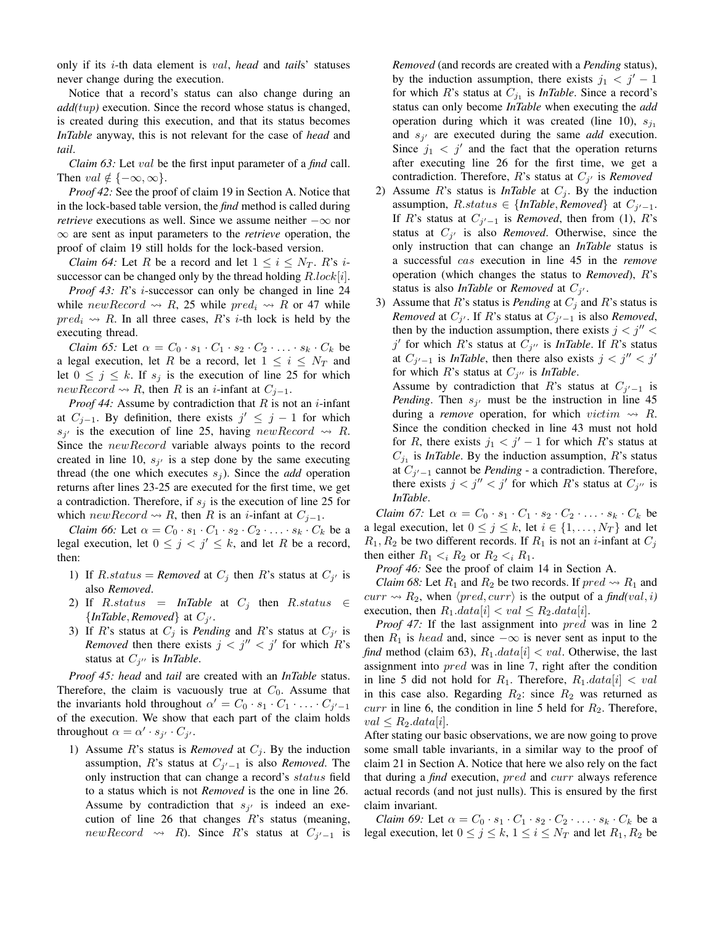only if its i-th data element is val, *head* and *tail*s' statuses never change during the execution.

Notice that a record's status can also change during an *add(*tup*)* execution. Since the record whose status is changed, is created during this execution, and that its status becomes *InTable* anyway, this is not relevant for the case of *head* and *tail*.

*Claim 63:* Let val be the first input parameter of a *find* call. Then  $val \notin \{-\infty, \infty\}.$ 

*Proof 42:* See the proof of claim 19 in Section A. Notice that in the lock-based table version, the *find* method is called during *retrieve* executions as well. Since we assume neither  $-\infty$  nor ∞ are sent as input parameters to the *retrieve* operation, the proof of claim 19 still holds for the lock-based version.

*Claim 64:* Let R be a record and let  $1 \le i \le N_T$ . R's *i*successor can be changed only by the thread holding  $R.lock[i]$ .

*Proof 43: R's i-successor can only be changed in line 24* while new Record  $\rightsquigarrow R$ , 25 while pred<sub>i</sub>  $\rightsquigarrow R$  or 47 while  $pred_i \nightharpoonup R$ . In all three cases, R's *i*-th lock is held by the executing thread.

*Claim 65:* Let  $\alpha = C_0 \cdot s_1 \cdot C_1 \cdot s_2 \cdot C_2 \cdot \ldots \cdot s_k \cdot C_k$  be a legal execution, let R be a record, let  $1 \leq i \leq N_T$  and let  $0 \leq j \leq k$ . If  $s_j$  is the execution of line 25 for which  $newRecord \rightsquigarrow R$ , then R is an *i*-infant at  $C_{j-1}$ .

*Proof 44:* Assume by contradiction that  $R$  is not an  $i$ -infant at  $C_{j-1}$ . By definition, there exists  $j' \leq j-1$  for which  $s_{j'}$  is the execution of line 25, having new Record  $\rightsquigarrow$  R. Since the *newRecord* variable always points to the record created in line 10,  $s_{j'}$  is a step done by the same executing thread (the one which executes  $s_j$ ). Since the *add* operation returns after lines 23-25 are executed for the first time, we get a contradiction. Therefore, if  $s_i$  is the execution of line 25 for which  $newRecord \rightsquigarrow R$ , then R is an *i*-infant at  $C_{j-1}$ .

*Claim 66:* Let  $\alpha = C_0 \cdot s_1 \cdot C_1 \cdot s_2 \cdot C_2 \cdot \ldots \cdot s_k \cdot C_k$  be a legal execution, let  $0 \le j \le j' \le k$ , and let R be a record, then:

- 1) If  $R$ .*status* = *Removed* at  $C_j$  then  $R$ 's status at  $C_{j'}$  isalso *Removed*.
- 2) If  $R. status = InTable$  at  $C_j$  then  $R. status \in$  $\{InTable, Removeed\}$  at  $C_{j'}$ .
- 3) If R's status at  $C_j$  is *Pending* and R's status at  $C_{j'}$  is *Removed* then there exists  $j < j'' < j'$  for which R's status at  $C_{j^{\prime\prime}}$  is *InTable*.

*Proof 45: head* and *tail* are created with an *InTable* status. Therefore, the claim is vacuously true at  $C_0$ . Assume that the invariants hold throughout  $\alpha' = C_0 \cdot s_1 \cdot C_1 \cdot \ldots \cdot C_{j'-1}$ of the execution. We show that each part of the claim holds throughout  $\alpha = \alpha' \cdot s_{j'} \cdot C_{j'}$ .

1) Assume  $R$ 's status is *Removed* at  $C_j$ . By the induction assumption, R's status at  $C_{j'-1}$  is also *Removed*. The only instruction that can change a record's status field to a status which is not *Removed* is the one in line 26. Assume by contradiction that  $s_{j'}$  is indeed an execution of line 26 that changes  $R$ 's status (meaning, newRecord  $\rightsquigarrow$  R). Since R's status at  $C_{j'-1}$  is *Removed* (and records are created with a *Pending* status), by the induction assumption, there exists  $j_1 < j' - 1$ for which  $R$ 's status at  $C_{j_1}$  is *InTable*. Since a record's status can only become *InTable* when executing the *add* operation during which it was created (line 10),  $s_{j_1}$ and  $s_{j'}$  are executed during the same *add* execution. Since  $j_1 < j'$  and the fact that the operation returns after executing line 26 for the first time, we get a contradiction. Therefore,  $R$ 's status at  $C_{j'}$  is *Removed* 

- 2) Assume  $R$ 's status is *InTable* at  $C_j$ . By the induction assumption,  $R$ .status  $\in \{InTable, Remove{d}\}$  at  $C_{j'-1}$ .If R's status at  $C_{j'-1}$  is *Removed*, then from (1), R's status at  $C_{j'}$  is also *Removed*. Otherwise, since the only instruction that can change an *InTable* status is a successful cas execution in line 45 in the *remove* operation (which changes the status to *Removed*), R's status is also *InTable* or *Removed* at  $C_{j'}$ .
- 3) Assume that  $R$ 's status is *Pending* at  $C_j$  and  $R$ 's status is *Removed* at  $C_{j'}$ . If R's status at  $C_{j'-1}$  is also *Removed*, then by the induction assumption, there exists  $j < j'' <$  $j'$  for which R's status at  $C_{j''}$  is *InTable*. If R's status at  $C_{j'-1}$  is *InTable*, then there also exists  $j < j'' < j'$ for which  $R$ 's status at  $C_{j''}$  is *InTable*.

Assume by contradiction that R's status at  $C_{j'-1}$  is *Pending*. Then  $s_{j'}$  must be the instruction in line 45 during a *remove* operation, for which *victim*  $\rightsquigarrow$  R. Since the condition checked in line 43 must not hold for R, there exists  $j_1 < j' - 1$  for which R's status at  $C_{j_1}$  is *InTable*. By the induction assumption, R's status at  $C_{j'-1}$  cannot be *Pending* - a contradiction. Therefore, there exists  $j < j'' < j'$  for which R's status at  $C_{j''}$  is *InTable*.

*Claim 67:* Let  $\alpha = C_0 \cdot s_1 \cdot C_1 \cdot s_2 \cdot C_2 \cdot \ldots \cdot s_k \cdot C_k$  be a legal execution, let  $0 \le j \le k$ , let  $i \in \{1, ..., N_T\}$  and let  $R_1, R_2$  be two different records. If  $R_1$  is not an *i*-infant at  $C_i$ then either  $R_1 \lt_i R_2$  or  $R_2 \lt_i R_1$ .

*Proof 46:* See the proof of claim 14 in Section A.

*Claim 68:* Let  $R_1$  and  $R_2$  be two records. If  $pred \rightarrow R_1$  and  $curr \rightsquigarrow R_2$ , when  $\langle pred, curr \rangle$  is the output of a *find*(*val*, *i*) execution, then  $R_1.data[i] < val \leq R_2.data[i]$ .

*Proof 47:* If the last assignment into *pred* was in line 2 then  $R_1$  is head and, since  $-\infty$  is never sent as input to the *find* method (claim 63),  $R_1.data[i] < val$ . Otherwise, the last assignment into *pred* was in line 7, right after the condition in line 5 did not hold for  $R_1$ . Therefore,  $R_1.data[i] < val$ in this case also. Regarding  $R_2$ : since  $R_2$  was returned as  $curr$  in line 6, the condition in line 5 held for  $R_2$ . Therefore,  $val \leq R_2.data[i].$ 

After stating our basic observations, we are now going to prove some small table invariants, in a similar way to the proof of claim 21 in Section A. Notice that here we also rely on the fact that during a *find* execution, pred and curr always reference actual records (and not just nulls). This is ensured by the first claim invariant.

*Claim 69:* Let  $\alpha = C_0 \cdot s_1 \cdot C_1 \cdot s_2 \cdot C_2 \cdot \ldots \cdot s_k \cdot C_k$  be a legal execution, let  $0 \le j \le k$ ,  $1 \le i \le N_T$  and let  $R_1, R_2$  be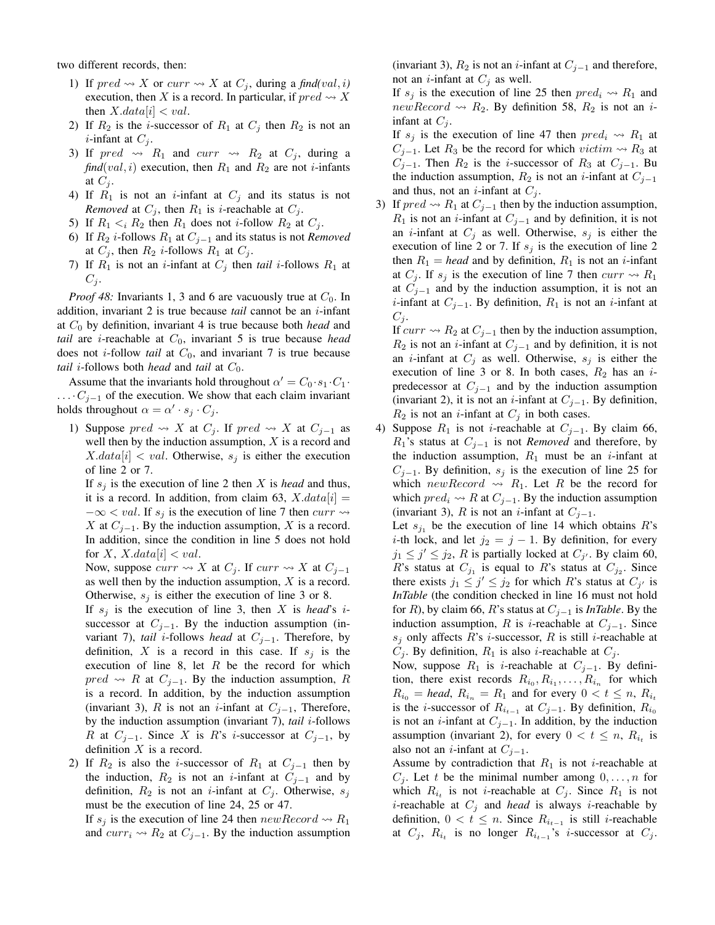two different records, then:

- 1) If  $pred \rightsquigarrow X$  or  $curr \rightsquigarrow X$  at  $C_j$ , during a *find*(*val*, *i*) execution, then X is a record. In particular, if  $pred \rightsquigarrow X$ then  $X.data[i] < val$ .
- 2) If  $R_2$  is the *i*-successor of  $R_1$  at  $C_j$  then  $R_2$  is not an *i*-infant at  $C_j$ .
- 3) If  $pred \rightarrow R_1$  and  $curr \rightarrow R_2$  at  $C_j$ , during a  $find(val, i)$  execution, then  $R_1$  and  $R_2$  are not *i*-infants at  $C_i$ .
- 4) If  $R_1$  is not an *i*-infant at  $C_j$  and its status is not *Removed* at  $C_j$ , then  $R_1$  is *i*-reachable at  $C_j$ .
- 5) If  $R_1 \lt_i R_2$  then  $R_1$  does not *i*-follow  $R_2$  at  $C_j$ .
- 6) If  $R_2$  *i*-follows  $R_1$  at  $C_{j-1}$  and its status is not *Removed* at  $C_i$ , then  $R_2$  *i*-follows  $R_1$  at  $C_i$ .
- 7) If  $R_1$  is not an *i*-infant at  $C_j$  then *tail i*-follows  $R_1$  at  $C_j$ .

*Proof 48:* Invariants 1, 3 and 6 are vacuously true at  $C_0$ . In addition, invariant 2 is true because *tail* cannot be an i-infant at  $C_0$  by definition, invariant 4 is true because both *head* and *tail* are *i*-reachable at  $C_0$ , invariant 5 is true because *head* does not  $i$ -follow *tail* at  $C_0$ , and invariant 7 is true because *tail i*-follows both *head* and *tail* at  $C_0$ .

Assume that the invariants hold throughout  $\alpha' = C_0 \cdot s_1 \cdot C_1 \cdot$  $\ldots$   $C_{j-1}$  of the execution. We show that each claim invariant holds throughout  $\alpha = \alpha' \cdot s_j \cdot C_j$ .

1) Suppose  $pred \rightsquigarrow X$  at  $C_j$ . If  $pred \rightsquigarrow X$  at  $C_{j-1}$  as well then by the induction assumption,  $X$  is a record and  $X.data[i] < val$ . Otherwise,  $s_i$  is either the execution of line 2 or 7.

If  $s_i$  is the execution of line 2 then X is *head* and thus, it is a record. In addition, from claim 63,  $X.data[i] =$  $-\infty < val$ . If  $s_j$  is the execution of line 7 then  $curr \rightarrow$ X at  $C_{j-1}$ . By the induction assumption, X is a record. In addition, since the condition in line 5 does not hold for X, X.data $|i| < val$ .

Now, suppose  $curr \rightsquigarrow X$  at  $C_j$ . If  $curr \rightsquigarrow X$  at  $C_{j-1}$ as well then by the induction assumption, X is a record. Otherwise,  $s_i$  is either the execution of line 3 or 8.

If  $s_j$  is the execution of line 3, then X is *head*'s *i*successor at  $C_{j-1}$ . By the induction assumption (invariant 7), *tail* i-follows *head* at Cj−1. Therefore, by definition, X is a record in this case. If  $s_j$  is the execution of line 8, let  $R$  be the record for which  $pred \rightarrow R$  at  $C_{j-1}$ . By the induction assumption, R is a record. In addition, by the induction assumption (invariant 3), R is not an *i*-infant at  $C_{i-1}$ , Therefore, by the induction assumption (invariant 7), *tail* i-follows R at  $C_{j-1}$ . Since X is R's i-successor at  $C_{j-1}$ , by definition  $X$  is a record.

2) If  $R_2$  is also the *i*-successor of  $R_1$  at  $C_{j-1}$  then by the induction,  $R_2$  is not an *i*-infant at  $C_{i-1}$  and by definition,  $R_2$  is not an *i*-infant at  $C_i$ . Otherwise,  $s_i$ must be the execution of line 24, 25 or 47.

If  $s_i$  is the execution of line 24 then  $newRecord \rightarrow R_1$ and  $curr_i \rightarrow R_2$  at  $C_{j-1}$ . By the induction assumption

(invariant 3),  $R_2$  is not an *i*-infant at  $C_{j-1}$  and therefore, not an *i*-infant at  $C_j$  as well.

If  $s_i$  is the execution of line 25 then  $pred_i \nightharpoonup R_1$  and newRecord  $\rightsquigarrow$  R<sub>2</sub>. By definition 58, R<sub>2</sub> is not an *i*infant at  $C_i$ .

If  $s_j$  is the execution of line 47 then  $pred_i \rightsquigarrow R_1$  at  $C_{j-1}$ . Let  $R_3$  be the record for which *victim*  $\rightsquigarrow R_3$  at  $C_{j-1}$ . Then  $R_2$  is the *i*-successor of  $R_3$  at  $C_{j-1}$ . Bu the induction assumption,  $R_2$  is not an *i*-infant at  $C_{j-1}$ and thus, not an *i*-infant at  $C_j$ .

3) If  $pred \rightsquigarrow R_1$  at  $C_{j-1}$  then by the induction assumption,  $R_1$  is not an *i*-infant at  $C_{j-1}$  and by definition, it is not an *i*-infant at  $C_j$  as well. Otherwise,  $s_j$  is either the execution of line 2 or 7. If  $s_j$  is the execution of line 2 then  $R_1$  = *head* and by definition,  $R_1$  is not an *i*-infant at  $C_j$ . If  $s_j$  is the execution of line 7 then  $curr \rightsquigarrow R_1$ at  $C_{j-1}$  and by the induction assumption, it is not an *i*-infant at  $C_{j-1}$ . By definition,  $R_1$  is not an *i*-infant at  $C_i$ .

If  $curr \rightsquigarrow R_2$  at  $C_{j-1}$  then by the induction assumption,  $R_2$  is not an *i*-infant at  $C_{j-1}$  and by definition, it is not an *i*-infant at  $C_i$  as well. Otherwise,  $s_i$  is either the execution of line 3 or 8. In both cases,  $R_2$  has an *i*predecessor at  $C_{j-1}$  and by the induction assumption (invariant 2), it is not an *i*-infant at  $C_{j-1}$ . By definition,  $R_2$  is not an *i*-infant at  $C_j$  in both cases.

4) Suppose  $R_1$  is not *i*-reachable at  $C_{j-1}$ . By claim 66,  $R_1$ 's status at  $C_{j-1}$  is not *Removed* and therefore, by the induction assumption,  $R_1$  must be an *i*-infant at  $C_{i-1}$ . By definition,  $s_i$  is the execution of line 25 for which new Record  $\rightsquigarrow$  R<sub>1</sub>. Let R be the record for which  $pred_i \rightsquigarrow R$  at  $C_{j-1}$ . By the induction assumption (invariant 3), R is not an *i*-infant at  $C_{j-1}$ .

Let  $s_{j_1}$  be the execution of line 14 which obtains R's *i*-th lock, and let  $j_2 = j - 1$ . By definition, for every  $j_1 \leq j' \leq j_2$ , R is partially locked at  $C_{j'}$ . By claim 60, R's status at  $C_{j_1}$  is equal to R's status at  $C_{j_2}$ . Since there exists  $j_1 \leq j' \leq j_2$  for which R's status at  $C_{j'}$  is *InTable* (the condition checked in line 16 must not hold for R), by claim 66, R's status at  $C_{j-1}$  is *InTable*. By the induction assumption, R is i-reachable at  $C_{i-1}$ . Since  $s_i$  only affects R's *i*-successor, R is still *i*-reachable at  $C_j$ . By definition,  $R_1$  is also *i*-reachable at  $C_j$ .

Now, suppose  $R_1$  is *i*-reachable at  $C_{j-1}$ . By definition, there exist records  $R_{i_0}, R_{i_1}, \ldots, R_{i_n}$  for which  $R_{i_0}$  = *head*,  $R_{i_n}$  =  $R_1$  and for every  $0 < t \leq n$ ,  $R_{i_t}$ is the *i*-successor of  $R_{i_{t-1}}$  at  $C_{j-1}$ . By definition,  $R_{i_0}$ is not an *i*-infant at  $C_{j-1}$ . In addition, by the induction assumption (invariant 2), for every  $0 < t \leq n$ ,  $R_{i_t}$  is also not an *i*-infant at  $C_{j-1}$ .

Assume by contradiction that  $R_1$  is not *i*-reachable at  $C_i$ . Let t be the minimal number among  $0, \ldots, n$  for which  $R_{i_t}$  is not *i*-reachable at  $C_j$ . Since  $R_1$  is not *i*-reachable at  $C_i$  and *head* is always *i*-reachable by definition,  $0 < t \leq n$ . Since  $R_{i_{t-1}}$  is still *i*-reachable at  $C_j$ ,  $R_{i_t}$  is no longer  $R_{i_{t-1}}$ 's *i*-successor at  $C_j$ .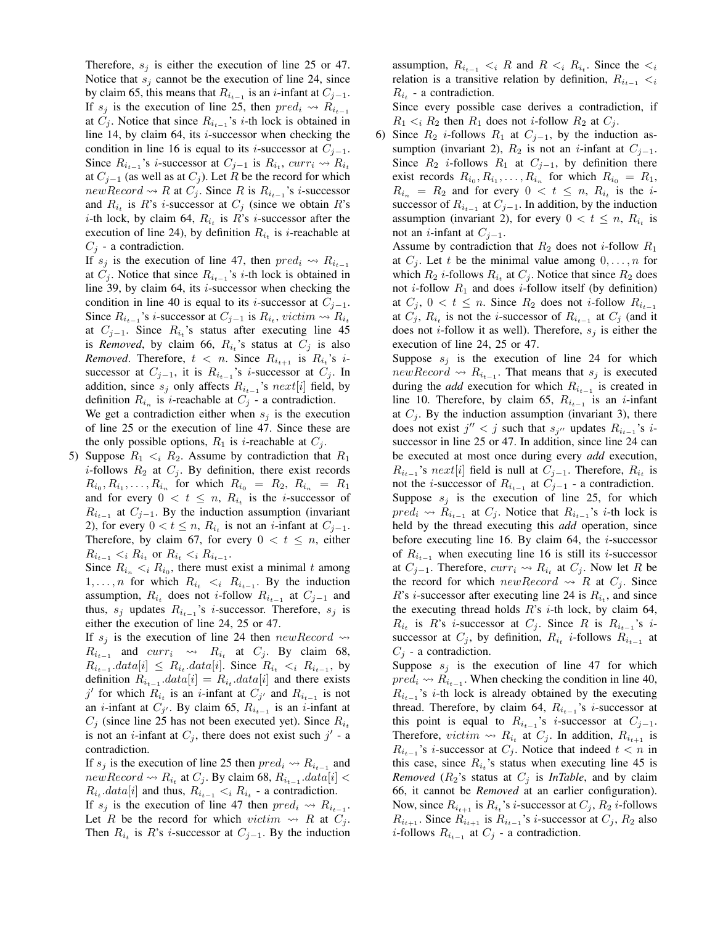Therefore,  $s_i$  is either the execution of line 25 or 47. Notice that  $s_i$  cannot be the execution of line 24, since by claim 65, this means that  $R_{i_{t-1}}$  is an *i*-infant at  $C_{j-1}$ . If  $s_i$  is the execution of line 25, then  $pred_i \nightharpoonup R_{i_{t-1}}$ at  $C_j$ . Notice that since  $R_{i_{t-1}}$ 's *i*-th lock is obtained in line 14, by claim 64, its  $i$ -successor when checking the condition in line 16 is equal to its *i*-successor at  $C_{j-1}$ . Since  $R_{i_{t-1}}$ 's *i*-successor at  $C_{j-1}$  is  $R_{i_t}$ ,  $curr_i \sim R_{i_t}$ at  $C_{j-1}$  (as well as at  $C_j$ ). Let R be the record for which  $newRecord \rightsquigarrow R$  at  $C_j$ . Since R is  $R_{i_{t-1}}$ 's *i*-successor and  $R_{i_t}$  is R's *i*-successor at  $C_j$  (since we obtain R's *i*-th lock, by claim 64,  $R_{i_t}$  is  $R$ 's *i*-successor after the execution of line 24), by definition  $R_{i_t}$  is *i*-reachable at  $C_j$  - a contradiction.

If  $s_j$  is the execution of line 47, then  $pred_i \nightharpoonup R_{i_{t-1}}$ at  $C_j$ . Notice that since  $R_{i_{t-1}}$ 's *i*-th lock is obtained in line 39, by claim 64, its  $i$ -successor when checking the condition in line 40 is equal to its *i*-successor at  $C_{i-1}$ . Since  $R_{i_{t-1}}$ 's *i*-successor at  $C_{j-1}$  is  $R_{i_t}$ , *victim*  $\sim R_{i_t}$ at  $C_{j-1}$ . Since  $R_{i_i}$ 's status after executing line 45 is *Removed*, by claim 66,  $R_{i_t}$ 's status at  $C_j$  is also *Removed.* Therefore,  $t < n$ . Since  $R_{i_{t+1}}$  is  $R_{i_t}$ 's *i*successor at  $C_{j-1}$ , it is  $R_{i_{t-1}}$ 's *i*-successor at  $C_j$ . In addition, since  $s_j$  only affects  $R_{i_{t-1}}$ 's  $next[i]$  field, by definition  $R_{i_n}$  is *i*-reachable at  $C_j$  - a contradiction. We get a contradiction either when  $s_i$  is the execution of line 25 or the execution of line 47. Since these are

the only possible options,  $R_1$  is *i*-reachable at  $C_j$ . 5) Suppose  $R_1 \lt_i R_2$ . Assume by contradiction that  $R_1$ 

*i*-follows  $R_2$  at  $C_i$ . By definition, there exist records  $R_{i_0}, R_{i_1}, \ldots, R_{i_n}$  for which  $R_{i_0} = R_2, R_{i_n} = R_1$ and for every  $0 < t \leq n$ ,  $R_{i_t}$  is the *i*-successor of  $R_{i_{t-1}}$  at  $C_{j-1}$ . By the induction assumption (invariant 2), for every  $0 < t \leq n$ ,  $R_{i_t}$  is not an *i*-infant at  $C_{j-1}$ . Therefore, by claim 67, for every  $0 < t \le n$ , either  $R_{i_{t-1}} < i R_{i_t}$  or  $R_{i_t} < i R_{i_{t-1}}$ .

Since  $R_{i_n} < i R_{i_0}$ , there must exist a minimal t among 1, ..., *n* for which  $R_{i_t} < i \ R_{i_{t-1}}$ . By the induction assumption,  $R_{i_t}$  does not *i*-follow  $R_{i_{t-1}}$  at  $C_{j-1}$  and thus,  $s_j$  updates  $R_{i_{t-1}}$ 's *i*-successor. Therefore,  $s_j$  is either the execution of line 24, 25 or 47.

If  $s_i$  is the execution of line 24 then  $newRecord \rightarrow$  $R_{i_{t-1}}$  and  $curr_i \rightarrow R_{i_t}$  at  $C_j$ . By claim 68,  $R_{i_{t-1}}$ .data[i]  $\leq R_{i_t}$ .data[i]. Since  $R_{i_t} \leq i \ R_{i_{t-1}}$ , by definition  $R_{i_{t-1}}$ . $data[i] = R_{i_t}$ . $data[i]$  and there exists j' for which  $R_{i_t}$  is an i-infant at  $C_{j'}$  and  $R_{i_{t-1}}$  is not an *i*-infant at  $C_{j'}$ . By claim 65,  $R_{i_{t-1}}$  is an *i*-infant at  $C_j$  (since line 25 has not been executed yet). Since  $R_{i_t}$ is not an *i*-infant at  $C_j$ , there does not exist such  $j'$  - a contradiction.

If  $s_j$  is the execution of line 25 then  $pred_i \rightsquigarrow R_{i_{t-1}}$  and  $newRecord \leadsto R_{i_t}$  at  $C_j.$  By claim 68,  $R_{i_{t-1}}.data[i] <$  $R_{i_t}.data[i]$  and thus,  $R_{i_{t-1}} < i R_{i_t}$  - a contradiction.

If  $s_j$  is the execution of line 47 then  $pred_i \rightsquigarrow R_{i_{t-1}}$ . Let R be the record for which victim  $\rightsquigarrow$  R at  $C_j$ . Then  $R_{i_t}$  is R's *i*-successor at  $C_{j-1}$ . By the induction

assumption,  $R_{i_{t-1}} < i \ R$  and  $R < i \ R_{i_t}$ . Since the  $\lt_i$ relation is a transitive relation by definition,  $R_{i_{t-1}} \lt_i$  $R_{i_t}$  - a contradiction.

Since every possible case derives a contradiction, if  $R_1 \lt_i R_2$  then  $R_1$  does not *i*-follow  $R_2$  at  $C_i$ .

6) Since  $R_2$  *i*-follows  $R_1$  at  $C_{j-1}$ , by the induction assumption (invariant 2),  $R_2$  is not an *i*-infant at  $C_{j-1}$ . Since  $R_2$  *i*-follows  $R_1$  at  $C_{j-1}$ , by definition there exist records  $R_{i_0}, R_{i_1}, \ldots, R_{i_n}$  for which  $R_{i_0} = R_1$ ,  $R_{i_n} = R_2$  and for every  $0 < t \leq n$ ,  $R_{i_t}$  is the *i*successor of  $R_{i_{t-1}}$  at  $C_{j-1}$ . In addition, by the induction assumption (invariant 2), for every  $0 < t \leq n$ ,  $R_{i_t}$  is not an *i*-infant at  $C_{i-1}$ .

Assume by contradiction that  $R_2$  does not *i*-follow  $R_1$ at  $C_i$ . Let t be the minimal value among  $0, \ldots, n$  for which  $R_2$  *i*-follows  $R_{i_t}$  at  $C_j$ . Notice that since  $R_2$  does not *i*-follow  $R_1$  and does *i*-follow itself (by definition) at  $C_j$ ,  $0 < t \leq n$ . Since  $R_2$  does not *i*-follow  $R_{i_{t-1}}$ at  $C_j$ ,  $R_{i_t}$  is not the *i*-successor of  $R_{i_{t-1}}$  at  $C_j$  (and it does not *i*-follow it as well). Therefore,  $s_i$  is either the execution of line 24, 25 or 47.

Suppose  $s_i$  is the execution of line 24 for which  $newRecord \rightarrow R_{i_{t-1}}$ . That means that s<sub>j</sub> is executed during the *add* execution for which  $R_{i_{t-1}}$  is created in line 10. Therefore, by claim 65,  $R_{i_{t-1}}$  is an *i*-infant at  $C_j$ . By the induction assumption (invariant 3), there does not exist  $j'' < j$  such that  $s_{j''}$  updates  $R_{i_{t-1}}$ 's *i*successor in line 25 or 47. In addition, since line 24 can be executed at most once during every *add* execution,  $R_{i_{t-1}}$ 's next[i] field is null at  $C_{j-1}$ . Therefore,  $R_{i_t}$  is not the *i*-successor of  $R_{i_{t-1}}$  at  $C_{j-1}$  - a contradiction. Suppose  $s_i$  is the execution of line 25, for which  $pred_i \nightharpoonup R_{i_{t-1}}$  at  $C_j$ . Notice that  $R_{i_{t-1}}$ 's *i*-th lock is held by the thread executing this *add* operation, since before executing line 16. By claim 64, the  $i$ -successor of  $R_{i_{t-1}}$  when executing line 16 is still its *i*-successor at  $C_{j-1}$ . Therefore,  $curr_i \rightsquigarrow R_{i_t}$  at  $C_j$ . Now let R be the record for which new Record  $\rightsquigarrow$  R at  $C_i$ . Since  $R$ 's *i*-successor after executing line 24 is  $R_{i_t}$ , and since the executing thread holds  $R$ 's *i*-th lock, by claim 64,  $R_{i_t}$  is R's *i*-successor at  $C_j$ . Since R is  $R_{i_{t-1}}$ 's *i*successor at  $C_j$ , by definition,  $R_{i_t}$  *i*-follows  $R_{i_{t-1}}$  at

Suppose  $s_j$  is the execution of line 47 for which  $pred_i \nightharpoonup R_{i_{t-1}}$ . When checking the condition in line 40,  $R_{i_{t-1}}$ 's *i*-th lock is already obtained by the executing thread. Therefore, by claim 64,  $R_{i_{t-1}}$ 's *i*-successor at this point is equal to  $R_{i_{t-1}}$ 's *i*-successor at  $C_{j-1}$ . Therefore, *victim*  $\rightsquigarrow R_{i_t}$  at  $C_j$ . In addition,  $R_{i_{t+1}}$  is  $R_{i_{t-1}}$ 's *i*-successor at  $C_j$ . Notice that indeed  $t < n$  in this case, since  $R_{i_t}$ 's status when executing line 45 is *Removed* ( $R_2$ 's status at  $C_j$  is *InTable*, and by claim 66, it cannot be *Removed* at an earlier configuration). Now, since  $R_{i_{t+1}}$  is  $R_{i_t}$ 's *i*-successor at  $C_j$ ,  $R_2$  *i*-follows  $R_{i_{t+1}}$ . Since  $R_{i_{t+1}}$  is  $R_{i_{t-1}}$ 's *i*-successor at  $C_j$ ,  $R_2$  also *i*-follows  $R_{i_{t-1}}$  at  $C_j$  - a contradiction.

 $C_i$  - a contradiction.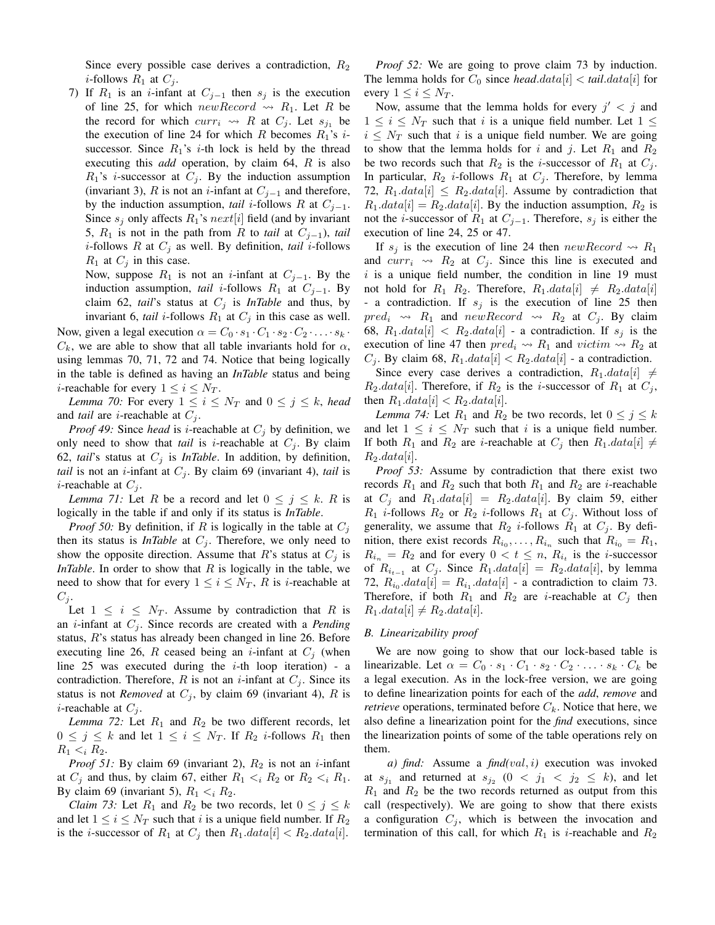Since every possible case derives a contradiction,  $R_2$ *i*-follows  $R_1$  at  $C_i$ .

7) If  $R_1$  is an *i*-infant at  $C_{j-1}$  then  $s_j$  is the execution of line 25, for which new Record  $\rightsquigarrow$  R<sub>1</sub>. Let R be the record for which  $curr_i \rightsquigarrow R$  at  $C_j$ . Let  $s_{j_1}$  be the execution of line 24 for which R becomes  $R_1$ 's *i*successor. Since  $R_1$ 's *i*-th lock is held by the thread executing this *add* operation, by claim 64, R is also  $R_1$ 's *i*-successor at  $C_j$ . By the induction assumption (invariant 3), R is not an *i*-infant at  $C_{j-1}$  and therefore, by the induction assumption, *tail* i-follows R at  $C_{j-1}$ . Since  $s_i$  only affects  $R_1$ 's  $next[i]$  field (and by invariant 5,  $R_1$  is not in the path from R to *tail* at  $C_{i-1}$ , *tail i*-follows R at  $C_j$  as well. By definition, *tail i*-follows  $R_1$  at  $C_i$  in this case.

Now, suppose  $R_1$  is not an *i*-infant at  $C_{j-1}$ . By the induction assumption, *tail i*-follows  $R_1$  at  $C_{j-1}$ . By claim 62, *tail*'s status at  $C_j$  is *InTable* and thus, by invariant 6, *tail i*-follows  $R_1$  at  $C_j$  in this case as well.

Now, given a legal execution  $\alpha = C_0 \cdot s_1 \cdot C_1 \cdot s_2 \cdot C_2 \cdot \ldots \cdot s_k$ .  $C_k$ , we are able to show that all table invariants hold for  $\alpha$ , using lemmas 70, 71, 72 and 74. Notice that being logically in the table is defined as having an *InTable* status and being *i*-reachable for every  $1 \leq i \leq N_T$ .

*Lemma 70:* For every  $1 \leq i \leq N_T$  and  $0 \leq j \leq k$ , *head* and *tail* are *i*-reachable at  $C_j$ .

*Proof 49:* Since *head* is *i*-reachable at  $C_i$  by definition, we only need to show that *tail* is *i*-reachable at  $C_i$ . By claim 62, *tail*'s status at  $C_j$  is *InTable*. In addition, by definition, *tail* is not an *i*-infant at  $C_j$ . By claim 69 (invariant 4), *tail* is *i*-reachable at  $C_i$ .

*Lemma 71:* Let R be a record and let  $0 \le j \le k$ . R is logically in the table if and only if its status is *InTable*.

*Proof 50:* By definition, if R is logically in the table at  $C_i$ then its status is *InTable* at  $C_i$ . Therefore, we only need to show the opposite direction. Assume that R's status at  $C_i$  is *InTable*. In order to show that  $R$  is logically in the table, we need to show that for every  $1 \leq i \leq N_T$ , R is *i*-reachable at  $C_j$ .

Let  $1 \leq i \leq N_T$ . Assume by contradiction that R is an *i*-infant at  $C_i$ . Since records are created with a *Pending* status, R's status has already been changed in line 26. Before executing line 26, R ceased being an *i*-infant at  $C_i$  (when line 25 was executed during the  $i$ -th loop iteration) - a contradiction. Therefore, R is not an *i*-infant at  $C_i$ . Since its status is not *Removed* at  $C_i$ , by claim 69 (invariant 4), R is *i*-reachable at  $C_i$ .

*Lemma 72:* Let  $R_1$  and  $R_2$  be two different records, let  $0 \leq j \leq k$  and let  $1 \leq i \leq N_T$ . If  $R_2$  *i*-follows  $R_1$  then  $R_1 < i R_2$ .

*Proof 51:* By claim 69 (invariant 2),  $R_2$  is not an *i*-infant at  $C_j$  and thus, by claim 67, either  $R_1 \lt_i R_2$  or  $R_2 \lt_i R_1$ . By claim 69 (invariant 5),  $R_1 < i R_2$ .

*Claim 73:* Let  $R_1$  and  $R_2$  be two records, let  $0 \le j \le k$ and let  $1 \leq i \leq N_T$  such that i is a unique field number. If  $R_2$ is the *i*-successor of  $R_1$  at  $C_j$  then  $R_1.data[i] < R_2.data[i]$ .

*Proof 52:* We are going to prove claim 73 by induction. The lemma holds for  $C_0$  since *head*.data[i] < *tail.data*[i] for every  $1 \leq i \leq N_T$ .

Now, assume that the lemma holds for every  $j' < j$  and  $1 \leq i \leq N_T$  such that i is a unique field number. Let  $1 \leq$  $i \leq N_T$  such that i is a unique field number. We are going to show that the lemma holds for i and j. Let  $R_1$  and  $R_2$ be two records such that  $R_2$  is the *i*-successor of  $R_1$  at  $C_j$ . In particular,  $R_2$  *i*-follows  $R_1$  at  $C_j$ . Therefore, by lemma 72,  $R_1.data[i] \leq R_2.data[i]$ . Assume by contradiction that  $R_1.data[i] = R_2.data[i]$ . By the induction assumption,  $R_2$  is not the *i*-successor of  $R_1$  at  $C_{j-1}$ . Therefore,  $s_j$  is either the execution of line 24, 25 or 47.

If  $s_j$  is the execution of line 24 then  $newRecord \rightsquigarrow R_1$ and  $curr_i \rightsquigarrow R_2$  at  $C_j$ . Since this line is executed and  $i$  is a unique field number, the condition in line 19 must not hold for  $R_1$   $R_2$ . Therefore,  $R_1.data[i] \neq R_2.data[i]$ - a contradiction. If  $s_j$  is the execution of line 25 then  $pred_i \rightarrow R_1$  and  $newRecord \rightarrow R_2$  at  $C_j$ . By claim 68,  $R_1.data[i] < R_2.data[i]$  - a contradiction. If  $s_j$  is the execution of line 47 then  $pred_i \rightsquigarrow R_1$  and  $victim \rightsquigarrow R_2$  at  $C_j$ . By claim 68,  $R_1.data[i] < R_2.data[i]$  - a contradiction.

Since every case derives a contradiction,  $R_1.data[i] \neq$  $R_2.data[i]$ . Therefore, if  $R_2$  is the *i*-successor of  $R_1$  at  $C_j$ , then  $R_1.data[i] < R_2.data[i]$ .

*Lemma 74:* Let  $R_1$  and  $R_2$  be two records, let  $0 \le j \le k$ and let  $1 \leq i \leq N_T$  such that i is a unique field number. If both  $R_1$  and  $R_2$  are *i*-reachable at  $C_j$  then  $R_1.data[i] \neq$  $R_2.data[i]$ .

*Proof 53:* Assume by contradiction that there exist two records  $R_1$  and  $R_2$  such that both  $R_1$  and  $R_2$  are *i*-reachable at  $C_j$  and  $R_1.data[i] = R_2.data[i]$ . By claim 59, either  $R_1$  *i*-follows  $R_2$  or  $R_2$  *i*-follows  $R_1$  at  $C_j$ . Without loss of generality, we assume that  $R_2$  *i*-follows  $R_1$  at  $C_i$ . By definition, there exist records  $R_{i_0}, \ldots, R_{i_n}$  such that  $R_{i_0} = R_1$ ,  $R_{i_n} = R_2$  and for every  $0 < t \leq n$ ,  $R_{i_t}$  is the *i*-successor of  $R_{i_{t-1}}$  at  $C_j$ . Since  $R_1.data[i] = R_2.data[i]$ , by lemma 72,  $R_{i_0}.data[i] = R_{i_1}.data[i]$  - a contradiction to claim 73. Therefore, if both  $R_1$  and  $R_2$  are *i*-reachable at  $C_j$  then  $R_1.data[i] \neq R_2.data[i].$ 

#### *B. Linearizability proof*

We are now going to show that our lock-based table is linearizable. Let  $\alpha = C_0 \cdot s_1 \cdot C_1 \cdot s_2 \cdot C_2 \cdot \ldots \cdot s_k \cdot C_k$  be a legal execution. As in the lock-free version, we are going to define linearization points for each of the *add*, *remove* and *retrieve* operations, terminated before  $C_k$ . Notice that here, we also define a linearization point for the *find* executions, since the linearization points of some of the table operations rely on them.

*a) find:* Assume a *find(*val, i*)* execution was invoked at  $s_{j_1}$  and returned at  $s_{j_2}$   $(0 \lt j_1 \lt j_2 \lt k)$ , and let  $R_1$  and  $R_2$  be the two records returned as output from this call (respectively). We are going to show that there exists a configuration  $C_i$ , which is between the invocation and termination of this call, for which  $R_1$  is *i*-reachable and  $R_2$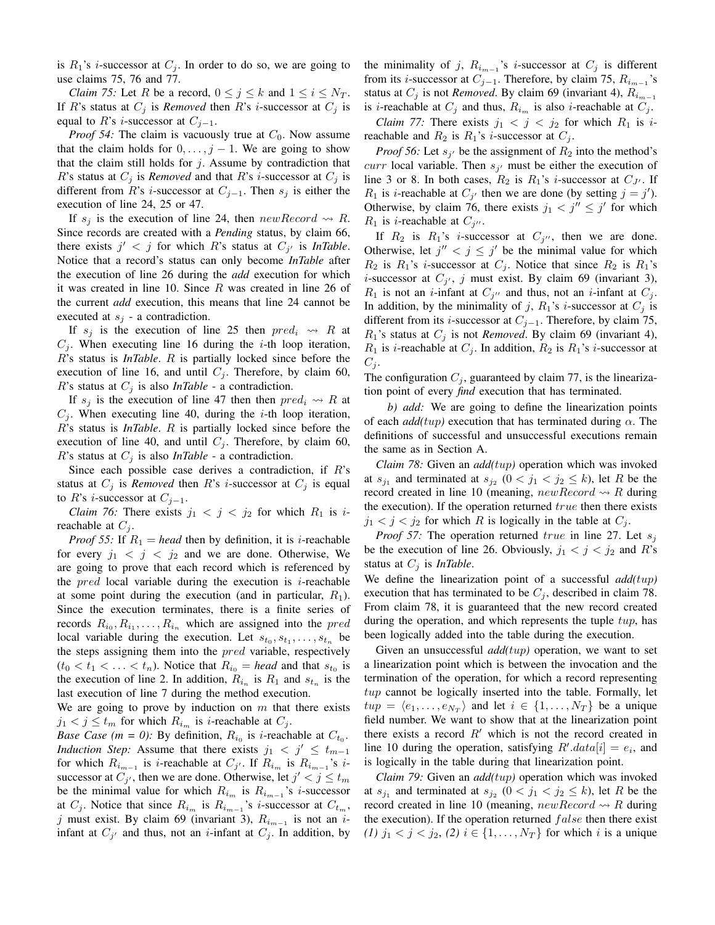is  $R_1$ 's *i*-successor at  $C_j$ . In order to do so, we are going to use claims 75, 76 and 77.

*Claim 75:* Let R be a record,  $0 \le j \le k$  and  $1 \le i \le N_T$ . If R's status at  $C_j$  is *Removed* then R's *i*-successor at  $C_j$  is equal to R's *i*-successor at  $C_{i-1}$ .

*Proof 54:* The claim is vacuously true at  $C_0$ . Now assume that the claim holds for  $0, \ldots, j-1$ . We are going to show that the claim still holds for  $j$ . Assume by contradiction that R's status at  $C_j$  is *Removed* and that R's *i*-successor at  $C_j$  is different from R's *i*-successor at  $C_{j-1}$ . Then  $s_j$  is either the execution of line 24, 25 or 47.

If  $s_i$  is the execution of line 24, then  $newRecord \rightsquigarrow R$ . Since records are created with a *Pending* status, by claim 66, there exists  $j' < j$  for which R's status at  $C_{j'}$  is *InTable*. Notice that a record's status can only become *InTable* after the execution of line 26 during the *add* execution for which it was created in line 10. Since  $R$  was created in line 26 of the current *add* execution, this means that line 24 cannot be executed at  $s_i$  - a contradiction.

If  $s_i$  is the execution of line 25 then  $pred_i \rightsquigarrow R$  at  $C_i$ . When executing line 16 during the *i*-th loop iteration, R's status is *InTable*. R is partially locked since before the execution of line 16, and until  $C_j$ . Therefore, by claim 60, R's status at  $C_i$  is also *InTable* - a contradiction.

If  $s_j$  is the execution of line 47 then then  $pred_i \rightsquigarrow R$  at  $C_i$ . When executing line 40, during the *i*-th loop iteration, R's status is *InTable*. R is partially locked since before the execution of line 40, and until  $C_j$ . Therefore, by claim 60, R's status at  $C_j$  is also *InTable* - a contradiction.

Since each possible case derives a contradiction, if  $R$ 's status at  $C_j$  is *Removed* then R's *i*-successor at  $C_j$  is equal to R's *i*-successor at  $C_{i-1}$ .

*Claim 76:* There exists  $j_1 < j < j_2$  for which  $R_1$  is *i*reachable at  $C_i$ .

*Proof 55:* If  $R_1$  = *head* then by definition, it is *i*-reachable for every  $j_1 < j < j_2$  and we are done. Otherwise, We are going to prove that each record which is referenced by the  $pred$  local variable during the execution is *i*-reachable at some point during the execution (and in particular,  $R_1$ ). Since the execution terminates, there is a finite series of records  $R_{i_0}, R_{i_1}, \ldots, R_{i_n}$  which are assigned into the *pred* local variable during the execution. Let  $s_{t_0}, s_{t_1}, \ldots, s_{t_n}$  be the steps assigning them into the *pred* variable, respectively  $(t_0 < t_1 < \ldots < t_n)$ . Notice that  $R_{i_0} = head$  and that  $s_{t_0}$  is the execution of line 2. In addition,  $R_{i_n}$  is  $R_1$  and  $s_{t_n}$  is the last execution of line 7 during the method execution.

We are going to prove by induction on  $m$  that there exists  $j_1 < j \leq t_m$  for which  $R_{i_m}$  is *i*-reachable at  $C_j$ .

*Base Case (m = 0)*: By definition,  $R_{i_0}$  is *i*-reachable at  $C_{t_0}$ . *Induction Step:* Assume that there exists  $j_1 < j' \leq t_{m-1}$ for which  $R_{i_{m-1}}$  is *i*-reachable at  $C_{j'}$ . If  $R_{i_m}$  is  $R_{i_{m-1}}$ 's *i*successor at  $C_{j'}$ , then we are done. Otherwise, let  $j' < j \leq t_m$ be the minimal value for which  $R_{i_m}$  is  $R_{i_{m-1}}$ 's *i*-successor at  $C_j$ . Notice that since  $R_{i_m}$  is  $R_{i_{m-1}}$ 's *i*-successor at  $C_{t_m}$ , j must exist. By claim 69 (invariant 3),  $R_{i_{m-1}}$  is not an iinfant at  $C_{j'}$  and thus, not an *i*-infant at  $C_j$ . In addition, by

the minimality of j,  $R_{i_{m-1}}$ 's i-successor at  $C_j$  is different from its *i*-successor at  $C_{j-1}$ . Therefore, by claim 75,  $R_{i_{m-1}}$ 's status at  $C_j$  is not *Removed*. By claim 69 (invariant 4),  $R_{i_{m-1}}$ is *i*-reachable at  $C_j$  and thus,  $R_{i_m}$  is also *i*-reachable at  $C_j$ .

*Claim 77:* There exists  $j_1 < j < j_2$  for which  $R_1$  is ireachable and  $R_2$  is  $R_1$ 's *i*-successor at  $C_j$ .

*Proof 56:* Let  $s_{j'}$  be the assignment of  $R_2$  into the method's *curr* local variable. Then  $s_{j'}$  must be either the execution of line 3 or 8. In both cases,  $R_2$  is  $R_1$ 's *i*-successor at  $C_{J'}$ . If  $R_1$  is *i*-reachable at  $C_{j'}$  then we are done (by setting  $j = j'$ ). Otherwise, by claim 76, there exists  $j_1 < j'' \leq j'$  for which  $R_1$  is *i*-reachable at  $C_{j''}$ .

If  $R_2$  is  $R_1$ 's *i*-successor at  $C_{j''}$ , then we are done. Otherwise, let  $j'' < j \leq j'$  be the minimal value for which  $R_2$  is  $R_1$ 's *i*-successor at  $C_j$ . Notice that since  $R_2$  is  $R_1$ 's *i*-successor at  $C_{j'}$ , *j* must exist. By claim 69 (invariant 3),  $R_1$  is not an *i*-infant at  $C_{j''}$  and thus, not an *i*-infant at  $C_j$ . In addition, by the minimality of j,  $R_1$ 's i-successor at  $C_j$  is different from its *i*-successor at  $C_{j-1}$ . Therefore, by claim 75,  $R_1$ 's status at  $C_i$  is not *Removed*. By claim 69 (invariant 4),  $R_1$  is *i*-reachable at  $C_j$ . In addition,  $R_2$  is  $R_1$ 's *i*-successor at  $C_i$ .

The configuration  $C_i$ , guaranteed by claim 77, is the linearization point of every *find* execution that has terminated.

*b) add:* We are going to define the linearization points of each  $add(tup)$  execution that has terminated during  $\alpha$ . The definitions of successful and unsuccessful executions remain the same as in Section A.

*Claim 78:* Given an *add(*tup*)* operation which was invoked at  $s_{j_1}$  and terminated at  $s_{j_2}$   $(0 < j_1 < j_2 \le k)$ , let R be the record created in line 10 (meaning,  $newRecord \rightarrow R$  during the execution). If the operation returned  $true$  then there exists  $j_1 < j < j_2$  for which R is logically in the table at  $C_j$ .

*Proof 57:* The operation returned true in line 27. Let  $s_i$ be the execution of line 26. Obviously,  $j_1 < j < j_2$  and R's status at  $C_j$  is *InTable*.

We define the linearization point of a successful *add(*tup*)* execution that has terminated to be  $C_j$ , described in claim 78. From claim 78, it is guaranteed that the new record created during the operation, and which represents the tuple  $tup$ , has been logically added into the table during the execution.

Given an unsuccessful *add(*tup*)* operation, we want to set a linearization point which is between the invocation and the termination of the operation, for which a record representing  $tup$  cannot be logically inserted into the table. Formally, let  $tup = \langle e_1, \ldots, e_{N_T} \rangle$  and let  $i \in \{1, \ldots, N_T\}$  be a unique field number. We want to show that at the linearization point there exists a record  $R'$  which is not the record created in line 10 during the operation, satisfying  $R' . data[i] = e_i$ , and is logically in the table during that linearization point.

*Claim 79:* Given an *add(*tup*)* operation which was invoked at  $s_{j_1}$  and terminated at  $s_{j_2}$   $(0 \lt j_1 \lt j_2 \le k)$ , let R be the record created in line 10 (meaning,  $newRecord \rightarrow R$  during the execution). If the operation returned  $false$  then there exist *(1)*  $j_1 < j < j_2$ , *(2)*  $i \in \{1, ..., N_T\}$  for which i is a unique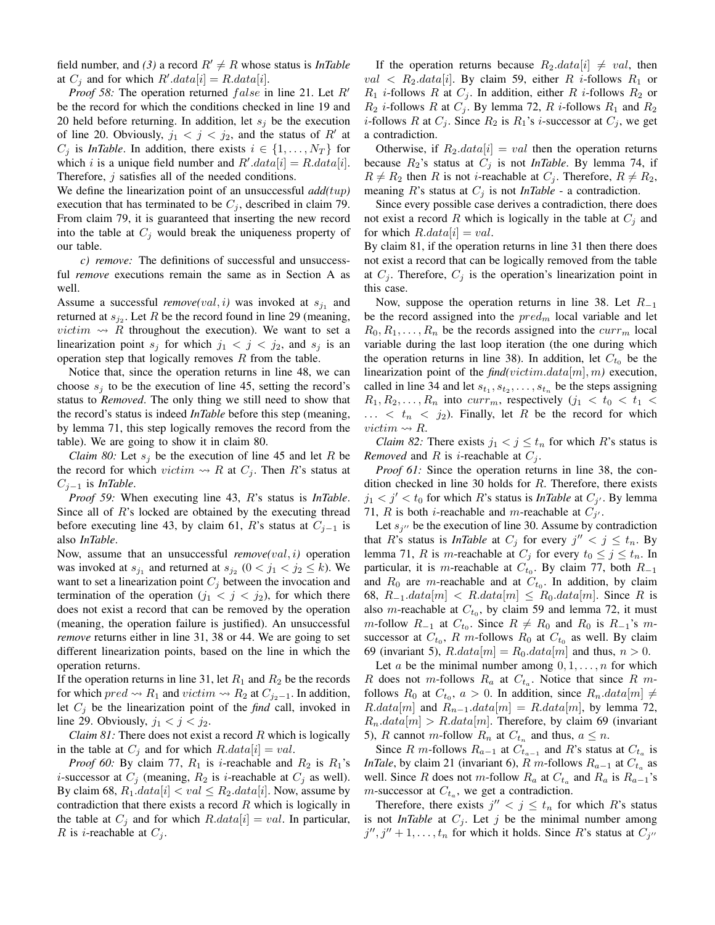field number, and (3) a record  $R' \neq R$  whose status is *InTable* at  $C_j$  and for which  $R'.data[i] = R.data[i].$ 

*Proof 58:* The operation returned  $false$  in line 21. Let  $R'$ be the record for which the conditions checked in line 19 and 20 held before returning. In addition, let  $s_i$  be the execution of line 20. Obviously,  $j_1 < j < j_2$ , and the status of R' at  $C_j$  is *InTable*. In addition, there exists  $i \in \{1, \ldots, N_T\}$  for which i is a unique field number and  $R' . data[i] = R . data[i].$ Therefore, j satisfies all of the needed conditions.

We define the linearization point of an unsuccessful *add(*tup*)* execution that has terminated to be  $C_j$ , described in claim 79. From claim 79, it is guaranteed that inserting the new record into the table at  $C_i$  would break the uniqueness property of our table.

*c) remove:* The definitions of successful and unsuccessful *remove* executions remain the same as in Section A as well.

Assume a successful *remove(val, i)* was invoked at  $s_{j_1}$  and returned at  $s_{j_2}$ . Let R be the record found in line 29 (meaning, *victim*  $\rightsquigarrow$  R throughout the execution). We want to set a linearization point  $s_i$  for which  $j_1 < j < j_2$ , and  $s_i$  is an operation step that logically removes  $R$  from the table.

Notice that, since the operation returns in line 48, we can choose  $s_i$  to be the execution of line 45, setting the record's status to *Removed*. The only thing we still need to show that the record's status is indeed *InTable* before this step (meaning, by lemma 71, this step logically removes the record from the table). We are going to show it in claim 80.

*Claim 80:* Let  $s_i$  be the execution of line 45 and let R be the record for which victim  $\rightsquigarrow$  R at  $C_i$ . Then R's status at Cj−<sup>1</sup> is *InTable*.

*Proof 59:* When executing line 43, R's status is *InTable*. Since all of  $R$ 's locked are obtained by the executing thread before executing line 43, by claim 61, R's status at  $C_{j-1}$  is also *InTable*.

Now, assume that an unsuccessful *remove(*val, i*)* operation was invoked at  $s_{j_1}$  and returned at  $s_{j_2}$   $(0 < j_1 < j_2 \le k)$ . We want to set a linearization point  $C_i$  between the invocation and termination of the operation  $(j_1 < j < j_2)$ , for which there does not exist a record that can be removed by the operation (meaning, the operation failure is justified). An unsuccessful *remove* returns either in line 31, 38 or 44. We are going to set different linearization points, based on the line in which the operation returns.

If the operation returns in line 31, let  $R_1$  and  $R_2$  be the records for which  $pred \rightsquigarrow R_1$  and  $victim \rightsquigarrow R_2$  at  $C_{j_2-1}$ . In addition, let  $C_i$  be the linearization point of the *find* call, invoked in line 29. Obviously,  $j_1 < j < j_2$ .

*Claim 81:* There does not exist a record R which is logically in the table at  $C_j$  and for which  $R.data[i] = val$ .

*Proof 60:* By claim 77,  $R_1$  is *i*-reachable and  $R_2$  is  $R_1$ 's *i*-successor at  $C_i$  (meaning,  $R_2$  is *i*-reachable at  $C_i$  as well). By claim 68,  $R_1.data[i] < val \leq R_2.data[i]$ . Now, assume by contradiction that there exists a record  $R$  which is logically in the table at  $C_i$  and for which  $R.data[i] = val$ . In particular, R is *i*-reachable at  $C_i$ .

If the operation returns because  $R_2.data[i] \neq val$ , then  $val < R_2.data[i]$ . By claim 59, either R *i*-follows  $R_1$  or  $R_1$  *i*-follows R at  $C_j$ . In addition, either R *i*-follows  $R_2$  or  $R_2$  *i*-follows R at  $C_j$ . By lemma 72, R *i*-follows  $R_1$  and  $R_2$ *i*-follows R at  $C_j$ . Since  $R_2$  is  $R_1$ 's *i*-successor at  $C_j$ , we get a contradiction.

Otherwise, if  $R_2.data[i] = val$  then the operation returns because  $R_2$ 's status at  $C_j$  is not *InTable*. By lemma 74, if  $R \neq R_2$  then R is not *i*-reachable at  $C_j$ . Therefore,  $R \neq R_2$ , meaning  $R$ 's status at  $C_j$  is not *InTable* - a contradiction.

Since every possible case derives a contradiction, there does not exist a record R which is logically in the table at  $C_i$  and for which  $R.data[i] = val$ .

By claim 81, if the operation returns in line 31 then there does not exist a record that can be logically removed from the table at  $C_j$ . Therefore,  $C_j$  is the operation's linearization point in this case.

Now, suppose the operation returns in line 38. Let  $R_{-1}$ be the record assigned into the  $pred_m$  local variable and let  $R_0, R_1, \ldots, R_n$  be the records assigned into the  $curr_m$  local variable during the last loop iteration (the one during which the operation returns in line 38). In addition, let  $C_{t_0}$  be the linearization point of the *find(*victim.data[m], m*)* execution, called in line 34 and let  $s_{t_1}, s_{t_2}, \ldots, s_{t_n}$  be the steps assigning  $R_1, R_2, \ldots, R_n$  into  $curr_m$ , respectively  $(j_1 < t_0 < t_1 <$  $\ldots$  <  $t_n$  <  $j_2$ ). Finally, let R be the record for which victim  $\rightsquigarrow R$ .

*Claim 82:* There exists  $j_1 < j \leq t_n$  for which R's status is *Removed* and *R* is *i*-reachable at  $C_i$ .

*Proof 61:* Since the operation returns in line 38, the condition checked in line 30 holds for R. Therefore, there exists  $j_1 < j' < t_0$  for which R's status is *InTable* at  $C_{j'}$ . By lemma 71, R is both *i*-reachable and *m*-reachable at  $C_{j'}$ .

Let  $s_{j}$ <sup>t</sup> be the execution of line 30. Assume by contradiction that R's status is *InTable* at  $C_j$  for every  $j'' < j \leq t_n$ . By lemma 71, R is m-reachable at  $C_j$  for every  $t_0 \leq j \leq t_n$ . In particular, it is *m*-reachable at  $C_{t_0}$ . By claim 77, both  $R_{-1}$ and  $R_0$  are m-reachable and at  $C_{t_0}$ . In addition, by claim 68,  $R_{-1}.data[m] < R.data[m] \leq R_0.data[m]$ . Since R is also *m*-reachable at  $C_{t_0}$ , by claim 59 and lemma 72, it must *m*-follow  $R_{-1}$  at  $C_{t_0}$ . Since  $R \neq R_0$  and  $R_0$  is  $R_{-1}$ 's  $m$ successor at  $C_{t_0}$ , R m-follows  $R_0$  at  $C_{t_0}$  as well. By claim 69 (invariant 5),  $R.data[m] = R_0.data[m]$  and thus,  $n > 0$ .

Let a be the minimal number among  $0, 1, \ldots, n$  for which R does not m-follows  $R_a$  at  $C_{t_a}$ . Notice that since R mfollows  $R_0$  at  $C_{t_0}$ ,  $a > 0$ . In addition, since  $R_n.data[m] \neq$  $R.data[m]$  and  $R_{n-1}.data[m] = R.data[m]$ , by lemma 72,  $R_n.data[m] > R.data[m]$ . Therefore, by claim 69 (invariant 5), R cannot m-follow  $R_n$  at  $C_{t_n}$  and thus,  $a \leq n$ .

Since R m-follows  $R_{a-1}$  at  $C_{t_{a-1}}$  and R's status at  $C_{t_a}$  is *InTale*, by claim 21 (invariant 6),  $R$  m-follows  $R_{a-1}$  at  $C_{t_a}$  as well. Since R does not m-follow  $R_a$  at  $C_{t_a}$  and  $R_a$  is  $R_{a-1}$ 's *m*-successor at  $C_{t_a}$ , we get a contradiction.

Therefore, there exists  $j'' < j \leq t_n$  for which R's status is not *InTable* at  $C_i$ . Let j be the minimal number among  $j'', j'' + 1, \ldots, t_n$  for which it holds. Since R's status at  $C_{j''}$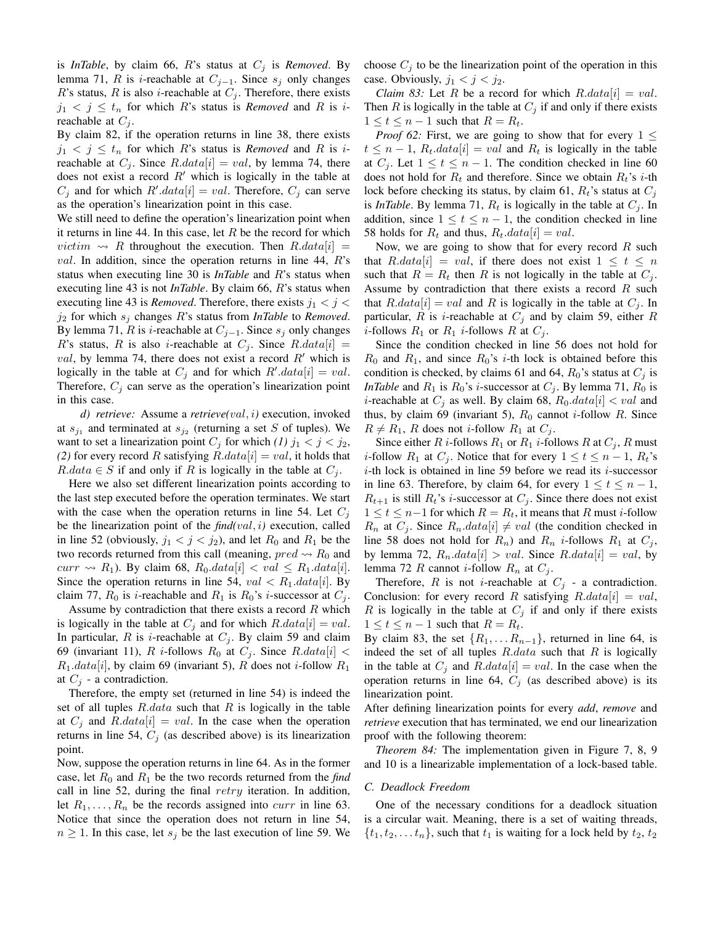is *InTable*, by claim 66,  $R$ 's status at  $C_j$  is *Removed*. By lemma 71, R is i-reachable at  $C_{j-1}$ . Since  $s_j$  only changes R's status, R is also *i*-reachable at  $C_i$ . Therefore, there exists  $j_1 < j \leq t_n$  for which R's status is *Removed* and R is *i*reachable at  $C_i$ .

By claim 82, if the operation returns in line 38, there exists  $j_1 < j \leq t_n$  for which R's status is *Removed* and R is *i*reachable at  $C_i$ . Since  $R.data[i] = val$ , by lemma 74, there does not exist a record  $R'$  which is logically in the table at  $C_j$  and for which  $R'.data[i] = val$ . Therefore,  $C_j$  can serve as the operation's linearization point in this case.

We still need to define the operation's linearization point when it returns in line 44. In this case, let  $R$  be the record for which *victim*  $\rightsquigarrow$  R throughout the execution. Then R.data[i] = *val.* In addition, since the operation returns in line 44,  $R$ 's status when executing line 30 is *InTable* and R's status when executing line 43 is not *InTable*. By claim 66, R's status when executing line 43 is *Removed*. Therefore, there exists  $j_1 < j <$  $j_2$  for which  $s_j$  changes R's status from *InTable* to *Removed*. By lemma 71, R is i-reachable at  $C_{i-1}$ . Since  $s_i$  only changes R's status, R is also *i*-reachable at  $C_i$ . Since R.data[i] = val, by lemma 74, there does not exist a record  $R'$  which is logically in the table at  $C_j$  and for which  $R'.data[i] = val$ . Therefore,  $C_i$  can serve as the operation's linearization point in this case.

*d) retrieve:* Assume a *retrieve(*val, i*)* execution, invoked at  $s_{j_1}$  and terminated at  $s_{j_2}$  (returning a set S of tuples). We want to set a linearization point  $C_j$  for which *(1)*  $j_1 < j < j_2$ , (2) for every record R satisfying  $R.data[i] = val$ , it holds that  $R.data \in S$  if and only if R is logically in the table at  $C_i$ .

Here we also set different linearization points according to the last step executed before the operation terminates. We start with the case when the operation returns in line 54. Let  $C_i$ be the linearization point of the *find(*val, i*)* execution, called in line 52 (obviously,  $j_1 < j < j_2$ ), and let  $R_0$  and  $R_1$  be the two records returned from this call (meaning,  $pred \rightarrow R_0$  and  $curr \rightsquigarrow R_1$ ). By claim 68,  $R_0.data[i] < val \leq R_1.data[i]$ . Since the operation returns in line 54,  $val < R_1.data[i]$ . By claim 77,  $R_0$  is *i*-reachable and  $R_1$  is  $R_0$ 's *i*-successor at  $C_j$ .

Assume by contradiction that there exists a record  $R$  which is logically in the table at  $C_i$  and for which  $R.data[i] = val$ . In particular, R is *i*-reachable at  $C_i$ . By claim 59 and claim 69 (invariant 11), R *i*-follows  $R_0$  at  $C_j$ . Since  $R.data[i]$  <  $R_1.data[i]$ , by claim 69 (invariant 5), R does not *i*-follow  $R_1$ at  $C_i$  - a contradiction.

Therefore, the empty set (returned in line 54) is indeed the set of all tuples  $R.data$  such that  $R$  is logically in the table at  $C_j$  and  $R.data[i] = val$ . In the case when the operation returns in line 54,  $C_j$  (as described above) is its linearization point.

Now, suppose the operation returns in line 64. As in the former case, let  $R_0$  and  $R_1$  be the two records returned from the *find* call in line 52, during the final  $retry$  iteration. In addition, let  $R_1, \ldots, R_n$  be the records assigned into *curr* in line 63. Notice that since the operation does not return in line 54,  $n \geq 1$ . In this case, let  $s_i$  be the last execution of line 59. We choose  $C_i$  to be the linearization point of the operation in this case. Obviously,  $j_1 < j < j_2$ .

*Claim 83:* Let R be a record for which  $R.data[i] = val$ . Then R is logically in the table at  $C_i$  if and only if there exists  $1 \leq t \leq n-1$  such that  $R = R_t$ .

*Proof 62:* First, we are going to show that for every  $1 \leq$  $t \leq n-1$ ,  $R_t.data[i] = val$  and  $R_t$  is logically in the table at  $C_i$ . Let  $1 \le t \le n-1$ . The condition checked in line 60 does not hold for  $R_t$  and therefore. Since we obtain  $R_t$ 's *i*-th lock before checking its status, by claim 61,  $R_t$ 's status at  $C_i$ is *InTable*. By lemma 71,  $R_t$  is logically in the table at  $C_j$ . In addition, since  $1 \le t \le n-1$ , the condition checked in line 58 holds for  $R_t$  and thus,  $R_t.data[i] = val$ .

Now, we are going to show that for every record  $R$  such that R.data[i] = val, if there does not exist  $1 \leq t \leq n$ such that  $R = R_t$  then R is not logically in the table at  $C_j$ . Assume by contradiction that there exists a record  $R$  such that  $R.data[i] = val$  and R is logically in the table at  $C_i$ . In particular, R is *i*-reachable at  $C_j$  and by claim 59, either R *i*-follows  $R_1$  or  $R_1$  *i*-follows  $R$  at  $C_j$ .

Since the condition checked in line 56 does not hold for  $R_0$  and  $R_1$ , and since  $R_0$ 's *i*-th lock is obtained before this condition is checked, by claims 61 and 64,  $R_0$ 's status at  $C_i$  is *InTable* and  $R_1$  is  $R_0$ 's *i*-successor at  $C_j$ . By lemma 71,  $R_0$  is *i*-reachable at  $C_j$  as well. By claim 68,  $R_0.data[i] < val$  and thus, by claim 69 (invariant 5),  $R_0$  cannot *i*-follow R. Since  $R \neq R_1$ , R does not *i*-follow  $R_1$  at  $C_j$ .

Since either R *i*-follows  $R_1$  or  $R_1$  *i*-follows R at  $C_j$ , R must *i*-follow  $R_1$  at  $C_j$ . Notice that for every  $1 \le t \le n-1$ ,  $R_t$ 's  $i$ -th lock is obtained in line 59 before we read its  $i$ -successor in line 63. Therefore, by claim 64, for every  $1 \le t \le n - 1$ ,  $R_{t+1}$  is still  $R_t$ 's *i*-successor at  $C_i$ . Since there does not exist  $1 \le t \le n-1$  for which  $R = R_t$ , it means that R must *i*-follow  $R_n$  at  $C_j$ . Since  $R_n.data[i] \neq val$  (the condition checked in line 58 does not hold for  $R_n$ ) and  $R_n$  *i*-follows  $R_1$  at  $C_j$ , by lemma 72,  $R_n.data[i] > val$ . Since  $R.data[i] = val$ , by lemma 72 R cannot *i*-follow  $R_n$  at  $C_j$ .

Therefore, R is not *i*-reachable at  $C_j$  - a contradiction. Conclusion: for every record R satisfying  $R.data[i] = val$ , R is logically in the table at  $C_j$  if and only if there exists  $1 \leq t \leq n-1$  such that  $R = R_t$ .

By claim 83, the set  $\{R_1, \ldots R_{n-1}\}$ , returned in line 64, is indeed the set of all tuples  $R.data$  such that  $R$  is logically in the table at  $C_j$  and  $R.data[i] = val$ . In the case when the operation returns in line 64,  $C_j$  (as described above) is its linearization point.

After defining linearization points for every *add*, *remove* and *retrieve* execution that has terminated, we end our linearization proof with the following theorem:

*Theorem 84:* The implementation given in Figure 7, 8, 9 and 10 is a linearizable implementation of a lock-based table.

#### *C. Deadlock Freedom*

One of the necessary conditions for a deadlock situation is a circular wait. Meaning, there is a set of waiting threads,  $\{t_1, t_2, \ldots, t_n\}$ , such that  $t_1$  is waiting for a lock held by  $t_2, t_2$